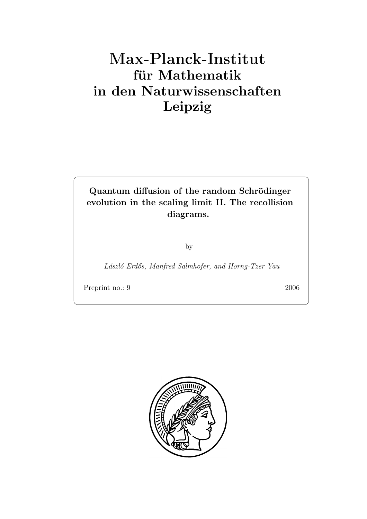# $f$ **ür** Mathematik **in den Naturwissenschaften Leipzig**

Quantum diffusion of the random Schrödinger **evolution in the scaling limit II. The recollision diagrams.**

by

*L´aszl´o Erd˝os, Manfred Salmhofer, and Horng-Tzer Yau*

Preprint no.: 9 2006

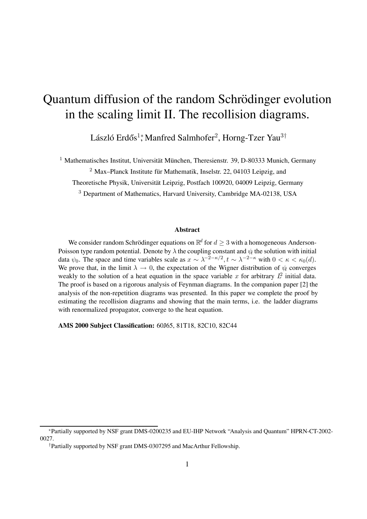## Quantum diffusion of the random Schrödinger evolution in the scaling limit II. The recollision diagrams.

László Erdős $^1*$ Manfred Salmhofer $^2$ , Horng-Tzer Yau $^3\dagger$ 

<sup>1</sup> Mathematisches Institut, Universität München, Theresienstr. 39, D-80333 Munich, Germany

<sup>2</sup> Max–Planck Institute für Mathematik, Inselstr. 22, 04103 Leipzig, and

Theoretische Physik, Universität Leipzig, Postfach 100920, 04009 Leipzig, Germany

<sup>3</sup> Department of Mathematics, Harvard University, Cambridge MA-02138, USA

#### **Abstract**

We consider random Schrödinger equations on  $\mathbb{R}^d$  for  $d \geq 3$  with a homogeneous Anderson-Poisson type random potential. Denote by  $\lambda$  the coupling constant and  $\psi_t$  the solution with initial data  $\psi_0$ . The space and time variables scale as  $x \sim \lambda^{-2-\kappa/2}$ ,  $t \sim \lambda^{-2-\kappa}$  with  $0 < \kappa < \kappa_0(d)$ . We prove that, in the limit  $\lambda \to 0$ , the expectation of the Wigner distribution of  $\psi$  converges weakly to the solution of a heat equation in the space variable x for arbitrary  $L^2$  initial data. The proof is based on a rigorous analysis of Feynman diagrams. In the companion paper [2] the analysis of the non-repetition diagrams was presented. In this paper we complete the proof by estimating the recollision diagrams and showing that the main terms, i.e. the ladder diagrams with renormalized propagator, converge to the heat equation.

**AMS 2000 Subject Classification:** 60J65, 81T18, 82C10, 82C44

<sup>∗</sup>Partially supported by NSF grant DMS-0200235 and EU-IHP Network "Analysis and Quantum" HPRN-CT-2002- 0027.

<sup>†</sup>Partially supported by NSF grant DMS-0307295 and MacArthur Fellowship.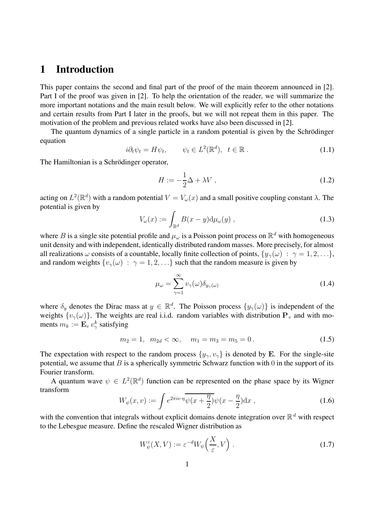## **1 Introduction**

This paper contains the second and final part of the proof of the main theorem announced in [2]. Part I of the proof was given in [2]. To help the orientation of the reader, we will summarize the more important notations and the main result below. We will explicitly refer to the other notations and certain results from Part I later in the proofs, but we will not repeat them in this paper. The motivation of the problem and previous related works have also been discussed in [2].

The quantum dynamics of a single particle in a random potential is given by the Schrödinger equation

$$
i\partial_t \psi_t = H\psi_t, \qquad \psi_t \in L^2(\mathbb{R}^d), \ \ t \in \mathbb{R} \ . \tag{1.1}
$$

The Hamiltonian is a Schrödinger operator,

$$
H := -\frac{1}{2}\Delta + \lambda V \tag{1.2}
$$

acting on  $L^2(\mathbb{R}^d)$  with a random potential  $V = V_\omega(x)$  and a small positive coupling constant  $\lambda$ . The potential is given by

$$
V_{\omega}(x) := \int_{\mathbb{R}^d} B(x - y) \mathrm{d}\mu_{\omega}(y) , \qquad (1.3)
$$

where B is a single site potential profile and  $\mu_{\omega}$  is a Poisson point process on  $\mathbb{R}^d$  with homogeneous unit density and with independent, identically distributed random masses. More precisely, for almost all realizations  $\omega$  consists of a countable, locally finite collection of points,  $\{y_{\gamma}(\omega) : \gamma = 1, 2, ...\}$ , and random weights  $\{v_{\gamma}(\omega) : \gamma = 1, 2, ...\}$  such that the random measure is given by

$$
\mu_{\omega} = \sum_{\gamma=1}^{\infty} v_{\gamma}(\omega) \delta_{y_{\gamma}(\omega)}
$$
\n(1.4)

where  $\delta_y$  denotes the Dirac mass at  $y \in \mathbb{R}^d$ . The Poisson process  $\{y_\gamma(\omega)\}\$ is independent of the weights  $\{v_{\gamma}(\omega)\}\$ . The weights are real i.i.d. random variables with distribution  $\mathbf{P}_{\nu}$  and with moments  $m_k := \mathbf{E}_v v_\gamma^k$  satisfying

$$
m_2 = 1, \ \ m_{2d} < \infty, \quad m_1 = m_3 = m_5 = 0. \tag{1.5}
$$

The expectation with respect to the random process  $\{y_{\gamma}, v_{\gamma}\}\$  is denoted by **E**. For the single-site potential, we assume that  $B$  is a spherically symmetric Schwarz function with 0 in the support of its Fourier transform.

A quantum wave  $\psi \in L^2(\mathbb{R}^d)$  function can be represented on the phase space by its Wigner transform

$$
W_{\psi}(x,v) := \int e^{2\pi i v \cdot \eta} \overline{\psi(x + \frac{\eta}{2})} \psi(x - \frac{\eta}{2}) dx , \qquad (1.6)
$$

with the convention that integrals without explicit domains denote integration over  $\mathbb{R}^d$  with respect to the Lebesgue measure. Define the rescaled Wigner distribution as

$$
W_{\psi}^{\varepsilon}(X,V) := \varepsilon^{-d} W_{\psi}\left(\frac{X}{\varepsilon},V\right). \tag{1.7}
$$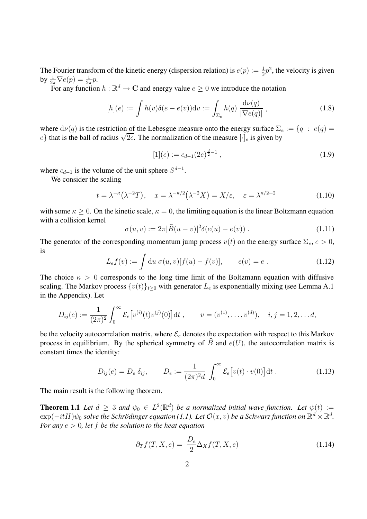The Fourier transform of the kinetic energy (dispersion relation) is  $e(p) := \frac{1}{2}p^2$ , the velocity is given by  $\frac{1}{2\pi}\nabla e(p) = \frac{1}{2\pi}p$ .

For any function  $h : \mathbb{R}^d \to \mathbb{C}$  and energy value  $e \geq 0$  we introduce the notation

$$
[h](e) := \int h(v)\delta(e - e(v))\mathrm{d}v := \int_{\Sigma_e} h(q) \frac{\mathrm{d}\nu(q)}{|\nabla e(q)|},
$$
\n(1.8)

where  $d\nu(q)$  is the restriction of the Lebesgue measure onto the energy surface  $\Sigma_e := \{q : e(q) =$ where  $d\nu(q)$  is the restriction of the Lebesgue measure onto the energy surface  $\mathbb{Z}_e$ ,  $e$  that is the ball of radius  $\sqrt{2e}$ . The normalization of the measure  $[\cdot]_e$  is given by

$$
[1](e) := c_{d-1}(2e)^{\frac{d}{2}-1}, \qquad (1.9)
$$

where  $c_{d-1}$  is the volume of the unit sphere  $S^{d-1}$ .

We consider the scaling

$$
t = \lambda^{-\kappa}(\lambda^{-2}T), \quad x = \lambda^{-\kappa/2}(\lambda^{-2}X) = X/\varepsilon, \quad \varepsilon = \lambda^{\kappa/2+2}
$$
 (1.10)

with some  $\kappa \geq 0$ . On the kinetic scale,  $\kappa = 0$ , the limiting equation is the linear Boltzmann equation with a collision kernel

$$
\sigma(u, v) := 2\pi |\widehat{B}(u - v)|^2 \delta(e(u) - e(v)).
$$
\n(1.11)

The generator of the corresponding momentum jump process  $v(t)$  on the energy surface  $\Sigma_e$ ,  $e > 0$ , is

$$
L_{e}f(v) := \int du \; \sigma(u, v)[f(u) - f(v)], \qquad e(v) = e.
$$
 (1.12)

The choice  $\kappa > 0$  corresponds to the long time limit of the Boltzmann equation with diffusive scaling. The Markov process  $\{v(t)\}_{t\geq0}$  with generator  $L_e$  is exponentially mixing (see Lemma A.1) in the Appendix). Let

$$
D_{ij}(e) := \frac{1}{(2\pi)^2} \int_0^\infty \mathcal{E}_e[v^{(i)}(t)v^{(j)}(0)] dt , \qquad v = (v^{(1)}, \dots, v^{(d)}), \quad i, j = 1, 2, \dots d,
$$

be the velocity autocorrelation matrix, where  $\mathcal{E}_e$  denotes the expectation with respect to this Markov process in equilibrium. By the spherical symmetry of  $\widehat{B}$  and  $e(U)$ , the autocorrelation matrix is constant times the identity:

$$
D_{ij}(e) = D_e \, \delta_{ij}, \qquad D_e := \frac{1}{(2\pi)^2 d} \int_0^\infty \mathcal{E}_e[v(t) \cdot v(0)] \, \mathrm{d}t \,. \tag{1.13}
$$

The main result is the following theorem.

**Theorem 1.1** *Let*  $d \geq 3$  *and*  $\psi_0 \in L^2(\mathbb{R}^d)$  *be a normalized initial wave function. Let*  $\psi(t) :=$  $\exp(-itH)\psi_0$  *solve the Schrödinger equation (1.1). Let*  $\mathcal{O}(x, v)$  *be a Schwarz function on*  $\mathbb{R}^d \times \mathbb{R}^d$ . *For any* e > 0*, let* f *be the solution to the heat equation*

$$
\partial_T f(T, X, e) = \frac{D_e}{2} \Delta_X f(T, X, e) \tag{1.14}
$$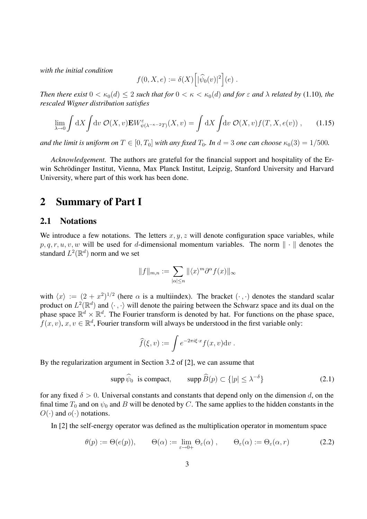*with the initial condition*

$$
f(0, X, e) := \delta(X) \Big[ |\widehat{\psi}_0(v)|^2 \Big] (e) .
$$

*Then there exist*  $0 < \kappa_0(d) \leq 2$  *such that for*  $0 < \kappa < \kappa_0(d)$  *and for*  $\varepsilon$  *and*  $\lambda$  *related by* (1.10)*, the rescaled Wigner distribution satisfies*

$$
\lim_{\lambda \to 0} \int dX \int dv \; \mathcal{O}(X, v) \mathbf{E} W_{\psi(\lambda^{-\kappa - 2}T)}^{\varepsilon}(X, v) = \int dX \int dv \; \mathcal{O}(X, v) f(T, X, e(v)), \qquad (1.15)
$$

*and the limit is uniform on*  $T \in [0, T_0]$  *with any fixed*  $T_0$ *. In*  $d = 3$  *one can choose*  $\kappa_0(3) = 1/500$ *.* 

*Acknowledgement.* The authors are grateful for the financial support and hospitality of the Erwin Schrödinger Institut, Vienna, Max Planck Institut, Leipzig, Stanford University and Harvard University, where part of this work has been done.

## **2 Summary of Part I**

#### **2.1 Notations**

We introduce a few notations. The letters  $x, y, z$  will denote configuration space variables, while  $p, q, r, u, v, w$  will be used for d-dimensional momentum variables. The norm  $\|\cdot\|$  denotes the standard  $L^2(\mathbb{R}^d)$  norm and we set

$$
||f||_{m,n} := \sum_{|\alpha| \le n} ||\langle x \rangle^m \partial^\alpha f(x)||_{\infty}
$$

with  $\langle x \rangle := (2 + x^2)^{1/2}$  (here  $\alpha$  is a multiindex). The bracket  $(\cdot, \cdot)$  denotes the standard scalar product on  $L^2(\mathbb{R}^d)$  and  $\langle \cdot, \cdot \rangle$  will denote the pairing between the Schwarz space and its dual on the phase space  $\mathbb{R}^d \times \mathbb{R}^d$ . The Fourier transform is denoted by hat. For functions on the phase space,  $f(x, v)$ ,  $x, v \in \mathbb{R}^d$ , Fourier transform will always be understood in the first variable only:

$$
\widehat{f}(\xi,v) := \int e^{-2\pi i \xi \cdot x} f(x,v) \mathrm{d}v.
$$

By the regularization argument in Section 3.2 of [2], we can assume that

$$
\text{supp}\,\hat{\psi}_0 \text{ is compact}, \qquad \text{supp}\,\hat{B}(p) \subset \{|p| \le \lambda^{-\delta}\}\tag{2.1}
$$

for any fixed  $\delta > 0$ . Universal constants and constants that depend only on the dimension d, on the final time  $T_0$  and on  $\psi_0$  and B will be denoted by C. The same applies to the hidden constants in the  $O(\cdot)$  and  $o(\cdot)$  notations.

In [2] the self-energy operator was defined as the multiplication operator in momentum space

$$
\theta(p) := \Theta(e(p)), \qquad \Theta(\alpha) := \lim_{\varepsilon \to 0+} \Theta_{\varepsilon}(\alpha) , \qquad \Theta_{\varepsilon}(\alpha) := \Theta_{\varepsilon}(\alpha, r) \tag{2.2}
$$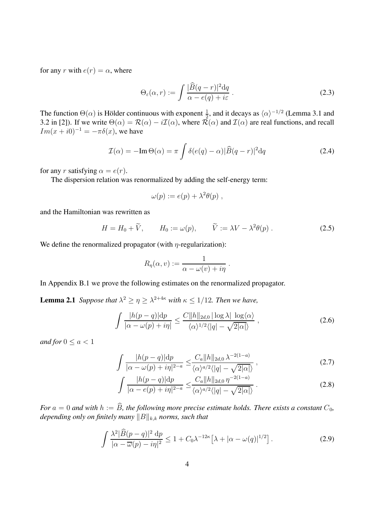for any r with  $e(r) = \alpha$ , where

$$
\Theta_{\varepsilon}(\alpha, r) := \int \frac{|\widehat{B}(q-r)|^2 dq}{\alpha - e(q) + i\varepsilon} \,. \tag{2.3}
$$

The function  $\Theta(\alpha)$  is Hölder continuous with exponent  $\frac{1}{2}$ , and it decays as  $\langle \alpha \rangle^{-1/2}$  (Lemma 3.1 and 3.2 in [2]). If we write  $\Theta(\alpha) = \mathcal{R}(\alpha) - i\mathcal{I}(\alpha)$ , where  $\mathcal{R}(\alpha)$  and  $\mathcal{I}(\alpha)$  are real functions, and recall  $Im(x + i0)^{-1} = -\pi \delta(x)$ , we have

$$
\mathcal{I}(\alpha) = -\mathrm{Im}\,\Theta(\alpha) = \pi \int \delta(e(q) - \alpha) |\widehat{B}(q - r)|^2 dq \qquad (2.4)
$$

for any r satisfying  $\alpha = e(r)$ .

The dispersion relation was renormalized by adding the self-energy term:

$$
\omega(p) := e(p) + \lambda^2 \theta(p) ,
$$

and the Hamiltonian was rewritten as

$$
H = H_0 + \widetilde{V}, \qquad H_0 := \omega(p), \qquad \widetilde{V} := \lambda V - \lambda^2 \theta(p) . \tag{2.5}
$$

We define the renormalized propagator (with  $\eta$ -regularization):

$$
R_{\eta}(\alpha, v) := \frac{1}{\alpha - \omega(v) + i\eta}.
$$

In Appendix B.1 we prove the following estimates on the renormalized propagator.

**Lemma 2.1** *Suppose that*  $\lambda^2 \geq \eta \geq \lambda^{2+4\kappa}$  *with*  $\kappa \leq 1/12$ *. Then we have,* 

$$
\int \frac{|h(p-q)|dp}{|\alpha - \omega(p) + i\eta|} \le \frac{C||h||_{2d,0} |\log \lambda| \log \langle \alpha \rangle}{\langle \alpha \rangle^{1/2} \langle |q| - \sqrt{2|\alpha|} \rangle},
$$
\n(2.6)

*and for*  $0 \le a < 1$ 

$$
\int \frac{|h(p-q)|dp}{|\alpha - \omega(p) + i\eta|^{2-a}} \leq \frac{C_a \|h\|_{2d,0} \lambda^{-2(1-a)}}{\langle \alpha \rangle^{a/2} \langle |q| - \sqrt{2|\alpha|} \rangle},\tag{2.7}
$$

$$
\int \frac{|h(p-q)| \mathrm{d}p}{|\alpha - e(p) + i\eta|^{2-a}} \leq \frac{C_a \|h\|_{2d,0} \eta^{-2(1-a)}}{\langle \alpha \rangle^{a/2} \langle |q| - \sqrt{2|\alpha|} \rangle} . \tag{2.8}
$$

*For*  $a = 0$  *and with*  $h := \widehat{B}$ *, the following more precise estimate holds. There exists a constant*  $C_0$ *,* depending only on finitely many  $\|B\|_{k,k}$  norms, such that

$$
\int \frac{\lambda^2 |\widehat{B}(p-q)|^2 \, dp}{|\alpha - \overline{\omega}(p) - i\eta|^2} \le 1 + C_0 \lambda^{-12\kappa} \left[ \lambda + |\alpha - \omega(q)|^{1/2} \right]. \tag{2.9}
$$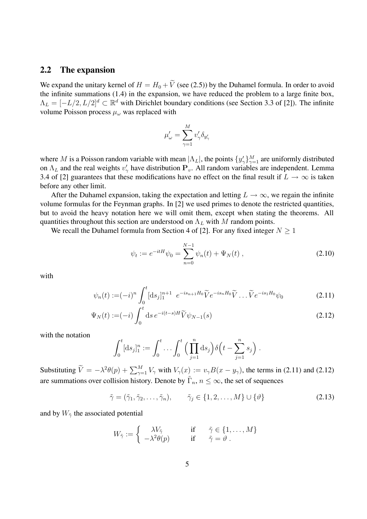#### **2.2 The expansion**

We expand the unitary kernel of  $H = H_0 + \tilde{V}$  (see (2.5)) by the Duhamel formula. In order to avoid the infinite summations (1.4) in the expansion, we have reduced the problem to a large finite box,  $\Lambda_L = [-L/2, L/2]^d \subset \mathbb{R}^d$  with Dirichlet boundary conditions (see Section 3.3 of [2]). The infinite volume Poisson process  $\mu_{\omega}$  was replaced with

$$
\mu'_\omega = \sum_{\gamma=1}^M v'_\gamma \delta_{y'_\gamma}
$$

where M is a Poisson random variable with mean  $|\Lambda_L|$ , the points  $\{y'_\gamma\}_{\gamma=1}^M$  are uniformly distributed on  $\Lambda_L$  and the real weights  $v'_\gamma$  have distribution  $P_v$ . All random variables are independent. Lemma 3.4 of [2] guarantees that these modifications have no effect on the final result if  $L \to \infty$  is taken before any other limit.

After the Duhamel expansion, taking the expectation and letting  $L \to \infty$ , we regain the infinite volume formulas for the Feynman graphs. In [2] we used primes to denote the restricted quantities, but to avoid the heavy notation here we will omit them, except when stating the theorems. All quantities throughout this section are understood on  $\Lambda_L$  with M random points.

We recall the Duhamel formula from Section 4 of [2]. For any fixed integer  $N \geq 1$ 

$$
\psi_t := e^{-itH}\psi_0 = \sum_{n=0}^{N-1} \psi_n(t) + \Psi_N(t) , \qquad (2.10)
$$

with

$$
\psi_n(t) := (-i)^n \int_0^t [\mathrm{d}s_j]_1^{n+1} \ e^{-is_{n+1}H_0} \widetilde{V} e^{-is_n H_0} \widetilde{V} \dots \widetilde{V} e^{-is_1 H_0} \psi_0 \tag{2.11}
$$

$$
\Psi_N(t) := (-i) \int_0^t ds \, e^{-i(t-s)H} \widetilde{V} \psi_{N-1}(s) \tag{2.12}
$$

with the notation

$$
\int_0^t [\mathrm{d}s_j]_1^n := \int_0^t \ldots \int_0^t \Big(\prod_{j=1}^n \mathrm{d}s_j\Big) \delta\Big(t - \sum_{j=1}^n s_j\Big).
$$

Substituting  $\widetilde{V} = -\lambda^2 \theta(p) + \sum_{\gamma=1}^M V_{\gamma}$  with  $V_{\gamma}(x) := v_{\gamma} B(x - y_{\gamma})$ , the terms in (2.11) and (2.12) are summations over collision history. Denote by  $\tilde{\Gamma}_n$ ,  $n \leq \infty$ , the set of sequences

$$
\tilde{\gamma} = (\tilde{\gamma}_1, \tilde{\gamma}_2, \dots, \tilde{\gamma}_n), \qquad \tilde{\gamma}_j \in \{1, 2, \dots, M\} \cup \{\vartheta\}
$$
\n(2.13)

and by  $W_{\tilde{\gamma}}$  the associated potential

$$
W_{\tilde{\gamma}} := \begin{cases} \lambda V_{\tilde{\gamma}} & \text{if } \tilde{\gamma} \in \{1, \dots, M\} \\ -\lambda^2 \theta(p) & \text{if } \tilde{\gamma} = \vartheta \end{cases}
$$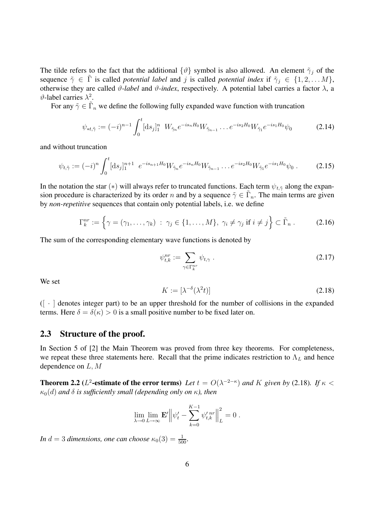The tilde refers to the fact that the additional  $\{\vartheta\}$  symbol is also allowed. An element  $\tilde{\gamma}_j$  of the sequence  $\tilde{\gamma} \in \tilde{\Gamma}$  is called *potential label* and j is called *potential index* if  $\tilde{\gamma}_j \in \{1, 2, \ldots M\}$ , otherwise they are called  $\vartheta$ -label and  $\vartheta$ -index, respectively. A potential label carries a factor  $\lambda$ , a  $θ$ -label carries  $λ^2$ .

For any  $\tilde{\gamma} \in \tilde{\Gamma}_n$  we define the following fully expanded wave function with truncation

$$
\psi_{*t,\tilde{\gamma}} := (-i)^{n-1} \int_0^t [\mathrm{d}s_j]_1^n \ W_{\tilde{\gamma}_n} e^{-is_n H_0} W_{\tilde{\gamma}_{n-1}} \dots e^{-is_2 H_0} W_{\tilde{\gamma}_1} e^{-is_1 H_0} \psi_0 \tag{2.14}
$$

and without truncation

$$
\psi_{t,\tilde{\gamma}} := (-i)^n \int_0^t [\mathrm{d}s_j]_1^{n+1} \ e^{-is_{n+1}H_0} W_{\tilde{\gamma}_n} e^{-is_n H_0} W_{\tilde{\gamma}_{n-1}} \dots e^{-is_2 H_0} W_{\tilde{\gamma}_1} e^{-is_1 H_0} \psi_0 \,. \tag{2.15}
$$

In the notation the star (\*) will always refer to truncated functions. Each term  $\psi_{t,\tilde{\gamma}}$  along the expansion procedure is characterized by its order n and by a sequence  $\tilde{\gamma} \in \Gamma_n$ . The main terms are given by *non-repetitive* sequences that contain only potential labels, i.e. we define

$$
\Gamma_k^{nr} := \left\{ \gamma = (\gamma_1, \dots, \gamma_k) \; : \; \gamma_j \in \{1, \dots, M\}, \; \gamma_i \neq \gamma_j \text{ if } i \neq j \right\} \subset \tilde{\Gamma}_n \; . \tag{2.16}
$$

The sum of the corresponding elementary wave functions is denoted by

$$
\psi_{t,k}^{nr} := \sum_{\gamma \in \Gamma_k^{nr}} \psi_{t,\gamma} \tag{2.17}
$$

We set

$$
K := \left[\lambda^{-\delta}(\lambda^2 t)\right] \tag{2.18}
$$

 $([ \cdot ]$  denotes integer part) to be an upper threshold for the number of collisions in the expanded terms. Here  $\delta = \delta(\kappa) > 0$  is a small positive number to be fixed later on.

#### **2.3 Structure of the proof.**

In Section 5 of [2] the Main Theorem was proved from three key theorems. For completeness, we repeat these three statements here. Recall that the prime indicates restriction to  $\Lambda_L$  and hence dependence on  $L, M$ 

**Theorem 2.2** ( $L^2$ -estimate of the error terms) Let  $t = O(\lambda^{-2-\kappa})$  and K given by (2.18). If  $\kappa$  <  $\kappa_0(d)$  *and*  $\delta$  *is sufficiently small (depending only on*  $\kappa$ ), then

$$
\lim_{\lambda \to 0} \lim_{L \to \infty} \mathbf{E}' \Big\| \psi'_t - \sum_{k=0}^{K-1} \psi'_{t,k}^{nr} \Big\|_{L}^{2} = 0.
$$

*In*  $d = 3$  *dimensions, one can choose*  $\kappa_0(3) = \frac{1}{500}$ *.*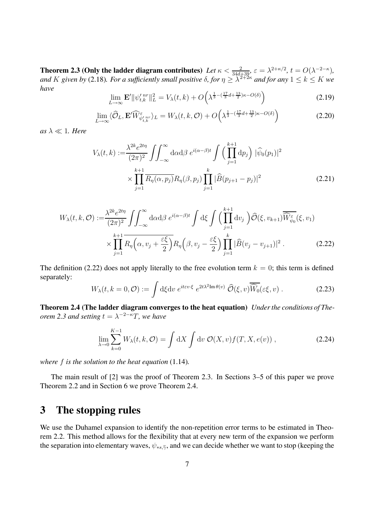**Theorem 2.3 (Only the ladder diagram contributes)** *Let*  $\kappa < \frac{2}{34d+39}$ ,  $\varepsilon = \lambda^{2+\kappa/2}$ ,  $t = O(\lambda^{-2-\kappa})$ , *and* K given by (2.18). For a sufficiently small positive  $\delta$ , for  $\eta \geq \lambda^{2+2\kappa}$  and for any  $1 \leq k \leq K$  we *have*

$$
\lim_{L \to \infty} \mathbf{E}' \|\psi_{t,k}^{\prime \, nr} \|_{L}^{2} = V_{\lambda}(t,k) + O\left(\lambda^{\frac{1}{3} - \left(\frac{17}{3}d + \frac{13}{2}\right)\kappa - O(\delta)}\right) \tag{2.19}
$$

$$
\lim_{L \to \infty} \langle \widehat{\mathcal{O}}_L, \mathbf{E}' \widehat{W}_{\psi'_{t,k}}^{\varepsilon} \rangle_L = W_{\lambda}(t,k,\mathcal{O}) + O\left(\lambda^{\frac{1}{3} - (\frac{17}{3}d + \frac{13}{2})\kappa - O(\delta)}\right)
$$
(2.20)

 $as \lambda \ll 1$ *. Here* 

$$
V_{\lambda}(t,k) := \frac{\lambda^{2k} e^{2t\eta}}{(2\pi)^2} \iint_{-\infty}^{\infty} d\alpha d\beta \ e^{i(\alpha-\beta)t} \int \left(\prod_{j=1}^{k+1} dp_j\right) |\widehat{\psi}_0(p_1)|^2
$$
  
 
$$
\times \prod_{j=1}^{k+1} \overline{R_{\eta}(\alpha, p_j)} R_{\eta}(\beta, p_j) \prod_{j=1}^{k} |\widehat{B}(p_{j+1} - p_j)|^2
$$
(2.21)

$$
W_{\lambda}(t,k,\mathcal{O}) := \frac{\lambda^{2k} e^{2t\eta}}{(2\pi)^2} \iint_{-\infty}^{\infty} d\alpha d\beta \ e^{i(\alpha-\beta)t} \int d\xi \int \left(\prod_{j=1}^{k+1} dv_j\right) \widehat{\mathcal{O}}(\xi, v_{k+1}) \overline{\widehat{W}_{\psi_0}^{\varepsilon}}(\xi, v_1)
$$

$$
\times \prod_{j=1}^{k+1} \overline{R_{\eta}\left(\alpha, v_j + \frac{\varepsilon\xi}{2}\right)} R_{\eta}\left(\beta, v_j - \frac{\varepsilon\xi}{2}\right) \prod_{j=1}^{k} |\widehat{B}(v_j - v_{j+1})|^2. \tag{2.22}
$$

The definition (2.22) does not apply literally to the free evolution term  $k = 0$ ; this term is defined separately:

$$
W_{\lambda}(t, k = 0, \mathcal{O}) := \int d\xi dv \; e^{it \varepsilon v \cdot \xi} \; e^{2t\lambda^2 \text{Im}\,\theta(v)} \; \widehat{\mathcal{O}}(\xi, v) \overline{\widehat{W}_0}(\varepsilon \xi, v) \; . \tag{2.23}
$$

**Theorem 2.4 (The ladder diagram converges to the heat equation)** *Under the conditions of Theorem 2.3 and setting*  $t = \lambda^{-2-\kappa}T$ *, we have* 

$$
\lim_{\lambda \to 0} \sum_{k=0}^{K-1} W_{\lambda}(t, k, \mathcal{O}) = \int dX \int dv \, \mathcal{O}(X, v) f(T, X, e(v)), \qquad (2.24)
$$

*where* f *is the solution to the heat equation* (1.14)*.*

The main result of [2] was the proof of Theorem 2.3. In Sections 3–5 of this paper we prove Theorem 2.2 and in Section 6 we prove Theorem 2.4.

## **3 The stopping rules**

We use the Duhamel expansion to identify the non-repetition error terms to be estimated in Theorem 2.2. This method allows for the flexibility that at every new term of the expansion we perform the separation into elementary waves,  $\psi_{*,s,\tilde{\gamma}}$ , and we can decide whether we want to stop (keeping the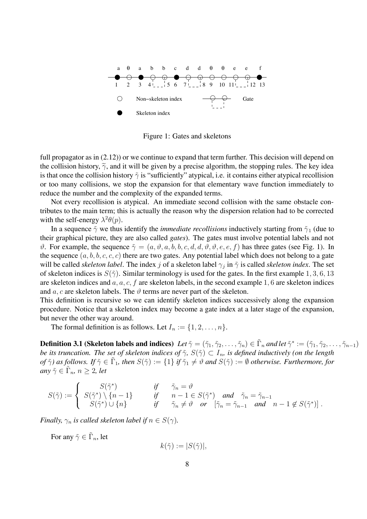

Figure 1: Gates and skeletons

full propagator as in  $(2.12)$ ) or we continue to expand that term further. This decision will depend on the collision history,  $\tilde{\gamma}$ , and it will be given by a precise algorithm, the stopping rules. The key idea is that once the collision history  $\tilde{\gamma}$  is "sufficiently" atypical, i.e. it contains either atypical recollision or too many collisions, we stop the expansion for that elementary wave function immediately to reduce the number and the complexity of the expanded terms.

Not every recollision is atypical. An immediate second collision with the same obstacle contributes to the main term; this is actually the reason why the dispersion relation had to be corrected with the self-energy  $\lambda^2 \theta(p)$ .

In a sequence  $\tilde{\gamma}$  we thus identify the *immediate recollisions* inductively starting from  $\tilde{\gamma}_1$  (due to their graphical picture, they are also called *gates*). The gates must involve potential labels and not  $\vartheta$ . For example, the sequence  $\tilde{\gamma} = (a, \vartheta, a, b, b, c, d, d, \vartheta, \vartheta, e, e, f)$  has three gates (see Fig. 1). In the sequence  $(a, b, b, c, c, c)$  there are two gates. Any potential label which does not belong to a gate will be called *skeleton label*. The index j of a skeleton label  $\gamma_i$  in  $\tilde{\gamma}$  is called *skeleton index*. The set of skeleton indices is  $S(\tilde{\gamma})$ . Similar terminology is used for the gates. In the first example 1, 3, 6, 13 are skeleton indices and  $a, a, c, f$  are skeleton labels, in the second example 1, 6 are skeleton indices and a, c are skeleton labels. The  $\vartheta$  terms are never part of the skeleton.

This definition is recursive so we can identify skeleton indices successively along the expansion procedure. Notice that a skeleton index may become a gate index at a later stage of the expansion, but never the other way around.

The formal definition is as follows. Let  $I_n := \{1, 2, \ldots, n\}.$ 

**Definition 3.1 (Skeleton labels and indices)** *Let*  $\tilde{\gamma} = (\tilde{\gamma}_1, \tilde{\gamma}_2, \dots, \tilde{\gamma}_n) \in \tilde{\Gamma}_n$  *and let*  $\tilde{\gamma}^* := (\tilde{\gamma}_1, \tilde{\gamma}_2, \dots, \tilde{\gamma}_{n-1})$ *be its truncation. The set of skeleton indices of*  $\tilde{\gamma}$ *, S*( $\tilde{\gamma}$ )  $\subset I_n$ *, is defined inductively (on the length of*  $\tilde{\gamma}$ *) as follows. If*  $\tilde{\gamma} \in \Gamma_1$ *, then*  $S(\tilde{\gamma}) := \{1\}$  *if*  $\tilde{\gamma}_1 \neq \vartheta$  *and*  $S(\tilde{\gamma}) := \varnothing$  *otherwise. Furthermore, for any*  $\tilde{\gamma} \in \tilde{\Gamma}_n$ ,  $n \geq 2$ , *let* 

$$
S(\tilde{\gamma}) := \begin{cases} S(\tilde{\gamma}^*) & \text{if } \tilde{\gamma}_n = \vartheta \\ S(\tilde{\gamma}^*) \setminus \{n-1\} & \text{if } n-1 \in S(\tilde{\gamma}^*) \text{ and } \tilde{\gamma}_n = \tilde{\gamma}_{n-1} \\ S(\tilde{\gamma}^*) \cup \{n\} & \text{if } \tilde{\gamma}_n \neq \vartheta \text{ or } [\tilde{\gamma}_n = \tilde{\gamma}_{n-1} \text{ and } n-1 \notin S(\tilde{\gamma}^*)] \end{cases}.
$$

*Finally,*  $\gamma_n$  *is called skeleton label if*  $n \in S(\gamma)$ *.* 

For any  $\tilde{\gamma} \in \tilde{\Gamma}_n$ , let

$$
k(\tilde{\gamma}) := |S(\tilde{\gamma})|,
$$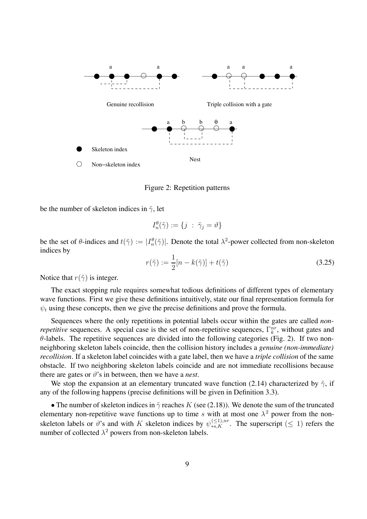

Figure 2: Repetition patterns

be the number of skeleton indices in  $\tilde{\gamma}$ , let

$$
I_n^{\theta}(\tilde{\gamma}) := \{ j \; : \; \tilde{\gamma}_j = \vartheta \}
$$

be the set of  $\theta$ -indices and  $t(\tilde{\gamma}) := |I_n^{\theta}(\tilde{\gamma})|$ . Denote the total  $\lambda^2$ -power collected from non-skeleton indices by

$$
r(\tilde{\gamma}) := \frac{1}{2}[n - k(\tilde{\gamma})] + t(\tilde{\gamma})
$$
\n(3.25)

Notice that  $r(\tilde{\gamma})$  is integer.

The exact stopping rule requires somewhat tedious definitions of different types of elementary wave functions. First we give these definitions intuitively, state our final representation formula for  $\psi_t$  using these concepts, then we give the precise definitions and prove the formula.

Sequences where the only repetitions in potential labels occur within the gates are called *nonrepetitive* sequences. A special case is the set of non-repetitive sequences,  $\Gamma_k^{nr}$ , without gates and  $\theta$ -labels. The repetitive sequences are divided into the following categories (Fig. 2). If two nonneighboring skeleton labels coincide, then the collision history includes a *genuine (non-immediate) recollision*. If a skeleton label coincides with a gate label, then we have a *triple collision* of the same obstacle. If two neighboring skeleton labels coincide and are not immediate recollisions because there are gates or  $\vartheta$ 's in between, then we have a *nest*.

We stop the expansion at an elementary truncated wave function (2.14) characterized by  $\tilde{\gamma}$ , if any of the following happens (precise definitions will be given in Definition 3.3).

• The number of skeleton indices in  $\tilde{\gamma}$  reaches K (see (2.18)). We denote the sum of the truncated elementary non-repetitive wave functions up to time s with at most one  $\lambda^2$  power from the nonskeleton labels or  $\vartheta$ 's and with K skeleton indices by  $\psi_{*,s,K}^{(\leq 1),nr}$ . The superscript ( $\leq 1$ ) refers the number of collected  $\lambda^2$  powers from non-skeleton labels.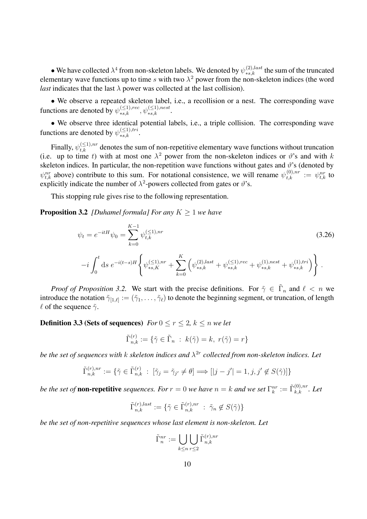• We have collected  $\lambda^4$  from non-skeleton labels. We denoted by  $\psi_{*s,k}^{(2),last}$  the sum of the truncated elementary wave functions up to time s with two  $\lambda^2$  power from the non-skeleton indices (the word *last* indicates that the last  $\lambda$  power was collected at the last collision).

• We observe a repeated skeleton label, i.e., a recollision or a nest. The corresponding wave functions are denoted by  $\psi_{*,k}^{(\leq 1),rec}, \psi_{*,k}^{(\leq 1),nest}$ .

• We observe three identical potential labels, i.e., a triple collision. The corresponding wave functions are denoted by  $\psi_{*s,k}^{(\leq 1),tri}$ .

Finally,  $\psi_{t,k}^{(\leq 1),nr}$  denotes the sum of non-repetitive elementary wave functions without truncation (i.e. up to time t) with at most one  $\lambda^2$  power from the non-skeleton indices or  $\vartheta$ 's and with k skeleton indices. In particular, the non-repetition wave functions without gates and  $\vartheta$ 's (denoted by  $\psi_{t,k}^{nr}$  above) contribute to this sum. For notational consistence, we will rename  $\psi_{t,k}^{(0),nr} := \psi_{t,k}^{nr}$  to explicitly indicate the number of  $\lambda^2$ -powers collected from gates or  $\vartheta$ 's.

This stopping rule gives rise to the following representation.

**Proposition 3.2** *[Duhamel formula] For any*  $K \geq 1$  *we have* 

$$
\psi_t = e^{-itH} \psi_0 = \sum_{k=0}^{K-1} \psi_{t,k}^{(\le 1), nr} \tag{3.26}
$$
\n
$$
-i \int_0^t ds \ e^{-i(t-s)H} \left\{ \psi_{*s,K}^{(\le 1), nr} + \sum_{k=0}^K \left( \psi_{*s,k}^{(2), last} + \psi_{*s,k}^{(\le 1), rec} + \psi_{*s,k}^{(1), nest} + \psi_{*s,k}^{(1), tri} \right) \right\}.
$$

*Proof of Proposition 3.2.* We start with the precise definitions. For  $\tilde{\gamma} \in \tilde{\Gamma}_n$  and  $\ell < n$  we introduce the notation  $\tilde{\gamma}_{[1,\ell]} := (\tilde{\gamma}_1,\ldots,\tilde{\gamma}_\ell)$  to denote the beginning segment, or truncation, of length  $\ell$  of the sequence  $\tilde{\gamma}$ .

**Definition 3.3 (Sets of sequences)** *For*  $0 \le r \le 2$ ,  $k \le n$  *we let* 

$$
\tilde{\Gamma}_{n,k}^{(r)} := \{ \tilde{\gamma} \in \tilde{\Gamma}_n \; : \; k(\tilde{\gamma}) = k, \; r(\tilde{\gamma}) = r \}
$$

*be the set of sequences with k skeleton indices and*  $\lambda^{2r}$  *collected from non-skeleton indices. Let* 

$$
\tilde{\Gamma}_{n,k}^{(r),nr} := \{ \tilde{\gamma} \in \tilde{\Gamma}_{n,k}^{(r)} : [\tilde{\gamma}_j = \tilde{\gamma}_{j'} \neq \theta] \Longrightarrow [[j - j'] = 1, j, j' \notin S(\tilde{\gamma})] \}
$$

*be the set of* **non-repetitive** *sequences. For*  $r = 0$  *we have*  $n = k$  *and we set*  $\Gamma_k^{nr} := \tilde{\Gamma}_{k,k}^{(0),nr}$ *. Let* 

$$
\tilde{\Gamma}_{n,k}^{(r),last} := \{ \tilde{\gamma} \in \tilde{\Gamma}_{n,k}^{(r),nr} \; : \; \tilde{\gamma}_n \notin S(\tilde{\gamma}) \}
$$

*be the set of non-repetitive sequences whose last element is non-skeleton. Let*

$$
\tilde{\Gamma}_n^{nr} := \bigcup_{k \le n} \bigcup_{r \le 2} \tilde{\Gamma}_{n,k}^{(r),nr}
$$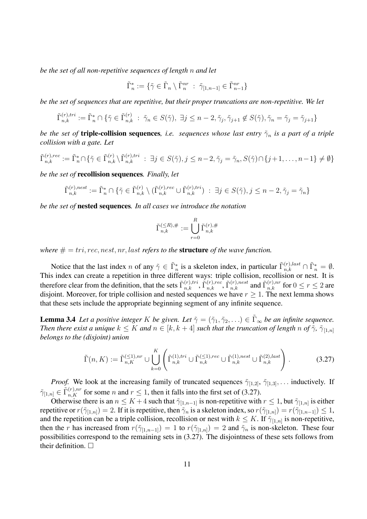*be the set of all non-repetitive sequences of length* n *and let*

$$
\tilde{\Gamma}_n^* := \{ \tilde{\gamma} \in \tilde{\Gamma}_n \setminus \tilde{\Gamma}_n^{nr} \; : \; \tilde{\gamma}_{[1,n-1]} \in \tilde{\Gamma}_{n-1}^{nr} \}
$$

*be the set of sequences that are repetitive, but their proper truncations are non-repetitive. We let*

$$
\tilde{\Gamma}_{n,k}^{(r),tri} := \tilde{\Gamma}_n^* \cap \{ \tilde{\gamma} \in \tilde{\Gamma}_{n,k}^{(r)} \; : \; \tilde{\gamma}_n \in S(\tilde{\gamma}), \; \exists j \le n-2, \tilde{\gamma}_j, \tilde{\gamma}_{j+1} \notin S(\tilde{\gamma}), \tilde{\gamma}_n = \tilde{\gamma}_j = \tilde{\gamma}_{j+1} \}
$$

*be the set of* **triple-collision sequences***, i.e. sequences whose last entry*  $\tilde{\gamma}_n$  *is a part of a triple collision with a gate. Let*

$$
\tilde{\Gamma}_{n,k}^{(r),rec} := \tilde{\Gamma}_n^* \cap \{ \tilde{\gamma} \in \tilde{\Gamma}_{n,k}^{(r)} \setminus \tilde{\Gamma}_{n,k}^{(r),tri} \; : \; \exists j \in S(\tilde{\gamma}), j \le n-2, \tilde{\gamma}_j = \tilde{\gamma}_n, S(\tilde{\gamma}) \cap \{j+1, \dots, n-1\} \neq \emptyset \}
$$

*be the set of* **recollision sequences***. Finally, let*

$$
\tilde{\Gamma}_{n,k}^{(r),nest} := \tilde{\Gamma}_n^* \cap \{ \tilde{\gamma} \in \tilde{\Gamma}_{n,k}^{(r)} \setminus (\tilde{\Gamma}_{n,k}^{(r),rec} \cup \tilde{\Gamma}_{n,k}^{(r),tri}) \; : \; \exists j \in S(\tilde{\gamma}), j \le n-2, \tilde{\gamma}_j = \tilde{\gamma}_n \}
$$

*be the set of* **nested sequences***. In all cases we introduce the notation*

$$
\tilde{\Gamma}_{n,k}^{(\leq R),\#} := \bigcup_{r=0}^{R} \tilde{\Gamma}_{n,k}^{(r),\#}
$$

*where*  $# = tri, rec, nest, nr, last refers to the structure of the wave function.$ 

Notice that the last index n of any  $\tilde{\gamma} \in \tilde{\Gamma}_n^*$  is a skeleton index, in particular  $\tilde{\Gamma}_{n,k}^{(r),last} \cap \tilde{\Gamma}_n^* = \emptyset$ . This index can create a repetition in three different ways: triple collision, recollision or nest. It is therefore clear from the definition, that the sets  $\tilde{\Gamma}^{(r),tri}_{n,k}$ ,  $\tilde{\Gamma}^{(r),rec}_{n,k}$ ,  $\tilde{\Gamma}^{(r),nest}_{n,k}$  and  $\tilde{\Gamma}^{(r),nr}_{n,k}$  for  $0 \le r \le 2$  are disjoint. Moreover, for triple collision and nested sequences we have  $r \geq 1$ . The next lemma shows that these sets include the appropriate beginning segment of any infinite sequence.

**Lemma 3.4** *Let a positive integer* K *be given. Let*  $\tilde{\gamma} = (\tilde{\gamma}_1, \tilde{\gamma}_2, \ldots) \in \tilde{\Gamma}_{\infty}$  *be an infinite sequence. Then there exist a unique*  $k \leq K$  *and*  $n \in [k, k + 4]$  *such that the truncation of length* n *of*  $\tilde{\gamma}$ ,  $\tilde{\gamma}_{[1,n]}$ *belongs to the (disjoint) union*

$$
\tilde{\Gamma}(n,K) := \tilde{\Gamma}_{n,K}^{(\leq 1),nr} \cup \bigcup_{k=0}^{K} \left( \tilde{\Gamma}_{n,k}^{(1),tri} \cup \tilde{\Gamma}_{n,k}^{(\leq 1),rec} \cup \tilde{\Gamma}_{n,k}^{(1),nest} \cup \tilde{\Gamma}_{n,k}^{(2),last} \right).
$$
\n(3.27)

*Proof.* We look at the increasing family of truncated sequences  $\tilde{\gamma}_{[1,2]}, \tilde{\gamma}_{[1,3]}, \ldots$  inductively. If  $\tilde{\gamma}_{[1,n]} \in \tilde{\Gamma}_{n,K}^{(r),nr}$  for some n and  $r \leq 1$ , then it falls into the first set of (3.27).

Otherwise there is an  $n \leq K + 4$  such that  $\tilde{\gamma}_{[1,n-1]}$  is non-repetitive with  $r \leq 1$ , but  $\tilde{\gamma}_{[1,n]}$  is either repetitive or  $r(\tilde{\gamma}_{[1,n]})=2$ . If it is repetitive, then  $\tilde{\gamma}_n$  is a skeleton index, so  $r(\tilde{\gamma}_{[1,n]}) = r(\tilde{\gamma}_{[1,n-1]}) \leq 1$ , and the repetition can be a triple collision, recollision or nest with  $k \leq K$ . If  $\tilde{\gamma}_{[1,n]}$  is non-repetitive, then the r has increased from  $r(\tilde{\gamma}_{[1,n-1]})=1$  to  $r(\tilde{\gamma}_{[1,n]})=2$  and  $\tilde{\gamma}_n$  is non-skeleton. These four possibilities correspond to the remaining sets in (3.27). The disjointness of these sets follows from their definition.  $\square$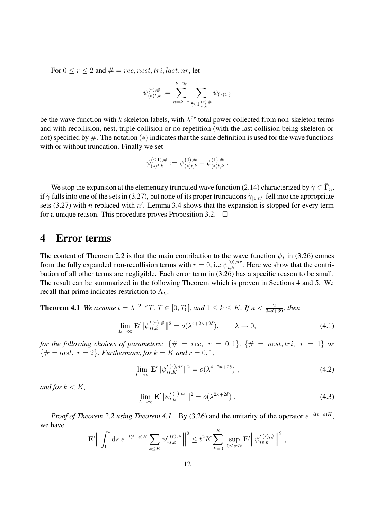For  $0 \le r \le 2$  and  $\# = rec$ , nest, tri, last, nr, let

$$
\psi_{(\ast) t, k}^{(r), \#} := \sum_{n=k+r}^{k+2r} \sum_{\tilde{\gamma} \in \tilde{\Gamma}_{n,k}^{(r), \#}} \psi_{(\ast) t, \tilde{\gamma}}
$$

be the wave function with k skeleton labels, with  $\lambda^{2r}$  total power collected from non-skeleton terms and with recollision, nest, triple collision or no repetition (with the last collision being skeleton or not) specified by  $\#$ . The notation  $(*)$  indicates that the same definition is used for the wave functions with or without truncation. Finally we set

$$
\psi^{(\leq 1),\#}_{(*)t,k}:=\psi^{(0),\#}_{(*)t,k}+\psi^{(1),\#}_{(*)t,k}.
$$

We stop the expansion at the elementary truncated wave function (2.14) characterized by  $\tilde{\gamma} \in \tilde{\Gamma}_n$ , if  $\tilde{\gamma}$  falls into one of the sets in (3.27), but none of its proper truncations  $\tilde{\gamma}_{[1,n']}$  fell into the appropriate sets (3.27) with n replaced with  $n'$ . Lemma 3.4 shows that the expansion is stopped for every term for a unique reason. This procedure proves Proposition 3.2.  $\Box$ 

## **4 Error terms**

The content of Theorem 2.2 is that the main contribution to the wave function  $\psi_t$  in (3.26) comes from the fully expanded non-recollision terms with  $r = 0$ , i.e  $\psi_{t,k}^{(0),nr}$ . Here we show that the contribution of all other terms are negligible. Each error term in (3.26) has a specific reason to be small. The result can be summarized in the following Theorem which is proven in Sections 4 and 5. We recall that prime indicates restriction to  $\Lambda_L$ .

**Theorem 4.1** *We assume*  $t = \lambda^{-2-\kappa}T$ ,  $T \in [0, T_0]$ *, and*  $1 \le k \le K$ *. If*  $\kappa < \frac{2}{34d+39}$ *, then* 

$$
\lim_{L \to \infty} \mathbf{E}' \|\psi_{\ast t, k}^{\prime (r), \#}\|^{2} = o(\lambda^{4+2\kappa+2\delta}), \qquad \lambda \to 0,
$$
\n(4.1)

*for the following choices of parameters:*  $\{\# = rec, r = 0, 1\}$ ,  $\{\# = nest, tri, r = 1\}$  *or*  $\{\# = last, r = 2\}$ *. Furthermore, for*  $k = K$  *and*  $r = 0, 1$ *,* 

$$
\lim_{L \to \infty} \mathbf{E}' ||\psi_{*t,K}^{'(r),nr}||^2 = o(\lambda^{4+2\kappa+2\delta}) , \qquad (4.2)
$$

*and for*  $k < K$ *,* 

$$
\lim_{L \to \infty} \mathbf{E}' \|\psi_{t,k}^{\prime\,(1),nr}\|^2 = o(\lambda^{2\kappa+2\delta})\ . \tag{4.3}
$$

*Proof of Theorem 2.2 using Theorem 4.1.* By (3.26) and the unitarity of the operator  $e^{-i(t-s)H}$ , we have

$$
\mathbf{E}'\Big\|\int_0^t ds \; e^{-i(t-s)H} \sum_{k\leq K} \psi'_{*s,k}^{(r),\#}\Big\|^2 \leq t^2 K \sum_{k=0}^K \sup_{0\leq s\leq t} \mathbf{E}'\Big\|\psi'_{*s,k}^{(r),\#}\Big\|^2,
$$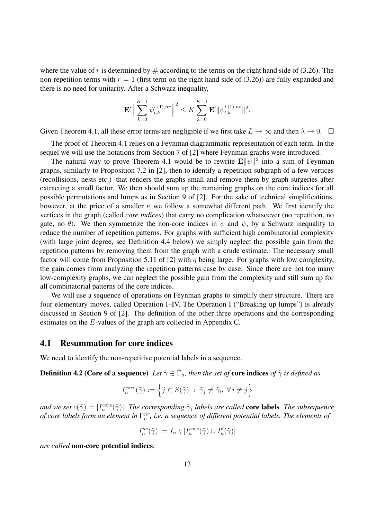where the value of r is determined by  $\#$  according to the terms on the right hand side of (3.26). The non-repetition terms with  $r = 1$  (first term on the right hand side of (3.26)) are fully expanded and there is no need for unitarity. After a Schwarz inequality,

$$
\mathbf{E}'\Big\|\sum_{k=0}^{K-1}\psi_{t,k}'^{(1),nr}\Big\|^2 \leq K\sum_{k=0}^{K-1}\mathbf{E}'\|\psi_{t,k}'^{(1),nr}\|^2.
$$

Given Theorem 4.1, all these error terms are negligible if we first take  $L \to \infty$  and then  $\lambda \to 0$ .  $\Box$ 

The proof of Theorem 4.1 relies on a Feynman diagrammatic representation of each term. In the sequel we will use the notations from Section 7 of [2] where Feynman graphs were introduced.

The natural way to prove Theorem 4.1 would be to rewrite  $\mathbf{E} \|\psi\|^2$  into a sum of Feynman graphs, similarly to Proposition 7.2 in [2], then to identify a repetition subgraph of a few vertices (recollisions, nests etc.) that renders the graphs small and remove them by graph surgeries after extracting a small factor. We then should sum up the remaining graphs on the core indices for all possible permutations and lumps as in Section 9 of [2]. For the sake of technical simplifications, however, at the price of a smaller  $\kappa$  we follow a somewhat different path. We first identify the vertices in the graph (called *core indices*) that carry no complication whatsoever (no repetition, no gate, no  $\theta$ ). We then symmetrize the non-core indices in  $\psi$  and  $\bar{\psi}$ , by a Schwarz inequality to reduce the number of repetition patterns. For graphs with sufficient high combinatorial complexity (with large joint degree, see Definition 4.4 below) we simply neglect the possible gain from the repetition patterns by removing them from the graph with a crude estimate. The necessary small factor will come from Proposition 5.11 of [2] with q being large. For graphs with low complexity, the gain comes from analyzing the repetition patterns case by case. Since there are not too many low-complexity graphs, we can neglect the possible gain from the complexity and still sum up for all combinatorial patterns of the core indices.

We will use a sequence of operations on Feynman graphs to simplify their structure. There are four elementary moves, called Operation I–IV. The Operation I ("Breaking up lumps") is already discussed in Section 9 of [2]. The definition of the other three operations and the corresponding estimates on the E-values of the graph are collected in Appendix C.

#### **4.1 Resummation for core indices**

We need to identify the non-repetitive potential labels in a sequence.

**Definition 4.2 (Core of a sequence)** *Let*  $\tilde{\gamma} \in \tilde{\Gamma}_n$ *, then the set of* **core indices** *of*  $\tilde{\gamma}$  *is defined as* 

$$
I_n^{core}(\tilde{\gamma}) := \left\{ j \in S(\tilde{\gamma}) \ : \ \tilde{\gamma}_j \neq \tilde{\gamma}_i, \ \forall \ i \neq j \right\}
$$

*and we set*  $c(\tilde{\gamma}) = |I_n^{core}(\tilde{\gamma})|$ *. The corresponding*  $\tilde{\gamma}_j$  *labels are called* **core labels***. The subsequence of core labels form an element in*  $\Gamma_c^{nr}$ , *i.e. a sequence of different potential labels. The elements of* 

$$
I_n^{nc}(\tilde{\gamma}) := I_n \setminus [I_n^{core}(\tilde{\gamma}) \cup I_n^{\theta}(\tilde{\gamma})]
$$

*are called* **non-core potential indices***.*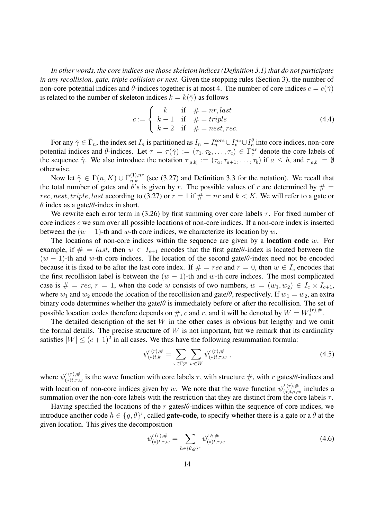*In other words, the core indices are those skeleton indices (Definition 3.1) that do not participate in any recollision, gate, triple collision or nest.* Given the stopping rules (Section 3), the number of non-core potential indices and  $\theta$ -indices together is at most 4. The number of core indices  $c = c(\tilde{\gamma})$ is related to the number of skeleton indices  $k = k(\tilde{\gamma})$  as follows

$$
c := \begin{cases} k & \text{if } # = nr, last \\ k-1 & \text{if } # = triple \\ k-2 & \text{if } # = nest, rec. \end{cases}
$$
 (4.4)

For any  $\tilde{\gamma} \in \tilde{\Gamma}_n$ , the index set  $I_n$  is partitioned as  $I_n = I_n^{core} \cup I_n^{nc} \cup I_n^{\theta}$  into core indices, non-core potential indices and  $\theta$ -indices. Let  $\tau = \tau(\tilde{\gamma}) := (\tau_1, \tau_2, \dots, \tau_c) \in \Gamma_c^{nr}$  denote the core labels of the sequence  $\tilde{\gamma}$ . We also introduce the notation  $\tau_{[a,b]} := (\tau_a, \tau_{a+1}, \ldots, \tau_b)$  if  $a \leq b$ , and  $\tau_{[a,b]} = \emptyset$ otherwise.

Now let  $\tilde{\gamma} \in \tilde{\Gamma}(n, K) \cup \tilde{\Gamma}_{n,k}^{(1),nr}$  (see (3.27) and Definition 3.3 for the notation). We recall that the total number of gates and  $\theta$ 's is given by r. The possible values of r are determined by  $\#$ rec, nest, triple, last according to (3.27) or  $r = 1$  if  $# = nr$  and  $k < K$ . We will refer to a gate or  $\theta$  index as a gate/ $\theta$ -index in short.

We rewrite each error term in (3.26) by first summing over core labels  $\tau$ . For fixed number of core indices c we sum over all possible locations of non-core indices. If a non-core index is inserted between the  $(w - 1)$ -th and w-th core indices, we characterize its location by w.

The locations of non-core indices within the sequence are given by a **location code** w. For example, if  $\# = last$ , then  $w \in I_{c+1}$  encodes that the first gate/ $\theta$ -index is located between the  $(w - 1)$ -th and w-th core indices. The location of the second gate/θ-index need not be encoded because it is fixed to be after the last core index. If  $# = rec$  and  $r = 0$ , then  $w \in I_c$  encodes that the first recollision label is between the  $(w - 1)$ -th and w-th core indices. The most complicated case is  $\# = rec$ ,  $r = 1$ , when the code w consists of two numbers,  $w = (w_1, w_2) \in I_c \times I_{c+1}$ , where  $w_1$  and  $w_2$  encode the location of the recollision and gate/ $\theta$ , respectively. If  $w_1 = w_2$ , an extra binary code determines whether the gate/ $\theta$  is immediately before or after the recollision. The set of possible location codes therefore depends on #, c and r, and it will be denoted by  $W = W_c^{(r),#}$ .

The detailed description of the set  $W$  in the other cases is obvious but lengthy and we omit the formal details. The precise structure of  $W$  is not important, but we remark that its cardinality satisfies  $|W| \leq (c+1)^2$  in all cases. We thus have the following resummation formula:

$$
\psi_{(*)t,k}^{\prime (r),\#} = \sum_{\tau \in \Gamma_c^{nr}} \sum_{w \in W} \psi_{(*)t,\tau,w}^{\prime (r),\#} \,, \tag{4.5}
$$

where  $\psi'^{(r),\#}_{(*)t,\tau,w}$  is the wave function with core labels  $\tau$ , with structure  $\#$ , with r gates/ $\theta$ -indices and with location of non-core indices given by w. We note that the wave function  $\psi_{(*)t,\tau,w}^{(r),\#}$  includes a summation over the non-core labels with the restriction that they are distinct from the core labels  $\tau$ .

Having specified the locations of the r gates/ $\theta$ -indices within the sequence of core indices, we introduce another code  $h \in \{g, \theta\}^r$ , called **gate-code**, to specify whether there is a gate or a  $\theta$  at the given location. This gives the decomposition

$$
\psi_{(*)t,\tau,w}^{\prime (r),\#} = \sum_{h \in \{\theta,g\}^r} \psi_{(*)t,\tau,w}^{\prime \, h,\#} \tag{4.6}
$$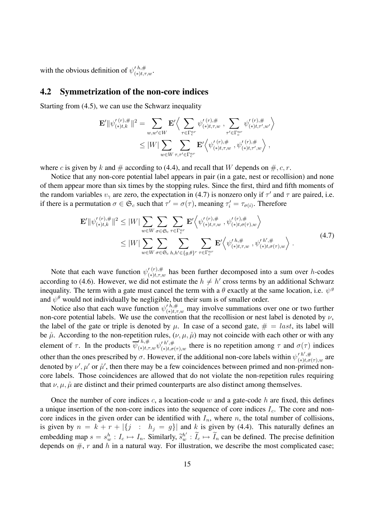with the obvious definition of  $\psi_{(*)t,\tau,w}^{\prime h,\#}$ .

#### **4.2 Symmetrization of the non-core indices**

Starting from (4.5), we can use the Schwarz inequality

$$
\mathbf{E}' \|\psi_{(*)t,k}^{\prime(r),\#}\|^{2} = \sum_{w,w'\in W} \mathbf{E}' \Big\langle \sum_{\tau \in \Gamma_c^{nr}} \psi_{(*)t,\tau,w}^{\prime(r),\#}, \sum_{\tau' \in \Gamma_c^{nr}} \psi_{(*)t,\tau',w'}^{\prime(r),\#} \Big\rangle \leq |W| \sum_{w \in W} \sum_{\tau,\tau' \in \Gamma_c^{nr}} \mathbf{E}' \Big\langle \psi_{(*)t,\tau,w}^{\prime(r),\#}, \psi_{(*)t,\tau',w}^{\prime(r),\#} \Big\rangle,
$$

where c is given by k and  $\#$  according to (4.4), and recall that W depends on  $\#, c, r$ .

Notice that any non-core potential label appears in pair (in a gate, nest or recollision) and none of them appear more than six times by the stopping rules. Since the first, third and fifth moments of the random variables  $v_{\gamma}$  are zero, the expectation in (4.7) is nonzero only if  $\tau'$  and  $\tau$  are paired, i.e. if there is a permutation  $\sigma \in \mathfrak{S}_c$  such that  $\tau' = \sigma(\tau)$ , meaning  $\tau'_i = \tau_{\sigma(i)}$ . Therefore

$$
\mathbf{E}' \|\psi_{(\ast) t,k}^{\prime(r),\#}\|^{2} \leq |W| \sum_{w \in W} \sum_{\sigma \in \mathfrak{S}_{c}} \sum_{\tau \in \Gamma_{c}^{nr}} \mathbf{E}' \Big\langle \psi_{(\ast) t,\tau,w}^{\prime(r),\#}, \psi_{(\ast) t,\sigma(\tau),w}^{\prime(r),\#} \Big\rangle \leq |W| \sum_{w \in W} \sum_{\sigma \in \mathfrak{S}_{c}} \sum_{h,h' \in \{g,\theta\}^{r}} \sum_{\tau \in \Gamma_{c}^{nr}} \mathbf{E}' \Big\langle \psi_{(\ast) t,\tau,w}^{\prime h,\#}, \psi_{(\ast) t,\sigma(\tau),w}^{\prime h',\#} \Big\rangle.
$$
\n(4.7)

Note that each wave function  $\psi_{(*)t,\tau,w}^{(r),\#}$  has been further decomposed into a sum over h-codes according to (4.6). However, we did not estimate the  $h \neq h'$  cross terms by an additional Schwarz inequality. The term with a gate must cancel the term with a  $\theta$  exactly at the same location, i.e.  $\psi^g$ and  $\psi^{\theta}$  would not individually be negligible, but their sum is of smaller order.

Notice also that each wave function  $\psi'^{h,\#}_{(*)t,\tau,w}$  may involve summations over one or two further non-core potential labels. We use the convention that the recollision or nest label is denoted by  $\nu$ , the label of the gate or triple is denoted by  $\mu$ . In case of a second gate,  $\# = last$ , its label will be  $\hat{\mu}$ . According to the non-repetition rules,  $(\nu, \mu, \hat{\mu})$  may not coincide with each other or with any element of  $\tau$ . In the products  $\overline{\psi}_{(*)t,\tau,w}^{\prime h,\#} \psi_{(*)t,\sigma(\tau),w}^{\prime h',\#}$  there is no repetition among  $\tau$  and  $\sigma(\tau)$  indices other than the ones prescribed by  $\sigma$ . However, if the additional non-core labels within  $\psi'^{h',\#}_{(*)\sigma}$  $\frac{r}{(*)t,\sigma(\tau),w}$  are denoted by  $\nu', \mu'$  or  $\mu'$ , then there may be a few coincidences between primed and non-primed noncore labels. Those coincidences are allowed that do not violate the non-repetition rules requiring that  $\nu, \mu, \hat{\mu}$  are distinct and their primed counterparts are also distinct among themselves.

Once the number of core indices  $c$ , a location-code w and a gate-code h are fixed, this defines a unique insertion of the non-core indices into the sequence of core indices  $I_c$ . The core and noncore indices in the given order can be identified with  $I_n$ , where n, the total number of collisions, is given by  $n = k + r + |\{j : h_j = g\}|$  and k is given by (4.4). This naturally defines an embedding map  $s = s_w^h : I_c \mapsto I_n$ . Similarly,  $\tilde{s}_w^h' : I_c \mapsto I_n$  can be defined. The precise definition depends on  $\#$ , r and h in a natural way. For illustration, we describe the most complicated case;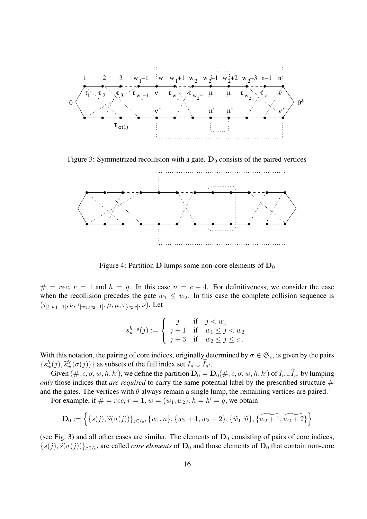

Figure 3: Symmetrized recollision with a gate.  $D_0$  consists of the paired vertices



Figure 4: Partition **D** lumps some non-core elements of  $D_0$ 

 $# = rec, r = 1$  and  $h = g$ . In this case  $n = c + 4$ . For definitiveness, we consider the case when the recollision precedes the gate  $w_1 \leq w_2$ . In this case the complete collision sequence is  $(\tau_{[1,w_1-1]}, \nu, \tau_{[w_1,w_2-1]}, \mu, \mu, \tau_{[w_2,c]}, \nu)$ . Let

$$
s_w^{h=g}(j) := \begin{cases} j & \text{if} \quad j < w_1 \\ j+1 & \text{if} \quad w_1 \leq j < w_2 \\ j+3 & \text{if} \quad w_2 \leq j \leq c \end{cases}.
$$

With this notation, the pairing of core indices, originally determined by  $\sigma \in \mathfrak{S}_c$ , is given by the pairs  $\{s_w^h(j), \tilde{s}_w^{h'}(\sigma(j))\}$  as subsets of the full index set  $I_n \cup I_{n'}$ .

Given  $(\#, c, \sigma, w, h, h')$ , we define the partition  $D_0 = D_0(\#, c, \sigma, w, h, h')$  of  $I_n \cup I_{n'}$  by lumping *only* those indices that *are required* to carry the same potential label by the prescribed structure  $#$ and the gates. The vertices with  $\theta$  always remain a single lump, the remaining vertices are paired.

For example, if  $# = rec, r = 1, w = (w_1, w_2), h = h' = g$ , we obtain

$$
\mathbf{D}_0 := \left\{ \{s(j), \widetilde{s}(\sigma(j))\}_{j \in I_c}, \{w_1, n\}, \{w_2 + 1, w_2 + 2\}, \{\widetilde{w}_1, \widetilde{n}\}, \{\widetilde{w_2 + 1}, \widetilde{w_2 + 2}\} \right\}
$$

(see Fig. 3) and all other cases are similar. The elements of  $D_0$  consisting of pairs of core indices,  ${s(j), \tilde{s}(\sigma(j))}_{i \in I_c}$ , are called *core elements* of  $D_0$  and those elements of  $D_0$  that contain non-core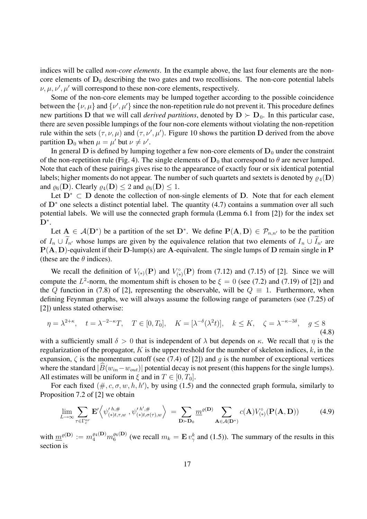indices will be called *non-core elements*. In the example above, the last four elements are the noncore elements of  $D_0$  describing the two gates and two recollisions. The non-core potential labels  $\nu, \mu, \nu', \mu'$  will correspond to these non-core elements, respectively.

Some of the non-core elements may be lumped together according to the possible coincidence between the  $\{\nu,\mu\}$  and  $\{\nu',\mu'\}$  since the non-repetition rule do not prevent it. This procedure defines new partitions **D** that we will call *derived partitions*, denoted by  $D \succ D_0$ . In this particular case, there are seven possible lumpings of the four non-core elements without violating the non-repetition rule within the sets  $(\tau, \nu, \mu)$  and  $(\tau, \nu', \mu')$ . Figure 10 shows the partition **D** derived from the above partition  $D_0$  when  $\mu = \mu'$  but  $\nu \neq \nu'$ .

In general  $D$  is defined by lumping together a few non-core elements of  $D_0$  under the constraint of the non-repetition rule (Fig. 4). The single elements of  $D_0$  that correspond to  $\theta$  are never lumped. Note that each of these pairings gives rise to the appearance of exactly four or six identical potential labels; higher moments do not appear. The number of such quartets and sextets is denoted by  $\rho_4(D)$ and  $\rho_6(D)$ . Clearly  $\rho_4(D) \leq 2$  and  $\rho_6(D) \leq 1$ .

Let **D**<sup>∗</sup> ⊂ **D** denote the collection of non-single elements of **D**. Note that for each element of **D**<sup>∗</sup> one selects a distinct potential label. The quantity (4.7) contains a summation over all such potential labels. We will use the connected graph formula (Lemma 6.1 from [2]) for the index set **D**<sup>∗</sup>.

Let  $A \in \mathcal{A}(\mathbf{D}^*)$  be a partition of the set  $\mathbf{D}^*$ . We define  $\mathbf{P}(\mathbf{A}, \mathbf{D}) \in \mathcal{P}_{n,n'}$  to be the partition of  $I_n \cup I_{n'}$  whose lumps are given by the equivalence relation that two elements of  $I_n \cup I_{n'}$  are **P**(**A**, **D**)-equivalent if their **D**-lump(s) are **A**-equivalent. The single lumps of **D** remain single in **P** (these are the  $\theta$  indices).

We recall the definition of  $V_{(*)}(\mathbf{P})$  and  $V_{(*)}^{\circ}(\mathbf{P})$  from (7.12) and (7.15) of [2]. Since we will compute the  $L^2$ -norm, the momentum shift is chosen to be  $\xi = 0$  (see (7.2) and (7.19) of [2]) and the Q function in (7.8) of [2], representing the observable, will be  $Q \equiv 1$ . Furthermore, when defining Feynman graphs, we will always assume the following range of parameters (see (7.25) of [2]) unless stated otherwise:

$$
\eta = \lambda^{2+\kappa}, \quad t = \lambda^{-2-\kappa} T, \quad T \in [0, T_0], \quad K = [\lambda^{-\delta}(\lambda^2 t)], \quad k \le K, \quad \zeta = \lambda^{-\kappa - 3\delta}, \quad g \le 8
$$
\n(4.8)

with a sufficiently small  $\delta > 0$  that is independent of  $\lambda$  but depends on  $\kappa$ . We recall that  $\eta$  is the regularization of the propagator,  $K$  is the upper treshold for the number of skeleton indices,  $k$ , in the expansion,  $\zeta$  is the momentum cutoff (see (7.4) of [2]) and g is the number of exceptional vertices where the standard  $|\widehat{B}(w_{in}-w_{out})|$  potential decay is not present (this happens for the single lumps). All estimates will be uniform in  $\xi$  and in  $T \in [0, T_0]$ .

For each fixed  $(\#, c, \sigma, w, h, h')$ , by using (1.5) and the connected graph formula, similarly to Proposition 7.2 of [2] we obtain

$$
\lim_{L \to \infty} \sum_{\tau \in \Gamma_c^{nr}} \mathbf{E}' \left\langle \psi_{(*)t,\tau,w}^{\prime h,\#}, \psi_{(*)t,\sigma(\tau),w}^{\prime h',\#} \right\rangle = \sum_{\mathbf{D} \succ \mathbf{D}_0} \underline{m}^{\varrho(\mathbf{D})} \sum_{\mathbf{A} \in \mathcal{A}(\mathbf{D}^*)} c(\mathbf{A}) V_{(*)}^{\circ}(\mathbf{P}(\mathbf{A}, \mathbf{D})) \tag{4.9}
$$

with  $\underline{m}^{\rho(\mathbf{D})} := m_4^{\rho_4(\mathbf{D})} m_6^{\rho_6(\mathbf{D})}$  (we recall  $m_k = \mathbf{E} v_\gamma^k$  and (1.5)). The summary of the results in this section is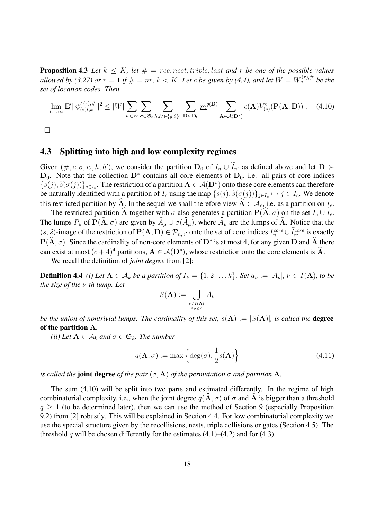**Proposition 4.3** Let  $k \leq K$ , let  $\# = rec$ , nest, triple, last and r be one of the possible values *allowed by (3.27) or*  $r = 1$  *if*  $\# = nr$ *,*  $k < K$ *. Let c be given by (4.4), and let*  $W = W_c^{(r), \#}$  *be the set of location codes. Then*

$$
\lim_{L \to \infty} \mathbf{E}' \|\psi_{(\ast) t, k}^{\prime (r), \#}\|^{2} \leq |W| \sum_{w \in W} \sum_{\sigma \in \mathfrak{S}_{c}} \sum_{h, h' \in \{g, \theta\}^{r}} \sum_{\mathbf{D} \succ \mathbf{D}_{0}} \underline{m}^{\varrho(\mathbf{D})} \sum_{\mathbf{A} \in \mathcal{A}(\mathbf{D}^{*})} c(\mathbf{A}) V_{(\ast)}^{\circ}(\mathbf{P}(\mathbf{A}, \mathbf{D})) . \tag{4.10}
$$

 $\Box$ 

#### **4.3 Splitting into high and low complexity regimes**

Given  $(\#, c, \sigma, w, h, h')$ , we consider the partition  $D_0$  of  $I_n \cup I_{n'}$  as defined above and let  $D \succ$ **D**<sub>0</sub>. Note that the collection  $D^*$  contains all core elements of  $D_0$ , i.e. all pairs of core indices  ${s(j), \tilde{s}(\sigma(j))}_{j \in I_c}$ . The restriction of a partition  $A \in \mathcal{A}(D^*)$  onto these core elements can therefore be naturally identified with a partition of  $I_c$  using the map  $\{s(j), \tilde{s}(\sigma(j))\}_{j \in I_c} \mapsto j \in I_c$ . We denote this restricted partition by  $\hat{A}$ . In the sequel we shall therefore view  $\hat{A} \in A_c$ , i.e. as a partition on  $I_c$ .

The restricted partition **A** together with  $\sigma$  also generates a partition  $P(A, \sigma)$  on the set  $I_c \cup I_c$ . The lumps  $P_\mu$  of  $\mathbf{P}(\hat{\mathbf{A}}, \sigma)$  are given by  $\widehat{A}_\mu \cup \sigma(\widehat{A}_\mu)$ , where  $\widehat{A}_\mu$  are the lumps of  $\widehat{\mathbf{A}}$ . Notice that the  $(s, \tilde{s})$ -image of the restriction of  $\mathbf{P}(\mathbf{A}, \mathbf{D}) \in \mathcal{P}_{n,n'}$  onto the set of core indices  $I_n^{core} \cup I_n^{core}$  is exactly  $P(\hat{A}, \sigma)$ . Since the cardinality of non-core elements of  $D^*$  is at most 4, for any given  $\hat{D}$  and  $\hat{A}$  there can exist at most  $(c+4)^4$  partitions,  $A \in \mathcal{A}(\mathbf{D}^*)$ , whose restriction onto the core elements is  $\hat{A}$ .

We recall the definition of *joint degree* from [2]:

**Definition 4.4** *(i) Let*  $A \in \mathcal{A}_k$  *be a partition of*  $I_k = \{1, 2, \ldots, k\}$ *. Set*  $a_\nu := |A_\nu|$ *,*  $\nu \in I(A)$ *, to be the size of the* ν*-th lump. Let*

$$
S(\mathbf{A}) := \bigcup_{\substack{\nu \in I(\mathbf{A}) \\ a_{\nu} \ge 2}} A_{\nu}
$$

*be the union of nontrivial lumps. The cardinality of this set,*  $s(A) := |S(A)|$ *, is called the degree* **of the partition A***.*

*(ii)* Let  $A \in A_k$  *and*  $\sigma \in \mathfrak{S}_k$ *. The number* 

$$
q(\mathbf{A}, \sigma) := \max \left\{ \deg(\sigma), \frac{1}{2}s(\mathbf{A}) \right\}
$$
 (4.11)

*is called the joint degree of the pair*  $(\sigma, \mathbf{A})$  *of the permutation*  $\sigma$  *and partition* **A***.* 

The sum (4.10) will be split into two parts and estimated differently. In the regime of high combinatorial complexity, i.e., when the joint degree  $q(\mathbf{A}, \sigma)$  of  $\sigma$  and  $\mathbf{A}$  is bigger than a threshold  $q > 1$  (to be determined later), then we can use the method of Section 9 (especially Proposition 9.2) from [2] robustly. This will be explained in Section 4.4. For low combinatorial complexity we use the special structure given by the recollisions, nests, triple collisions or gates (Section 4.5). The threshold q will be chosen differently for the estimates  $(4.1)$ – $(4.2)$  and for  $(4.3)$ .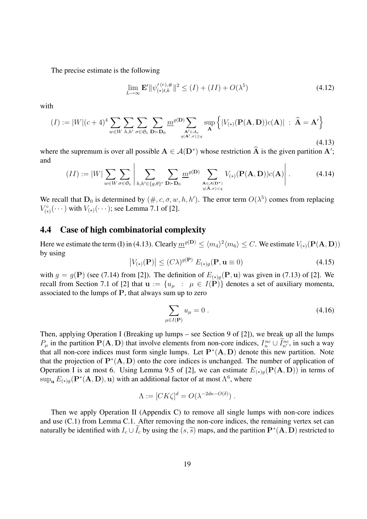The precise estimate is the following

$$
\lim_{L \to \infty} \mathbf{E}' \|\psi_{(\ast) t, k}'^{(r), \#}\|^2 \le (I) + (II) + O(\lambda^5)
$$
\n(4.12)

with

$$
(I) := |W|(c+4)^4 \sum_{w \in W} \sum_{h,h'} \sum_{\sigma \in \mathfrak{S}_c} \sum_{\mathbf{D} \succ \mathbf{D}_0} \underline{m}^{\varrho(\mathbf{D})} \sum_{\substack{\mathbf{A}' \in \mathcal{A}_c \\ q(\mathbf{A}',\sigma) \ge q}} \sup_{\mathbf{A}} \left\{ |V_{(*)}(\mathbf{P}(\mathbf{A}, \mathbf{D}))c(\mathbf{A})| : \widehat{\mathbf{A}} = \mathbf{A}' \right\}
$$
\n(4.13)

where the supremum is over all possible  $A \in \mathcal{A}(D^*)$  whose restriction A is the given partition A'; and

$$
(II) := |W| \sum_{w \in W} \sum_{\sigma \in \mathfrak{S}_c} \left| \sum_{h, h' \in \{g, \theta\}^r} \sum_{\mathbf{D} \succ \mathbf{D}_0} \underline{m}^{\varrho(\mathbf{D})} \sum_{\substack{\mathbf{A} \in \mathcal{A}(\mathbf{D}^*) \\ q(\hat{\mathbf{A}}, \sigma) < q}} V_{(*)}(\mathbf{P}(\mathbf{A}, \mathbf{D})) c(\mathbf{A}) \right|.
$$
 (4.14)

We recall that  $D_0$  is determined by  $(\#, c, \sigma, w, h, h')$ . The error term  $O(\lambda^5)$  comes from replacing  $V_{(*)}^{\circ}(\cdots)$  with  $V_{(*)}(\cdots)$ ; see Lemma 7.1 of [2].

#### **4.4 Case of high combinatorial complexity**

Here we estimate the term (I) in (4.13). Clearly  $m^{(\mathcal{D})} \leq \langle m_4 \rangle^2 \langle m_6 \rangle \leq C$ . We estimate  $V_{(*)}(\mathbf{P}(\mathbf{A}, \mathbf{D}))$ by using

$$
\left|V_{(*)}(\mathbf{P})\right| \le (C\lambda)^{g(\mathbf{P})} E_{(*)g}(\mathbf{P}, \mathbf{u} \equiv 0) \tag{4.15}
$$

with  $g = g(\mathbf{P})$  (see (7.14) from [2]). The definition of  $E_{(*)g}(\mathbf{P}, \mathbf{u})$  was given in (7.13) of [2]. We recall from Section 7.1 of [2] that  $\mathbf{u} := \{u_{\mu} : \mu \in I(\mathbf{P})\}$  denotes a set of auxiliary momenta, associated to the lumps of **P**, that always sum up to zero

$$
\sum_{\mu \in I(\mathbf{P})} u_{\mu} = 0 \tag{4.16}
$$

Then, applying Operation I (Breaking up lumps – see Section 9 of [2]), we break up all the lumps  $P_{\mu}$  in the partition  $P(A, D)$  that involve elements from non-core indices,  $I_n^{nc} \cup I_{n'}^{nc}$ , in such a way that all non-core indices must form single lumps. Let  $P^*(A, D)$  denote this new partition. Note that the projection of  $P^*(A, D)$  onto the core indices is unchanged. The number of application of Operation I is at most 6. Using Lemma 9.5 of [2], we can estimate  $E_{(*)g}(\mathbf{P}(\mathbf{A}, \mathbf{D}))$  in terms of  $\sup_{\mathbf{u}} E_{(*)g}(\mathbf{P}^*(\mathbf{A}, \mathbf{D}), \mathbf{u})$  with an additional factor of at most  $\Lambda^6$ , where

$$
\Lambda := [CK\zeta]^d = O(\lambda^{-2d\kappa - O(\delta)}) \ .
$$

Then we apply Operation II (Appendix C) to remove all single lumps with non-core indices and use (C.1) from Lemma C.1. After removing the non-core indices, the remaining vertex set can naturally be identified with  $I_c \cup I_c$  by using the  $(s, \tilde{s})$  maps, and the partition  $\mathbf{P}^*(\mathbf{A}, \mathbf{D})$  restricted to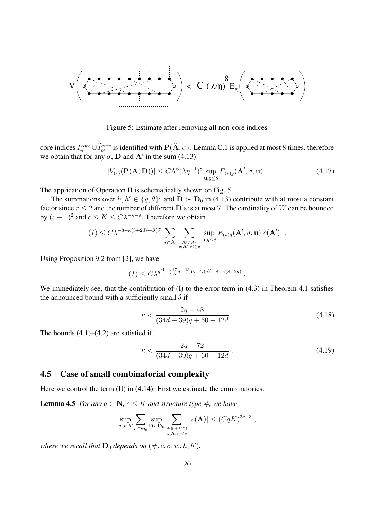

Figure 5: Estimate after removing all non-core indices

core indices  $I_n^{core} \cup I_{n'}^{core}$  is identified with  $\mathbf{P}(\mathbf{A}, \sigma)$ . Lemma C.1 is applied at most 8 times, therefore we obtain that for any  $\sigma$ , **D** and **A**' in the sum (4.13):

$$
|V_{(*)}(\mathbf{P}(\mathbf{A}, \mathbf{D}))| \le C\Lambda^6 (\lambda \eta^{-1})^8 \sup_{\mathbf{u}, g \le 8} E_{(*)g}(\mathbf{A}', \sigma, \mathbf{u}) . \tag{4.17}
$$

The application of Operation II is schematically shown on Fig. 5.

The summations over  $h, h' \in \{g, \theta\}^r$  and  $\mathbf{D} \succ \mathbf{D}_0$  in (4.13) contribute with at most a constant factor since  $r \leq 2$  and the number of different **D**'s is at most 7. The cardinality of W can be bounded by  $(c+1)^2$  and  $c \le K \le C\lambda^{-\kappa-\delta}$ . Therefore we obtain

$$
(I) \leq C\lambda^{-8-\kappa(8+2d)-O(\delta)} \sum_{\sigma \in \mathfrak{S}_c} \sum_{\substack{\mathbf{A}' \in \mathcal{A}_c \\ q(\mathbf{A}',\sigma) \geq q}} \sup_{\mathbf{u},g \leq 8} E_{(*)g}(\mathbf{A}',\sigma,\mathbf{u}) |c(\mathbf{A}')|.
$$

Using Proposition 9.2 from [2], we have

$$
(I) \le C\lambda^{q[\frac{1}{3}-(\frac{17}{3}d+\frac{13}{2})\kappa - O(\delta)] - 8 - \kappa(8+2d)}.
$$

We immediately see, that the contribution of (I) to the error term in  $(4.3)$  in Theorem 4.1 satisfies the announced bound with a sufficiently small  $\delta$  if

$$
\kappa < \frac{2q - 48}{(34d + 39)q + 60 + 12d} \tag{4.18}
$$

The bounds  $(4.1)$ – $(4.2)$  are satisfied if

$$
\kappa < \frac{2q - 72}{(34d + 39)q + 60 + 12d} \tag{4.19}
$$

#### **4.5 Case of small combinatorial complexity**

Here we control the term (II) in (4.14). First we estimate the combinatorics.

**Lemma 4.5** *For any*  $q \in \mathbb{N}$ *,*  $c \leq K$  *and structure type*  $\#$ *, we have* 

$$
\sup_{w,h,h'} \sum_{\sigma \in \mathfrak{S}_c} \sup_{\mathbf{D} \succ \mathbf{D}_0} \sum_{\substack{\mathbf{A} \in \mathcal{A}(\mathbf{D}^*) \\ q(\hat{\mathbf{A}}, \sigma) < q}} |c(\mathbf{A})| \leq (CqK)^{3q+3} \;,
$$

*where we recall that*  $\mathbf{D}_0$  *depends on*  $(\#, c, \sigma, w, h, h').$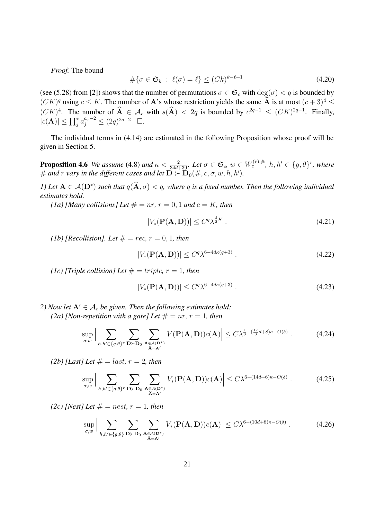*Proof.* The bound

$$
\#\{\sigma \in \mathfrak{S}_k \; : \; \ell(\sigma) = \ell\} \le (Ck)^{k-\ell+1} \tag{4.20}
$$

(see (5.28) from [2]) shows that the number of permutations  $\sigma \in \mathfrak{S}_c$  with  $\deg(\sigma) < q$  is bounded by  $(CK)^q$  using  $c \leq K$ . The number of **A**'s whose restriction yields the same  $\widehat{A}$  is at most  $(c+3)^4 \leq$  $(CK)^4$ . The number of  $\mathbf{A} \in \mathcal{A}_c$  with  $s(\mathbf{A}) < 2q$  is bounded by  $c^{2q-1} \leq (CK)^{2q-1}$ . Finally,  $|c(\mathbf{A})| \le \prod_{j}^{*} a_j^{a_j - 2} \le (2q)^{2q - 2} \quad \Box.$ 

The individual terms in (4.14) are estimated in the following Proposition whose proof will be given in Section 5.

**Proposition 4.6** *We assume* (4.8) *and*  $\kappa < \frac{2}{34d+39}$ *. Let*  $\sigma \in \mathfrak{S}_c$ *,*  $w \in W_c^{(r), \#}$ *, h, h'*  $\in \{g, \theta\}^r$ *, where*  $\#$  and  $r$  vary in the different cases and let  $\mathbf{D} \succ \mathbf{D}_0(\#, c, \sigma, w, h, h').$ 

*1)* Let  $A \in \mathcal{A}(D^*)$  *such that*  $q(\widehat{A}, \sigma) < q$ *, where* q *is a fixed number. Then the following individual estimates hold.*

*(1a) [Many collisions] Let*  $# = nr$ ,  $r = 0, 1$  *and*  $c = K$ *, then* 

$$
|V_*(\mathbf{P}(\mathbf{A}, \mathbf{D}))| \le C^q \lambda^{\frac{\delta}{2}K} \tag{4.21}
$$

*(1b) [Recollision]. Let*  $# = rec, r = 0, 1$ *, then* 

$$
|V_*(\mathbf{P}(\mathbf{A}, \mathbf{D}))| \le C^q \lambda^{6-4d\kappa(q+3)}.
$$
\n(4.22)

*(1c) [Triple collision] Let*  $# = triple, r = 1, then$ 

$$
|V_*(\mathbf{P}(\mathbf{A}, \mathbf{D}))| \le C^q \lambda^{6-4d\kappa(q+3)}.
$$
\n(4.23)

*2) Now let*  $A' \in A_c$  *be given. Then the following estimates hold: (2a) [Non-repetition with a gate] Let*  $# = nr$ ,  $r = 1$ *, then* 

$$
\sup_{\sigma,w} \Big| \sum_{h,h' \in \{g,\theta\}^r} \sum_{\mathbf{D} \succ \mathbf{D}_0} \sum_{\substack{\mathbf{A} \in \mathcal{A}(\mathbf{D}^*) \\ \hat{\mathbf{A}} = \mathbf{A}^{\prime}}} V(\mathbf{P}(\mathbf{A}, \mathbf{D})) c(\mathbf{A}) \Big| \leq C \lambda^{\frac{1}{3} - (\frac{17}{3}d + 8)\kappa - O(\delta)} \,. \tag{4.24}
$$

*(2b) [Last] Let*  $# = last, r = 2, then$ 

$$
\sup_{\sigma,w} \Big| \sum_{h,h' \in \{g,\theta\}^r} \sum_{\mathbf{D} \succ \mathbf{D}_0} \sum_{\substack{\mathbf{A} \in \mathcal{A}(\mathbf{D}^*) \\ \tilde{\mathbf{A}} = \mathbf{A}^{\prime}}} V_*(\mathbf{P}(\mathbf{A}, \mathbf{D})) c(\mathbf{A}) \Big| \le C\lambda^{6-(14d+6)\kappa - O(\delta)} \ . \tag{4.25}
$$

*(2c)* [Nest] Let  $\# = nest, r = 1, then$ 

$$
\sup_{\sigma,w} \Big| \sum_{h,h' \in \{g,\theta\}} \sum_{\mathbf{D} \succ \mathbf{D}_0} \sum_{\substack{\mathbf{A} \in \mathcal{A}(\mathbf{D}^*) \\ \hat{\mathbf{A}} = \mathbf{A}'}} V_*(\mathbf{P}(\mathbf{A}, \mathbf{D}))c(\mathbf{A}) \Big| \le C\lambda^{6-(10d+8)\kappa - O(\delta)} \,. \tag{4.26}
$$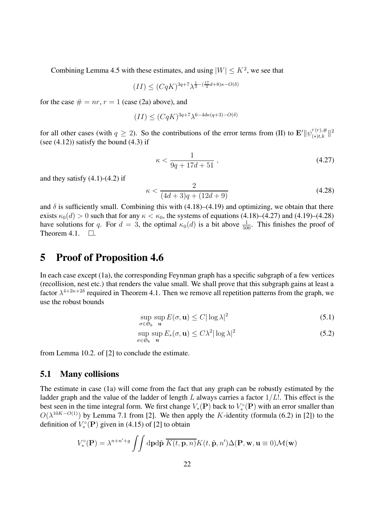Combining Lemma 4.5 with these estimates, and using  $|W| \leq K^2$ , we see that

$$
(II) \le (CqK)^{3q+7} \lambda^{\frac{1}{3} - (\frac{17}{3}d+8)\kappa - O(\delta)}
$$

for the case  $# = nr$ ,  $r = 1$  (case (2a) above), and

$$
(II) \le (CqK)^{3q+7} \lambda^{6-4d\kappa(q+3)-O(\delta)}
$$

for all other cases (with  $q \ge 2$ ). So the contributions of the error terms from (II) to  $\mathbf{E'}||\psi_{(*)t,k}^{\prime(r),\#}||^2$ (see  $(4.12)$ ) satisfy the bound  $(4.3)$  if

$$
\kappa < \frac{1}{9q + 17d + 51} \,,\tag{4.27}
$$

and they satisfy  $(4.1)-(4.2)$  if

$$
\kappa < \frac{2}{(4d+3)q + (12d+9)}\tag{4.28}
$$

and  $\delta$  is sufficiently small. Combining this with (4.18)–(4.19) and optimizing, we obtain that there exists  $\kappa_0(d) > 0$  such that for any  $\kappa < \kappa_0$ , the systems of equations (4.18)–(4.27) and (4.19)–(4.28) have solutions for q. For  $d = 3$ , the optimal  $\kappa_0(d)$  is a bit above  $\frac{1}{500}$ . This finishes the proof of Theorem 4.1.  $\Box$ .

## **5 Proof of Proposition 4.6**

In each case except (1a), the corresponding Feynman graph has a specific subgraph of a few vertices (recollision, nest etc.) that renders the value small. We shall prove that this subgraph gains at least a factor  $\lambda^{4+2\kappa+2\delta}$  required in Theorem 4.1. Then we remove all repetition patterns from the graph, we use the robust bounds

$$
\sup_{\sigma \in \mathfrak{S}_k} \sup_{\mathbf{u}} E(\sigma, \mathbf{u}) \le C |\log \lambda|^2 \tag{5.1}
$$

$$
\sup_{\sigma \in \mathfrak{S}_k} \sup_{\mathbf{u}} E_*(\sigma, \mathbf{u}) \le C\lambda^2 |\log \lambda|^2 \tag{5.2}
$$

from Lemma 10.2. of [2] to conclude the estimate.

#### **5.1 Many collisions**

The estimate in case (1a) will come from the fact that any graph can be robustly estimated by the ladder graph and the value of the ladder of length L always carries a factor  $1/L!$ . This effect is the best seen in the time integral form. We first change  $V_*(P)$  back to  $V^{\circ}_*(P)$  with an error smaller than  $O(\lambda^{10K-O(1)})$  by Lemma 7.1 from [2]. We then apply the K-identity (formula (6.2) in [2]) to the definition of  $V_*^{\circ}({\bf P})$  given in (4.15) of [2] to obtain

$$
V_*^{\circ}(\mathbf{P}) = \lambda^{n+n'+g} \int \int d\mathbf{p} d\tilde{\mathbf{p}} \ \overline{K(t, \mathbf{p}, n)} K(t, \tilde{\mathbf{p}}, n') \Delta(\mathbf{P}, \mathbf{w}, \mathbf{u} \equiv 0) \mathcal{M}(\mathbf{w})
$$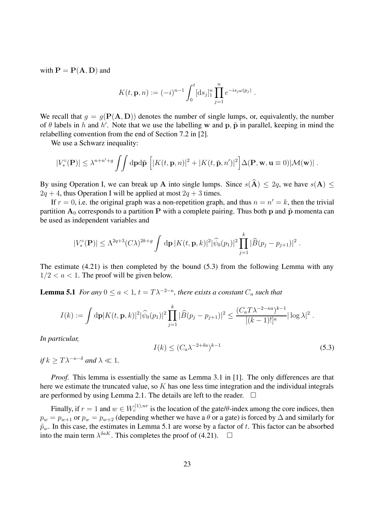with  $P = P(A, D)$  and

$$
K(t, \mathbf{p}, n) := (-i)^{n-1} \int_0^t [\mathrm{d}s_j]_1^n \prod_{j=1}^n e^{-is_j \omega(p_j)}.
$$

We recall that  $g = g(\mathbf{P}(\mathbf{A}, \mathbf{D}))$  denotes the number of single lumps, or, equivalently, the number of  $\theta$  labels in h and h'. Note that we use the labelling w and  $\mathbf{p}$ ,  $\tilde{\mathbf{p}}$  in parallel, keeping in mind the relabelling convention from the end of Section 7.2 in [2].

We use a Schwarz inequality:

$$
|V_*^{\circ}(\mathbf{P})| \leq \lambda^{n+n'+g} \int \int d\mathbf{p} d\tilde{\mathbf{p}} \left[ |K(t, \mathbf{p}, n)|^2 + |K(t, \tilde{\mathbf{p}}, n')|^2 \right] \Delta(\mathbf{P}, \mathbf{w}, \mathbf{u} \equiv 0) |\mathcal{M}(\mathbf{w})|.
$$

By using Operation I, we can break up A into single lumps. Since  $s(\hat{A}) \leq 2q$ , we have  $s(A) \leq$  $2q + 4$ , thus Operation I will be applied at most  $2q + 3$  times.

If  $r = 0$ , i.e. the original graph was a non-repetition graph, and thus  $n = n' = k$ , then the trivial partition  $A_0$  corresponds to a partition P with a complete pairing. Thus both p and  $\tilde{p}$  momenta can be used as independent variables and

$$
|V_*^{\circ}(\mathbf{P})| \leq \Lambda^{2q+3} (C\lambda)^{2k+g} \int d\mathbf{p} |K(t, \mathbf{p}, k)|^2 |\widehat{\psi}_0(p_1)|^2 \prod_{j=1}^k |\widehat{B}(p_j - p_{j+1})|^2.
$$

The estimate (4.21) is then completed by the bound (5.3) from the following Lemma with any  $1/2 < a < 1$ . The proof will be given below.

**Lemma 5.1** *For any*  $0 \le a \le 1$ ,  $t = T\lambda^{-2-\kappa}$ , there exists a constant  $C_a$  *such that* 

$$
I(k) := \int d\mathbf{p} |K(t, \mathbf{p}, k)|^2 |\widehat{\psi}_0(p_1)|^2 \prod_{j=1}^k |\widehat{B}(p_j - p_{j+1})|^2 \leq \frac{(C_a T \lambda^{-2-\kappa a})^{k-1}}{[(k-1)!]^a} |\log \lambda|^2.
$$

*In particular,*

$$
I(k) \le (C_a \lambda^{-2 + \delta a})^{k-1}
$$
\n(5.3)

*if*  $k \geq T\lambda^{-\kappa-\delta}$  *and*  $\lambda \ll 1$ *.* 

*Proof.* This lemma is essentially the same as Lemma 3.1 in [1]. The only differences are that here we estimate the truncated value, so  $K$  has one less time integration and the individual integrals are performed by using Lemma 2.1. The details are left to the reader.  $\Box$ 

Finally, if  $r = 1$  and  $w \in W_c^{(1),nr}$  is the location of the gate/θ-index among the core indices, then  $p_w = p_{w+1}$  or  $p_w = p_{w+2}$  (depending whether we have a  $\theta$  or a gate) is forced by  $\Delta$  and similarly for  $\tilde{p}_w$ . In this case, the estimates in Lemma 5.1 are worse by a factor of t. This factor can be absorbed into the main term  $\lambda^{\delta a K}$ . This completes the proof of (4.21).  $\Box$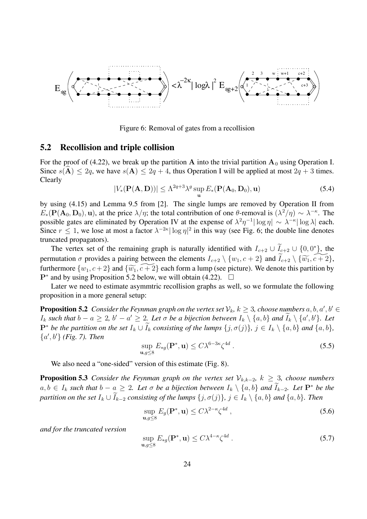

Figure 6: Removal of gates from a recollision

#### **5.2 Recollision and triple collision**

For the proof of (4.22), we break up the partition **A** into the trivial partition  $A_0$  using Operation I. Since  $s(A) \le 2q$ , we have  $s(A) \le 2q + 4$ , thus Operation I will be applied at most  $2q + 3$  times. Clearly

$$
|V_*(\mathbf{P}(\mathbf{A}, \mathbf{D}))| \le \Lambda^{2q+3} \lambda^g \sup_{\mathbf{u}} E_*(\mathbf{P}(\mathbf{A}_0, \mathbf{D}_0), \mathbf{u})
$$
(5.4)

by using (4.15) and Lemma 9.5 from [2]. The single lumps are removed by Operation II from  $E_*(\mathbf{P}(\mathbf{A}_0, \mathbf{D}_0), \mathbf{u})$ , at the price  $\lambda/\eta$ ; the total contribution of one  $\theta$ -removal is  $(\lambda^2/\eta) \sim \lambda^{-\kappa}$ . The possible gates are eliminated by Operation IV at the expense of  $\lambda^2 \eta^{-1} |\log \eta| \sim \lambda^{-\kappa} |\log \lambda|$  each. Since  $r \leq 1$ , we lose at most a factor  $\lambda^{-2\kappa} |\log \eta|^2$  in this way (see Fig. 6; the double line denotes truncated propagators).

The vertex set of the remaining graph is naturally identified with  $I_{c+2} \cup I_{c+2} \cup \{0,0^*\}$ , the permutation  $\sigma$  provides a pairing between the elements  $I_{c+2} \setminus \{w_1, c+2\}$  and  $\widetilde{I}_{c+2} \setminus \{\widetilde{w_1}, \widetilde{c+2}\},$ furthermore  $\{w_1, c+2\}$  and  $\{\widetilde{w_1}, \widetilde{c+2}\}$  each form a lump (see picture). We denote this partition by **P**<sup>∗</sup> and by using Proposition 5.2 below, we will obtain (4.22).  $\Box$ 

Later we need to estimate asymmtric recollision graphs as well, so we formulate the following proposition in a more general setup:

**Proposition 5.2** Consider the Feynman graph on the vertex set  $\mathcal{V}_k$ ,  $k \geq 3$ , choose numbers  $a, b, a', b' \in \mathcal{V}_k$  $I_k$  such that  $b - a \geq 2$ ,  $b' - a' \geq 2$ . Let  $\sigma$  be a bijection between  $I_k \setminus \{a, b\}$  and  $I_k \setminus \{a', b'\}$ . Let  $\mathbf{P}^*$  *be the partition on the set*  $I_k \cup I_k$  *consisting of the lumps*  $\{j, \sigma(j)\}, j \in I_k \setminus \{a, b\}$  *and*  $\{a, b\}$ *,* {a , b } *(Fig. 7). Then*

$$
\sup_{\mathbf{u},g\leq 8} E_{*g}(\mathbf{P}^*,\mathbf{u}) \leq C\lambda^{6-3\kappa}\zeta^{4d} \,. \tag{5.5}
$$

We also need a "one-sided" version of this estimate (Fig. 8).

**Proposition 5.3** *Consider the Feynman graph on the vertex set*  $V_{k,k-2}$ ,  $k \geq 3$ *, choose numbers*  $a, b \in I_k$  such that  $b - a \geq 2$ . Let  $\sigma$  be a bijection between  $I_k \setminus \{a, b\}$  and  $I_{k-2}$ . Let  $\mathbf{P}^*$  be the  $partition on the set I_k \cup I_{k-2}$  *consisting of the lumps*  $\{j, \sigma(j)\}, j \in I_k \setminus \{a, b\}$  *and*  $\{a, b\}$ *. Then* 

$$
\sup_{\mathbf{u},g\leq 8} E_g(\mathbf{P}^*,\mathbf{u}) \leq C\lambda^{2-\kappa} \zeta^{4d} ,\qquad(5.6)
$$

*and for the truncated version*

$$
\sup_{\mathbf{u},g\leq 8} E_{*g}(\mathbf{P}^*,\mathbf{u}) \leq C\lambda^{4-\kappa} \zeta^{4d} \,. \tag{5.7}
$$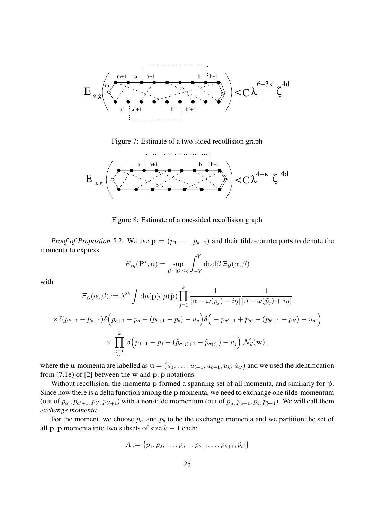

Figure 7: Estimate of a two-sided recollision graph



Figure 8: Estimate of a one-sided recollision graph

*Proof of Propostion 5.2.* We use  $\mathbf{p} = (p_1, \ldots, p_{k+1})$  and their tilde-counterparts to denote the momenta to express

$$
E_{*g}(\mathbf{P}^*, \mathbf{u}) = \sup_{\mathcal{G} \,:\, |\mathcal{G}| \le g} \int_{-Y}^Y \mathrm{d}\alpha \mathrm{d}\beta \, \Xi_{\mathcal{G}}(\alpha, \beta)
$$

with

$$
\begin{aligned}\n\Xi_{\mathcal{G}}(\alpha,\beta) &:= \lambda^{2k} \int \mathrm{d}\mu(\mathbf{p}) \mathrm{d}\mu(\tilde{\mathbf{p}}) \prod_{j=1}^{k} \frac{1}{|\alpha - \overline{\omega}(p_j) - i\eta|} \frac{1}{|\beta - \omega(\tilde{p}_j) + i\eta|} \\
&\times \delta(p_{k+1} - \tilde{p}_{k+1}) \delta\left(p_{a+1} - p_a + (p_{b+1} - p_b) - u_a\right) \delta\left(-\tilde{p}_{a'+1} + \tilde{p}_{a'} - (\tilde{p}_{b'+1} - \tilde{p}_{b'}) - \tilde{u}_{a'}\right) \\
&\times \prod_{\substack{j=1 \ j \neq a,b}}^{k} \delta\left(p_{j+1} - p_j - (\tilde{p}_{\sigma(j)+1} - \tilde{p}_{\sigma(j)}) - u_j\right) \mathcal{N}_{\mathcal{G}}(\mathbf{w}),\n\end{aligned}
$$

where the **u**-momenta are labelled as  $\mathbf{u} = (u_1, \ldots, u_{b-1}, u_{b+1}, u_k, \tilde{u}_{a'})$  and we used the identification from  $(7.18)$  of  $[2]$  between the w and  $\bf{p}, \tilde{p}$  notations.

Without recollision, the momenta **p** formed a spanning set of all momenta, and similarly for  $\tilde{p}$ . Since now there is a delta function among the **p** momenta, we need to exchange one tilde-momentum (out of  $\tilde{p}_{a'}, \tilde{p}_{a'+1}, \tilde{p}_{b'}, \tilde{p}_{b'+1}$ ) with a non-tilde momentum (out of  $p_a, p_{a+1}, p_b, p_{b+1}$ ). We will call them *exchange momenta*.

For the moment, we choose  $\tilde{p}_{b'}$  and  $p_b$  to be the exchange momenta and we partition the set of all **p**,  $\tilde{p}$  momenta into two subsets of size  $k + 1$  each:

$$
A := \{p_1, p_2, \ldots, p_{b-1}, p_{b+1}, \ldots p_{k+1}, \tilde{p}_{b'}\}
$$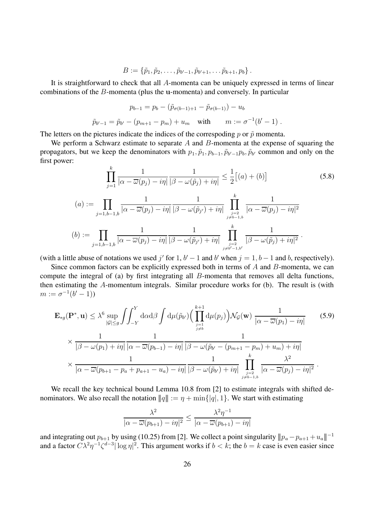$$
B := \{\tilde{p}_1, \tilde{p}_2, \ldots, \tilde{p}_{b'-1}, \tilde{p}_{b'+1}, \ldots \tilde{p}_{k+1}, p_b\}.
$$

It is straightforward to check that all A-momenta can be uniquely expressed in terms of linear combinations of the B-momenta (plus the **u**-momenta) and conversely. In particular

$$
p_{b-1} = p_b - (\tilde{p}_{\sigma(b-1)+1} - \tilde{p}_{\sigma(b-1)}) - u_b
$$
  

$$
\tilde{p}_{b'-1} = \tilde{p}_{b'} - (p_{m+1} - p_m) + u_m \text{ with } m := \sigma^{-1}(b'-1).
$$

The letters on the pictures indicate the indices of the correspoding  $p$  or  $\tilde{p}$  momenta.

We perform a Schwarz estimate to separate  $A$  and  $B$ -momenta at the expense of squaring the propagators, but we keep the denominators with  $p_1, \tilde{p}_1, p_{b-1}, \tilde{p}_{b'-1}p_b, \tilde{p}_{b'}$  common and only on the first power:

$$
\prod_{j=1}^{k} \frac{1}{|\alpha - \overline{\omega}(p_j) - i\eta|} \frac{1}{|\beta - \omega(\tilde{p}_j) + i\eta|} \le \frac{1}{2} [(a) + (b)] \tag{5.8}
$$

$$
(a) := \prod_{j=1,b-1,b} \frac{1}{|\alpha - \overline{\omega}(p_j) - i\eta|} \frac{1}{|\beta - \omega(\tilde{p}_{j'}) + i\eta|} \prod_{\substack{j=2 \ j \neq b-1,b}}^k \frac{1}{|\alpha - \overline{\omega}(p_j) - i\eta|^2}
$$
  

$$
(b) := \prod_{j=1,b-1,b} \frac{1}{|\alpha - \overline{\omega}(p_j) - i\eta|} \frac{1}{|\beta - \omega(\tilde{p}_{j'}) + i\eta|} \prod_{\substack{j=2 \ j \neq b'-1,b'}}^k \frac{1}{|\beta - \omega(\tilde{p}_j) + i\eta|^2}.
$$

(with a little abuse of notations we used j' for 1,  $b' - 1$  and b' when  $j = 1, b - 1$  and b, respectively).

Since common factors can be explicitly expressed both in terms of A and B-momenta, we can compute the integral of (a) by first integrating all B-momenta that removes all delta functions, then estimating the A-momentum integrals. Similar procedure works for (b). The result is (with  $m := \sigma^{-1}(b' - 1)$ 

$$
\mathbf{E}_{*g}(\mathbf{P}^*, \mathbf{u}) \leq \lambda^6 \sup_{|\mathcal{G}| \leq g} \int \int_{-Y}^{Y} d\alpha d\beta \int d\mu(\tilde{p}_{b'}) \Big( \prod_{\substack{j=1 \ j \neq b}}^{k+1} d\mu(p_j) \Big) \mathcal{N}_{\mathcal{G}}(\mathbf{w}) \frac{1}{|\alpha - \overline{\omega}(p_1) - i\eta|} \Big)
$$
(5.9)  

$$
\times \frac{1}{|\beta - \omega(p_1) + i\eta|} \frac{1}{|\alpha - \overline{\omega}(p_{b-1}) - i\eta|} \frac{1}{|\beta - \omega(\tilde{p}_{b'} - (p_{m+1} - p_m) + u_m) + i\eta|}
$$
  

$$
\times \frac{1}{|\alpha - \overline{\omega}(p_{b+1} - p_a + p_{a+1} - u_a) - i\eta|} \frac{1}{|\beta - \omega(\tilde{p}_{b'}) + i\eta|} \prod_{\substack{j=2 \ j \neq b-1,b}}^{k} \frac{\lambda^2}{|\alpha - \overline{\omega}(p_j) - i\eta|^2}.
$$

We recall the key technical bound Lemma 10.8 from [2] to estimate integrals with shifted denominators. We also recall the notation  $||q|| := \eta + \min\{|q|, 1\}$ . We start with estimating

$$
\frac{\lambda^2}{|\alpha - \overline{\omega}(p_{b+1}) - i\eta|^2} \le \frac{\lambda^2 \eta^{-1}}{|\alpha - \overline{\omega}(p_{b+1}) - i\eta|}
$$

and integrating out  $p_{b+1}$  by using (10.25) from [2]. We collect a point singularity  $||p_a-p_{a+1}+u_a||^{-1}$ and a factor  $C\lambda^2\eta^{-1}\zeta^{d-3}|\log\eta|^2$ . This argument works if  $b < k$ ; the  $b = k$  case is even easier since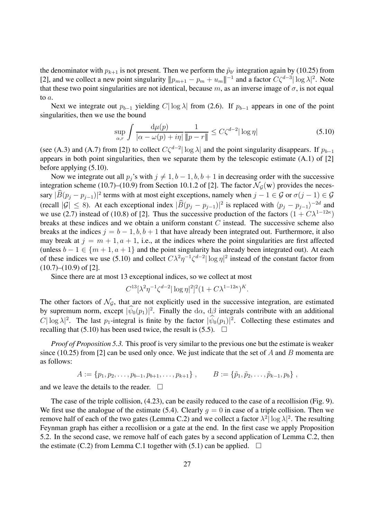the denominator with  $p_{k+1}$  is not present. Then we perform the  $\tilde{p}_{b'}$  integration again by (10.25) from [2], and we collect a new point singularity  $||p_{m+1} - p_m + u_m||^{-1}$  and a factor  $C\zeta^{d-3} |\log \lambda|^2$ . Note that these two point singularities are not identical, because m, as an inverse image of  $\sigma$ , is not equal to a.

Next we integrate out  $p_{b-1}$  yielding C| log  $\lambda$ | from (2.6). If  $p_{b-1}$  appears in one of the point singularities, then we use the bound

$$
\sup_{\alpha,r} \int \frac{\mathrm{d}\mu(p)}{|\alpha - \omega(p) + i\eta|} \frac{1}{\|p - r\|} \le C\zeta^{d-2} |\log \eta| \tag{5.10}
$$

(see (A.3) and (A.7) from [2]) to collect  $C\zeta^{d-2}|\log \lambda|$  and the point singularity disappears. If  $p_{b-1}$ appears in both point singularities, then we separate them by the telescopic estimate (A.1) of [2] before applying (5.10).

Now we integrate out all  $p_i$ 's with  $j \neq 1, b-1, b, b+1$  in decreasing order with the successive integration scheme (10.7)–(10.9) from Section 10.1.2 of [2]. The factor  $\mathcal{N}_{G}(w)$  provides the necessary  $|B(p_j - p_{j-1})|^2$  terms with at most eight exceptions, namely when  $j - 1 \in \mathcal{G}$  or  $\sigma(j - 1) \in \mathcal{G}$ (recall  $|G| \leq 8$ ). At each exceptional index  $|B(p_j - p_{j-1})|^2$  is replaced with  $\langle p_j - p_{j-1} \rangle^{-2d}$  and we use (2.7) instead of (10.8) of [2]. Thus the successive production of the factors  $(1 + C\lambda^{1-12\kappa})$ breaks at these indices and we obtain a uniform constant  $C$  instead. The successive scheme also breaks at the indices  $j = b - 1, b, b + 1$  that have already been integrated out. Furthermore, it also may break at  $j = m + 1, a + 1$ , i.e., at the indices where the point singularities are first affected (unless  $b - 1 \in \{m + 1, a + 1\}$  and the point singularity has already been integrated out). At each of these indices we use (5.10) and collect  $C\lambda^2\eta^{-1}\zeta^{d-2}|\log \eta|^2$  instead of the constant factor from  $(10.7)$ – $(10.9)$  of [2].

Since there are at most 13 exceptional indices, so we collect at most

$$
C^{13}[\lambda^2 \eta^{-1} \zeta^{d-2} |\log \eta|^2]^2 (1 + C\lambda^{1-12\kappa})^K.
$$

The other factors of  $\mathcal{N}_{\mathcal{G}}$ , that are not explicitly used in the successive integration, are estimated by supremum norm, except  $|\psi_0(p_1)|^2$ . Finally the d $\alpha$ , d $\beta$  integrals contribute with an additional C| log  $\lambda$ |<sup>2</sup>. The last  $p_1$ -integral is finite by the factor  $|\psi_0(p_1)|^2$ . Collecting these estimates and recalling that (5.10) has been used twice, the result is (5.5).  $\Box$ 

*Proof of Proposition 5.3.* This proof is very similar to the previous one but the estimate is weaker since (10.25) from [2] can be used only once. We just indicate that the set of A and B momenta are as follows:

$$
A := \{p_1, p_2, \ldots, p_{b-1}, p_{b+1}, \ldots, p_{k+1}\}, \qquad B := \{\tilde{p}_1, \tilde{p}_2, \ldots, \tilde{p}_{k-1}, p_b\},
$$

and we leave the details to the reader.  $\Box$ 

The case of the triple collision, (4.23), can be easily reduced to the case of a recollision (Fig. 9). We first use the analogue of the estimate (5.4). Clearly  $q = 0$  in case of a triple collision. Then we remove half of each of the two gates (Lemma C.2) and we collect a factor  $\lambda^2 |\log \lambda|^2$ . The resulting Feynman graph has either a recollision or a gate at the end. In the first case we apply Proposition 5.2. In the second case, we remove half of each gates by a second application of Lemma C.2, then the estimate (C.2) from Lemma C.1 together with (5.1) can be applied.  $\square$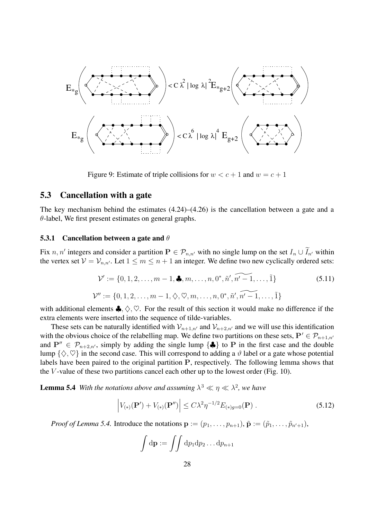

Figure 9: Estimate of triple collisions for  $w < c + 1$  and  $w = c + 1$ 

#### **5.3 Cancellation with a gate**

The key mechanism behind the estimates (4.24)–(4.26) is the cancellation between a gate and a  $\theta$ -label, We first present estimates on general graphs.

#### **5.3.1 Cancellation between a gate and** θ

Fix n, n' integers and consider a partition  $P \in \mathcal{P}_{n,n'}$  with no single lump on the set  $I_n \cup I_{n'}$  within the vertex set  $V = V_{n,n'}$ . Let  $1 \leq m \leq n+1$  an integer. We define two new cyclically ordered sets:

$$
\mathcal{V}' := \{0, 1, 2, \dots, m - 1, \clubsuit, m, \dots, n, 0^*, \tilde{n}', \widetilde{n' - 1}, \dots, \tilde{1}\}
$$
(5.11)  

$$
\mathcal{V}'' := \{0, 1, 2, \dots, m - 1, \diamondsuit, \heartsuit, m, \dots, n, 0^*, \tilde{n}', \widetilde{n' - 1}, \dots, \tilde{1}\}
$$

with additional elements  $\clubsuit, \diamondsuit, \heartsuit$ . For the result of this section it would make no difference if the extra elements were inserted into the sequence of tilde-variables.

These sets can be naturally identified with  $\mathcal{V}_{n+1,n'}$  and  $\mathcal{V}_{n+2,n'}$  and we will use this identification with the obvious choice of the relabelling map. We define two partitions on these sets,  $P' \in \mathcal{P}_{n+1,n'}$ and  $P'' \in \mathcal{P}_{n+2,n'}$ , simply by adding the single lump  $\{\clubsuit\}$  to P in the first case and the double lump  $\{\diamondsuit,\heartsuit\}$  in the second case. This will correspond to adding a  $\vartheta$  label or a gate whose potential labels have been paired to the original partition **P**, respectively. The following lemma shows that the  $V$ -value of these two partitions cancel each other up to the lowest order (Fig. 10).

**Lemma 5.4** *With the notations above and assuming*  $\lambda^3 \ll \eta \ll \lambda^2$ , we have

$$
\left| V_{(*)}(\mathbf{P}') + V_{(*)}(\mathbf{P}'') \right| \le C\lambda^2 \eta^{-1/2} E_{(*)g=0}(\mathbf{P}) . \tag{5.12}
$$

*Proof of Lemma 5.4.* Introduce the notations  $\mathbf{p} := (p_1, \ldots, p_{n+1}), \tilde{\mathbf{p}} := (\tilde{p}_1, \ldots, \tilde{p}_{n'+1}),$ 

$$
\int d\mathbf{p} := \int \int dp_1 dp_2 \dots dp_{n+1}
$$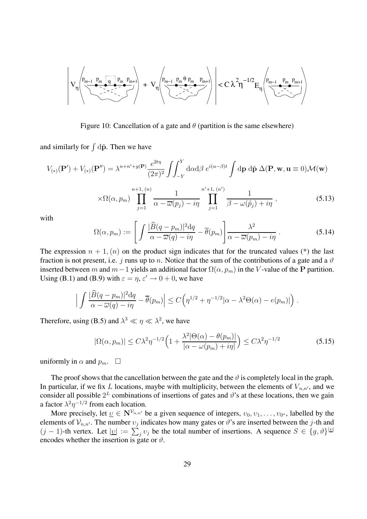$$
\left|V_{\eta}\left(\underbrace{\stackrel{p_{m-1}}{\underbrace{v_{m-1}}\stackrel{p_m}{\underbrace{v_{m-1}}\stackrel{p_m}{\underbrace{v_{m-1}}\stackrel{p_m}{\underbrace{v_{m-1}}\stackrel{p_m}{\underbrace{v_{m-1}}\stackrel{p_m}{\underbrace{v_{m-1}}\stackrel{p_m}{\underbrace{v_{m-1}}\stackrel{p_m}{\underbrace{v_{m-1}}\stackrel{p_m}{\underbrace{v_{m-1}}\stackrel{p_m}{\underbrace{v_{m-1}}\stackrel{p_m}{\underbrace{v_{m-1}}\stackrel{p_m}{\underbrace{v_{m-1}}\stackrel{p_m}{\underbrace{v_{m-1}}\stackrel{p_m}{\underbrace{v_{m-1}}\stackrel{p_m}{\underbrace{v_{m-1}}\stackrel{p_m}{\underbrace{v_{m-1}}\stackrel{p_m}{\underbrace{v_{m-1}}\stackrel{p_m}{\underbrace{v_{m-1}}\stackrel{p_m}{\underbrace{v_{m-1}}\stackrel{p_m}{\underbrace{v_{m-1}}\stackrel{p_m}{\underbrace{v_{m-1}}\stackrel{p_m}{\underbrace{v_{m-1}}\stackrel{p_m}{\underbrace{v_{m-1}}\stackrel{p_m}{\underbrace{v_{m-1}}\stackrel{p_m}{\underbrace{v_{m-1}}\stackrel{p_m}{\underbrace{v_{m-1}}\stackrel{p_m}{\underbrace{v_{m-1}}\stackrel{p_m}{\underbrace{v_{m-1}}\stackrel{p_m}{\underbrace{v_{m-1}}\stackrel{p_m}{\underbrace{v_{m-1}}\stackrel{p_m}{\underbrace{v_{m-1}}\stackrel{p_m}{\underbrace{v_{m-1}}\stackrel{p_m}{\underbrace{v_{m-1}}\stackrel{p_m}{\underbrace{v_{m-1}}\stackrel{p_m}{\underbrace{v_{m-1}}\stackrel{p_m}{\underbrace{v_{m-1}}\stackrel{p_m}{\underbrace{v_{m-1}}\stackrel{p_m}{\underbrace{v_{m-1}}\stackrel{p_m}{\underbrace{v_{m-1}}\stackrel{p_m}{\underbrace{v_{m-1}}\stackrel{p_m}{\underbrace{v_{m-1}}\stackrel{p_m}{\underbrace{v_{m-1}}\stackrel{p_m}{\underbrace{v_{m-1}}\stackrel{p_m}{\underbrace{v_{m
$$

Figure 10: Cancellation of a gate and  $\theta$  (partition is the same elsewhere)

and similarly for  $\int d\tilde{p}$ . Then we have

$$
V_{(*)}(\mathbf{P}') + V_{(*)}(\mathbf{P}'') = \lambda^{n+n'+g(\mathbf{P})} \frac{e^{2t\eta}}{(2\pi)^2} \int_{-Y}^{Y} d\alpha d\beta \ e^{i(\alpha-\beta)t} \int d\mathbf{p} \ d\tilde{\mathbf{p}} \ \Delta(\mathbf{P}, \mathbf{w}, \mathbf{u} \equiv 0) \mathcal{M}(\mathbf{w})
$$

$$
\times \Omega(\alpha, p_m) \prod_{j=1}^{n+1, (n)} \frac{1}{\alpha - \overline{\omega}(p_j) - i\eta} \prod_{j=1}^{n'+1, (n')} \frac{1}{\beta - \omega(\tilde{p}_j) + i\eta}, \qquad (5.13)
$$

with

$$
\Omega(\alpha, p_m) := \left[ \int \frac{|\widehat{B}(q - p_m)|^2 dq}{\alpha - \overline{\omega}(q) - i\eta} - \overline{\theta}(p_m) \right] \frac{\lambda^2}{\alpha - \overline{\omega}(p_m) - i\eta} . \tag{5.14}
$$

The expression  $n + 1$ ,  $(n)$  on the product sign indicates that for the truncated values (\*) the last fraction is not present, i.e. j runs up to n. Notice that the sum of the contributions of a gate and a  $\vartheta$ inserted between m and  $m-1$  yields an additional factor  $\Omega(\alpha, p_m)$  in the V-value of the **P** partition. Using (B.1) and (B.9) with  $\varepsilon = \eta$ ,  $\varepsilon' \to 0+0$ , we have

$$
\left| \int \frac{|\widehat{B}(q-p_m)|^2 dq}{\alpha - \overline{\omega}(q) - i\eta} - \overline{\theta}(p_m) \right| \le C \left( \eta^{1/2} + \eta^{-1/2} |\alpha - \lambda^2 \Theta(\alpha) - e(p_m)| \right).
$$

Therefore, using (B.5) and  $\lambda^3 \ll \eta \ll \lambda^2$ , we have

$$
|\Omega(\alpha, p_m)| \le C\lambda^2 \eta^{-1/2} \Big( 1 + \frac{\lambda^2 |\Theta(\alpha) - \theta(p_m)|}{|\alpha - \omega(p_m) + i\eta|} \Big) \le C\lambda^2 \eta^{-1/2}
$$
(5.15)

uniformly in  $\alpha$  and  $p_m$ .  $\square$ 

The proof shows that the cancellation between the gate and the  $\vartheta$  is completely local in the graph. In particular, if we fix L locations, maybe with multiplicity, between the elements of  $V_{n,n'}$ , and we consider all possible  $2^L$  combinations of insertions of gates and  $\vartheta$ 's at these locations, then we gain a factor  $\lambda^2 \eta^{-1/2}$  from each location.

More precisely, let  $\underline{v} \in \mathbb{N}^{\mathcal{V}_{n,n'}}$  be a given sequence of integers,  $v_0, v_1, \ldots, v_{0^*}$ , labelled by the elements of  $V_{n,n'}$ . The number  $v_j$  indicates how many gates or  $\vartheta$ 's are inserted between the j-th and  $(j-1)$ -th vertex. Let  $|v| := \sum_j v_j$  be the total number of insertions. A sequence  $S \in \{g, \vartheta\}^{|\varrho|}$ encodes whether the insertion is gate or  $\vartheta$ .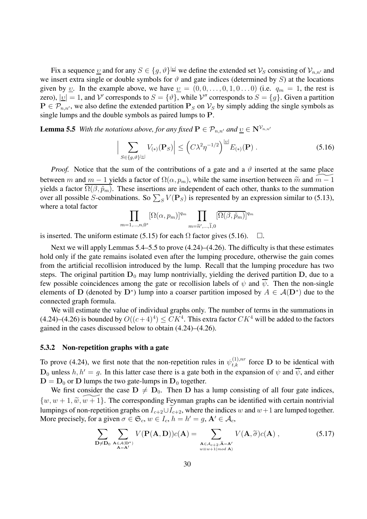Fix a sequence <u>v</u> and for any  $S \in \{g, \vartheta\}^{|\underline{v}|}$  we define the extended set  $\mathcal{V}_S$  consisting of  $\mathcal{V}_{n,n'}$  and we insert extra single or double symbols for  $\vartheta$  and gate indices (determined by S) at the locations given by <u>v</u>. In the example above, we have  $\underline{v} = (0, 0, \dots, 0, 1, 0 \dots 0)$  (i.e.  $q_m = 1$ , the rest is zero),  $|\underline{v}| = 1$ , and V' corresponds to  $S = {\theta}$ , while V'' corresponds to  $S = {g}$ . Given a partition  $P \in \mathcal{P}_{n,n'}$ , we also define the extended partition  $P_S$  on  $\mathcal{V}_S$  by simply adding the single symbols as single lumps and the double symbols as paired lumps to **P**.

**Lemma 5.5** *With the notations above, for any fixed*  $P \in \mathcal{P}_{n,n'}$  *and*  $\underline{v} \in N^{\mathcal{V}_{n,n'}}$ 

$$
\left| \sum_{S \in \{g,\vartheta\}^{|\underline{v}|}} V_{(*)}(\mathbf{P}_S) \right| \le \left( C\lambda^2 \eta^{-1/2} \right)^{|\underline{v}|} E_{(*)}(\mathbf{P}) \,. \tag{5.16}
$$

*Proof.* Notice that the sum of the contributions of a gate and a  $\vartheta$  inserted at the same place between m and  $m-1$  yields a factor of  $\Omega(\alpha, p_m)$ , while the same insertion between  $\widetilde{m}$  and  $\widetilde{m-1}$ yields a factor  $\Omega(\beta, \tilde{p}_m)$ . These insertions are independent of each other, thanks to the summation over all possible S-combinations. So  $\sum_{S} V(\mathbf{P}_S)$  is represented by an expression similar to (5.13), where a total factor

$$
\prod_{m=1,\dots,n,0^*} [\Omega(\alpha,p_m)]^{q_m} \prod_{m=\widetilde{n}',\dots,\widetilde{1},0} [\overline{\Omega(\beta,\widetilde{p}_m)}]^{q_m}
$$

is inserted. The uniform estimate (5.15) for each  $\Omega$  factor gives (5.16).  $\Box$ .

Next we will apply Lemmas 5.4–5.5 to prove (4.24)–(4.26). The difficulty is that these estimates hold only if the gate remains isolated even after the lumping procedure, otherwise the gain comes from the artificial recollision introduced by the lump. Recall that the lumping procedure has two steps. The original partition  $D_0$  may lump nontrivially, yielding the derived partition  $D$ , due to a few possible coincidences among the gate or recollision labels of  $\psi$  and  $\overline{\psi}$ . Then the non-single elements of **D** (denoted by  $D^*$ ) lump into a coarser partition imposed by  $A \in \mathcal{A}(D^*)$  due to the connected graph formula.

We will estimate the value of individual graphs only. The number of terms in the summations in (4.24)–(4.26) is bounded by  $O((c+4)^4) \leq CK^4$ . This extra factor  $CK^4$  will be added to the factors gained in the cases discussed below to obtain (4.24)–(4.26).

#### **5.3.2 Non-repetition graphs with a gate**

To prove (4.24), we first note that the non-repetition rules in  $\psi_{t,k}^{(1),nr}$  force **D** to be identical with  $D_0$  unless  $h, h' = g$ . In this latter case there is a gate both in the expansion of  $\psi$  and  $\overline{\psi}$ , and either  $D = D_0$  or **D** lumps the two gate-lumps in  $D_0$  together.

We first consider the case  $D \neq D_0$ . Then D has a lump consisting of all four gate indices,  $\{w, w+1, \widetilde{w}, \widetilde{w+1}\}.$  The corresponding Feynman graphs can be identified with certain nontrivial lumpings of non-repetition graphs on  $I_{c+2} \cup I_{c+2}$ , where the indices w and  $w+1$  are lumped together. More precisely, for a given  $\sigma \in \mathfrak{S}_c$ ,  $w \in I_c$ ,  $h = h' = g$ ,  $\mathbf{A}' \in \mathcal{A}_c$ ,

$$
\sum_{\substack{\mathbf{D}\neq\mathbf{D}_0}}\sum_{\substack{\mathbf{A}\in\mathcal{A}(\mathbf{D}^*)\\ \mathbf{A}=\mathbf{A}^{\prime}}}V(\mathbf{P}(\mathbf{A},\mathbf{D}))c(\mathbf{A})=\sum_{\substack{\mathbf{A}\in\mathcal{A}_{c+2},\hat{\mathbf{A}}=\mathbf{A}^{\prime}\\w\equiv w+1(mod\,\mathbf{A})}}V(\mathbf{A},\widetilde{\sigma})c(\mathbf{A}),
$$
\n(5.17)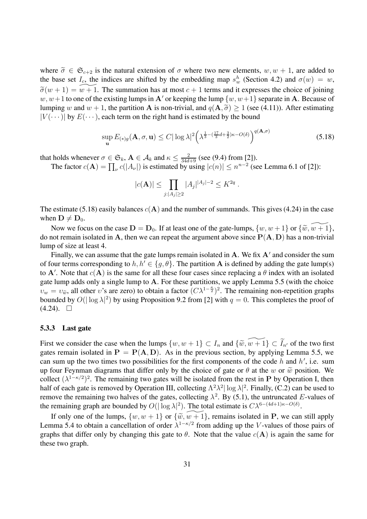where  $\tilde{\sigma} \in \mathfrak{S}_{c+2}$  is the natural extension of  $\sigma$  where two new elements,  $w, w + 1$ , are added to the base set  $I_c$ , the indices are shifted by the embedding map  $s_w^h$  (Section 4.2) and  $\sigma(w) = w$ ,  $\widetilde{\sigma}(w+1) = \widetilde{w+1}$ . The summation has at most  $c+1$  terms and it expresses the choice of joining  $w, w+1$  to one of the existing lumps in A' or keeping the lump  $\{w, w+1\}$  separate in A. Because of lumping w and  $w + 1$ , the partition **A** is non-trivial, and  $q(\mathbf{A}, \tilde{\sigma}) \ge 1$  (see (4.11)). After estimating  $|V(\cdots)|$  by  $E(\cdots)$ , each term on the right hand is estimated by the bound

$$
\sup_{\mathbf{u}} E_{(*)g}(\mathbf{A}, \sigma, \mathbf{u}) \le C |\log \lambda|^2 \left(\lambda^{\frac{1}{3} - (\frac{17}{3}d + \frac{3}{2})\kappa - O(\delta)}\right)^{q(\mathbf{A}, \sigma)} \tag{5.18}
$$

that holds whenever  $\sigma \in \mathfrak{S}_k$ ,  $\mathbf{A} \in \mathcal{A}_k$  and  $\kappa \leq \frac{2}{34d+9}$  (see (9.4) from [2]).

The factor  $c(\mathbf{A}) = \prod_{\nu} c(|A_{\nu}|)$  is estimated by using  $|c(n)| \leq n^{n-2}$  (see Lemma 6.1 of [2]):

$$
|c(\mathbf{A})| \le \prod_{j:|A_j| \ge 2} |A_j|^{|A_j|-2} \le K^{2q}.
$$

The estimate (5.18) easily balances  $c(A)$  and the number of summands. This gives (4.24) in the case when  $D \neq D_0$ .

Now we focus on the case  $\mathbf{D} = \mathbf{D}_0$ . If at least one of the gate-lumps,  $\{w, w+1\}$  or  $\{\tilde{w}, \tilde{w+1}\}$ , do not remain isolated in A, then we can repeat the argument above since  $P(A, D)$  has a non-trivial lump of size at least 4.

Finally, we can assume that the gate lumps remain isolated in  $A$ . We fix  $A'$  and consider the sum of four terms corresponding to  $h, h' \in \{g, \theta\}$ . The partition A is defined by adding the gate lump(s) to  $A'$ . Note that  $c(A)$  is the same for all these four cases since replacing a  $\theta$  index with an isolated gate lump adds only a single lump to **A**. For these partitions, we apply Lemma 5.5 (with the choice  $v_w = v_{\tilde{w}}$ , all other v's are zero) to obtain a factor  $(C\lambda^{1-\frac{\kappa}{2}})^2$ . The remaining non-repetition graphs bounded by  $O(|\log \lambda|^2)$  by using Proposition 9.2 from [2] with  $q = 0$ . This completes the proof of  $(4.24)$ .  $\Box$ 

#### **5.3.3 Last gate**

First we consider the case when the lumps  $\{w, w + 1\} \subset I_n$  and  $\{\widetilde{w}, \widetilde{w+1}\} \subset \widetilde{I}_{n'}$  of the two first gates remain isolated in  $P = P(A, D)$ . As in the previous section, by applying Lemma 5.5, we can sum up the two times two possibilities for the first components of the code  $h$  and  $h'$ , i.e. sum up four Feynman diagrams that differ only by the choice of gate or  $\theta$  at the w or  $\tilde{w}$  position. We collect  $(\lambda^{1-\kappa/2})^2$ . The remaining two gates will be isolated from the rest in **P** by Operation I, then half of each gate is removed by Operation III, collecting  $\Lambda^2 \lambda^2 |\log \lambda|^2$ . Finally, (C.2) can be used to remove the remaining two halves of the gates, collecting  $\lambda^2$ . By (5.1), the untruncated E-values of the remaining graph are bounded by  $O(|\log \lambda|^2)$ . The total estimate is  $C \lambda^{6-(4d+1)\kappa - O(\delta)}$ .

If only one of the lumps,  $\{w, w + 1\}$  or  $\{\widetilde{w}, \widetilde{w + 1}\}$ , remains isolated in **P**, we can still apply Lemma 5.4 to obtain a cancellation of order  $\lambda^{1-\kappa/2}$  from adding up the V-values of those pairs of graphs that differ only by changing this gate to  $\theta$ . Note that the value  $c(A)$  is again the same for these two graph.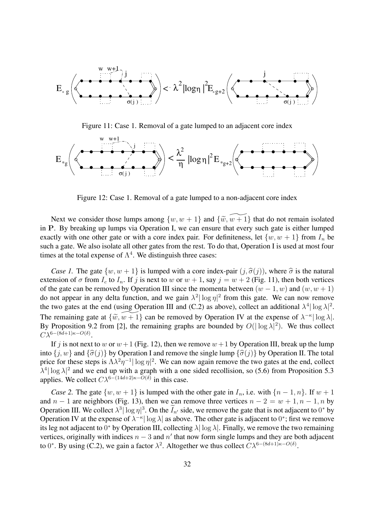

Figure 11: Case 1. Removal of a gate lumped to an adjacent core index



Figure 12: Case 1. Removal of a gate lumped to a non-adjacent core index

Next we consider those lumps among  $\{w, w + 1\}$  and  $\{\widetilde{w}, \widetilde{w + 1}\}$  that do not remain isolated in **P**. By breaking up lumps via Operation I, we can ensure that every such gate is either lumped exactly with one other gate or with a core index pair. For definiteness, let  $\{w, w + 1\}$  from  $I_n$  be such a gate. We also isolate all other gates from the rest. To do that, Operation I is used at most four times at the total expense of  $\Lambda^4$ . We distinguish three cases:

*Case 1.* The gate  $\{w, w + 1\}$  is lumped with a core index-pair  $(j, \hat{\sigma}(j))$ , where  $\hat{\sigma}$  is the natural extension of  $\sigma$  from  $I_c$  to  $I_n$ . If j is next to w or  $w + 1$ , say  $j = w + 2$  (Fig. 11), then both vertices of the gate can be removed by Operation III since the momenta between  $(w - 1, w)$  and  $(w, w + 1)$ do not appear in any delta function, and we gain  $\lambda^2 |\log \eta|^2$  from this gate. We can now remove the two gates at the end (using Operation III and (C.2) as above), collect an additional  $\lambda^4 |\log \lambda|^2$ . The remaining gate at  $\{\widetilde{w}, \widetilde{w+1}\}$  can be removed by Operation IV at the expense of  $\lambda^{-\kappa} |\log \lambda|$ . By Proposition 9.2 from [2], the remaining graphs are bounded by  $O(|\log \lambda|^2)$ . We thus collect  $C\lambda^{6-(8d+1)\kappa-O(\delta)}.$ 

If j is not next to w or  $w+1$  (Fig. 12), then we remove  $w+1$  by Operation III, break up the lump into  $\{j, w\}$  and  $\{\hat{\sigma}(j)\}\$  by Operation I and remove the single lump  $\{\hat{\sigma}(j)\}\$  by Operation II. The total price for these steps is  $\Lambda \lambda^2 \eta^{-1} |\log \eta|^2$ . We can now again remove the two gates at the end, collect  $\lambda^4$  log  $\lambda$ |<sup>2</sup> and we end up with a graph with a one sided recollision, so (5.6) from Proposition 5.3 applies. We collect  $C\lambda^{6-(14d+2)\kappa-O(\delta)}$  in this case.

*Case 2.* The gate  $\{w, w + 1\}$  is lumped with the other gate in  $I_n$ , i.e. with  $\{n-1, n\}$ . If  $w + 1$ and  $n - 1$  are neighbors (Fig. 13), then we can remove three vertices  $n - 2 = w + 1, n - 1, n$  by Operation III. We collect  $\lambda^3 |\log \eta|^3$ . On the  $I_{n'}$  side, we remove the gate that is not adjacent to 0<sup>\*</sup> by Operation IV at the expense of  $\lambda^{-\kappa} |\log \lambda|$  as above. The other gate is adjacent to 0<sup>\*</sup>; first we remove its leg not adjacent to 0<sup>∗</sup> by Operation III, collecting  $\lambda |\log \lambda|$ . Finally, we remove the two remaining vertices, originally with indices  $n - 3$  and  $n'$  that now form single lumps and they are both adjacent to 0<sup>∗</sup>. By using (C.2), we gain a factor  $\lambda^2$ . Altogether we thus collect  $C\lambda^{6-(8d+1)\kappa-O(\delta)}$ .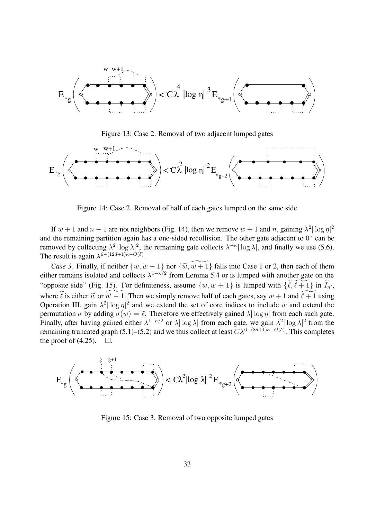

Figure 13: Case 2. Removal of two adjacent lumped gates



Figure 14: Case 2. Removal of half of each gates lumped on the same side

If  $w + 1$  and  $n - 1$  are not neighbors (Fig. 14), then we remove  $w + 1$  and n, gaining  $\lambda^2 |\log \eta|^2$ and the remaining partition again has a one-sided recollision. The other gate adjacent to  $0<sup>*</sup>$  can be removed by collecting  $\lambda^2 |\log \lambda|^2$ , the remaining gate collects  $\lambda^{-\kappa} |\log \lambda|$ , and finally we use (5.6). The result is again  $\lambda^{6-(12d+1)\kappa-O(\delta)}$ .

*Case 3.* Finally, if neither  $\{w, w + 1\}$  nor  $\{\widetilde{w}, \widetilde{w+1}\}$  falls into Case 1 or 2, then each of them either remains isolated and collects  $\lambda^{1-\kappa/2}$  from Lemma 5.4 or is lumped with another gate on the "opposite side" (Fig. 15). For definiteness, assume  $\{w, w + 1\}$  is lumped with  $\{\widetilde{\ell}, \widetilde{\ell+1}\}$  in  $\widetilde{I}_{n'}$ , where  $\tilde{\ell}$  is either  $\tilde{w}$  or  $\tilde{n' - 1}$ . Then we simply remove half of each gates, say  $w + 1$  and  $\tilde{\ell + 1}$  using Operation III, gain  $\lambda^2 |\log \eta|^2$  and we extend the set of core indices to include w and extend the permutation  $\sigma$  by adding  $\sigma(w) = \ell$ . Therefore we effectively gained  $\lambda |\log \eta|$  from each such gate. Finally, after having gained either  $\lambda^{1-\kappa/2}$  or  $\lambda |\log \lambda|$  from each gate, we gain  $\lambda^2 |\log \lambda|^2$  from the remaining truncated graph (5.1)–(5.2) and we thus collect at least  $C\lambda^{6-(8d+1)\kappa-O(\delta)}$ . This completes the proof of  $(4.25)$ .  $\Box$ .



Figure 15: Case 3. Removal of two opposite lumped gates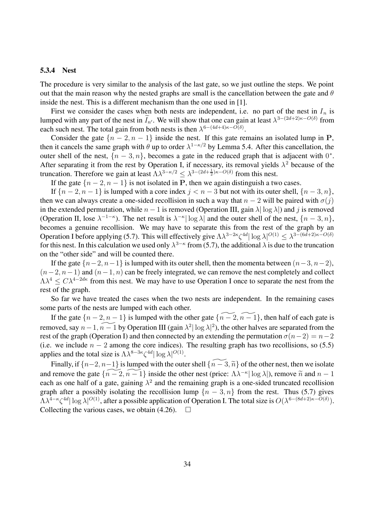#### **5.3.4 Nest**

The procedure is very similar to the analysis of the last gate, so we just outline the steps. We point out that the main reason why the nested graphs are small is the cancellation between the gate and  $\theta$ inside the nest. This is a different mechanism than the one used in [1].

First we consider the cases when both nests are independent, i.e. no part of the nest in  $I_n$  is lumped with any part of the nest in  $I_{n'}$ . We will show that one can gain at least  $\lambda^{3-(2d+2)\kappa-O(\delta)}$  from each such nest. The total gain from both nests is then  $\lambda^{6-(4d+4)\kappa-O(\delta)}$ .

Consider the gate  $\{n-2, n-1\}$  inside the nest. If this gate remains an isolated lump in **P**, then it cancels the same graph with  $\theta$  up to order  $\lambda^{1-\kappa/2}$  by Lemma 5.4. After this cancellation, the outer shell of the nest,  $\{n-3,n\}$ , becomes a gate in the reduced graph that is adjacent with  $0^*$ . After separating it from the rest by Operation I, if necessary, its removal yields  $\lambda^2$  because of the truncation. Therefore we gain at least  $\Lambda \lambda^{3-\kappa/2} \leq \lambda^{3-(2d+\frac{1}{2})\kappa - O(\delta)}$  from this nest.

If the gate  $\{n-2, n-1\}$  is not isolated in **P**, then we again distinguish a two cases.

If  ${n-2, n-1}$  is lumped with a core index  $j < n-3$  but not with its outer shell,  ${n-3, n}$ , then we can always create a one-sided recollision in such a way that  $n-2$  will be paired with  $\sigma(j)$ in the extended permutation, while  $n - 1$  is removed (Operation III, gain  $\lambda |\log \lambda|$ ) and j is removed (Operation II, lose  $\lambda^{-1-\kappa}$ ). The net result is  $\lambda^{-\kappa} |\log \lambda|$  and the outer shell of the nest,  $\{n-3, n\}$ , becomes a genuine recollision. We may have to separate this from the rest of the graph by an Operation I before applying (5.7). This will effectively give  $\Lambda\lambda^{3-2\kappa}\zeta^{4d}|\log\lambda|^{O(1)} \leq \lambda^{3-(6d+2)\kappa-O(\delta)}$ for this nest. In this calculation we used only  $\lambda^{3-\kappa}$  from (5.7), the additional  $\lambda$  is due to the truncation on the "other side" and will be counted there.

If the gate  $\{n-2, n-1\}$  is lumped with its outer shell, then the momenta between  $(n-3, n-2)$ ,  $(n-2, n-1)$  and  $(n-1, n)$  can be freely integrated, we can remove the nest completely and collect  $\Lambda \lambda^4 \leq C \lambda^{4-2d\kappa}$  from this nest. We may have to use Operation I once to separate the nest from the rest of the graph.

So far we have treated the cases when the two nests are independent. In the remaining cases some parts of the nests are lumped with each other.

If the gate  $\{n-2, n-1\}$  is lumped with the other gate  $\{n-2, n-1\}$ , then half of each gate is removed, say  $n-1$ ,  $n-1$  by Operation III (gain  $\lambda^2 |\log \lambda|^2$ ), the other halves are separated from the rest of the graph (Operation I) and then connected by an extending the permutation  $\sigma(n-2) = n-2$ (i.e. we include  $n - 2$  among the core indices). The resulting graph has two recollisions, so (5.5) applies and the total size is  $\Lambda \lambda^{8-3\kappa} \zeta^{4d} |\log \lambda|^{O(1)}$ .

Finally, if  $\{n-2, n-1\}$  is lumped with the outer shell  $\{\widetilde{n-3}, \widetilde{n}\}$  of the other nest, then we isolate and remove the gate  $\{\widetilde{n-2}, \widetilde{n-1}\}$  inside the other nest (price:  $\Lambda\lambda^{-\kappa}|\log \lambda|$ ), remove  $\widetilde{n}$  and  $n-1$ each as one half of a gate, gaining  $\lambda^2$  and the remaining graph is a one-sided truncated recollision graph after a possibly isolating the recollision lump  $\{n-3, n\}$  from the rest. Thus (5.7) gives  $\Lambda\lambda^{4-\kappa}\zeta^{4d}|\log\lambda|^{O(1)}$ , after a possible application of Operation I. The total size is  $O(\lambda^{6-(8d+2)\kappa-O(\delta)})$ . Collecting the various cases, we obtain (4.26).  $\Box$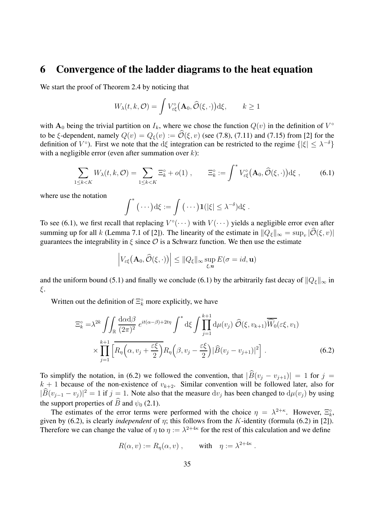### **6 Convergence of the ladder diagrams to the heat equation**

We start the proof of Theorem 2.4 by noticing that

$$
W_{\lambda}(t, k, \mathcal{O}) = \int V_{\varepsilon\xi}^{\circ} (\mathbf{A}_0, \widehat{\mathcal{O}}(\xi, \cdot)) \mathrm{d}\xi, \qquad k \ge 1
$$

with  $A_0$  being the trivial partition on  $I_k$ , where we chose the function  $Q(v)$  in the definition of  $V^{\circ}$ to be ξ-dependent, namely  $Q(v) = Q_{\xi}(v) := \widehat{\mathcal{O}}(\xi, v)$  (see (7.8), (7.11) and (7.15) from [2] for the definition of  $V^{\circ}$ ). First we note that the dξ integration can be restricted to the regime  $\{|\xi| < \lambda^{-\delta}\}\$ with a negligible error (even after summation over  $k$ ):

$$
\sum_{1 \le k < K} W_{\lambda}(t, k, \mathcal{O}) = \sum_{1 \le k < K} \Xi_k^{\circ} + o(1) \,, \qquad \Xi_k^{\circ} := \int^* V_{\varepsilon \xi}^{\circ} (\mathbf{A}_0, \widehat{\mathcal{O}}(\xi, \cdot)) \, \mathrm{d}\xi \,, \tag{6.1}
$$

where use the notation

$$
\int^* (\cdots) d\xi := \int (\cdots) \mathbf{1}(|\xi| \leq \lambda^{-\delta}) d\xi.
$$

To see (6.1), we first recall that replacing  $V^{\circ}(\cdots)$  with  $V(\cdots)$  yields a negligible error even after summing up for all k (Lemma 7.1 of [2]). The linearity of the estimate in  $||Q_{\xi}||_{\infty} = \sup_{v} |O(\xi, v)|$ guarantees the integrability in  $\xi$  since  $\mathcal O$  is a Schwarz function. We then use the estimate

$$
\left|V_{\varepsilon\xi}\big(\mathbf{A}_0,\widehat{\mathcal{O}}(\xi,\cdot)\big)\right| \leq \|Q_{\xi}\|_{\infty} \sup_{\xi,\mathbf{u}} E(\sigma = id,\mathbf{u})
$$

and the uniform bound (5.1) and finally we conclude (6.1) by the arbitrarily fast decay of  $||Q_{\xi}||_{\infty}$  in ξ.

Written out the definition of  $\Xi_k^{\circ}$  more explicitly, we have

$$
\Xi_k^{\circ} = \lambda^{2k} \iint_{\mathbb{R}} \frac{d\alpha d\beta}{(2\pi)^2} e^{it(\alpha-\beta)+2t\eta} \int^* d\xi \int \prod_{j=1}^{k+1} d\mu(v_j) \widehat{\mathcal{O}}(\xi, v_{k+1}) \overline{\widehat{W}_0}(\varepsilon\xi, v_1)
$$

$$
\times \prod_{j=1}^{k+1} \left[ \overline{R_\eta\left(\alpha, v_j + \frac{\varepsilon\xi}{2}\right)} R_\eta\left(\beta, v_j - \frac{\varepsilon\xi}{2}\right) |\widehat{B}(v_j - v_{j+1})|^2 \right]. \tag{6.2}
$$

To simplify the notation, in (6.2) we followed the convention, that  $|\widehat{B}(v_j - v_{j+1})| = 1$  for  $j =$  $k + 1$  because of the non-existence of  $v_{k+2}$ . Similar convention will be followed later, also for  $|B(v_{j-1} - v_j)|^2 = 1$  if  $j = 1$ . Note also that the measure  $dv_j$  has been changed to  $d\mu(v_j)$  by using the support properties of  $\widehat{B}$  and  $\psi_0$  (2.1).

The estimates of the error terms were performed with the choice  $\eta = \lambda^{2+\kappa}$ . However,  $\Xi_k^{\circ}$ , given by (6.2), is clearly *independent* of  $\eta$ ; this follows from the K-identity (formula (6.2) in [2]). Therefore we can change the value of  $\eta$  to  $\eta := \lambda^{2+4\kappa}$  for the rest of this calculation and we define

$$
R(\alpha, v) := R_{\eta}(\alpha, v) , \quad \text{with} \quad \eta := \lambda^{2+4\kappa} .
$$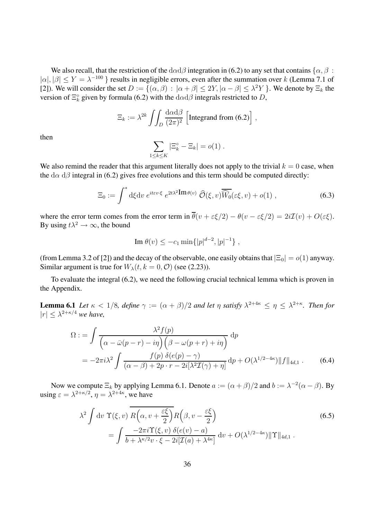We also recall, that the restriction of the  $d\alpha d\beta$  integration in (6.2) to any set that contains { $\alpha$ ,  $\beta$ :  $|\alpha|, |\beta| \le Y = \lambda^{-100}$  } results in negligible errors, even after the summation over k (Lemma 7.1 of [2]). We will consider the set  $D := \{(\alpha, \beta) : |\alpha + \beta| \leq 2Y, |\alpha - \beta| \leq \lambda^2 Y\}$ . We denote by  $\Xi_k$  the version of  $\Xi_k^{\circ}$  given by formula (6.2) with the  $d\alpha d\beta$  integrals restricted to D,

$$
\Xi_k := \lambda^{2k} \int \int_D \frac{\mathrm{d}\alpha \mathrm{d}\beta}{(2\pi)^2} \left[ \text{Integrand from (6.2)} \right],
$$

then

$$
\sum_{1 \leq k \leq K} |\Xi_k^\circ - \Xi_k| = o(1) .
$$

We also remind the reader that this argument literally does not apply to the trivial  $k = 0$  case, when the d $\alpha$  d $\beta$  integral in (6.2) gives free evolutions and this term should be computed directly:

$$
\Xi_0 := \int^* \mathrm{d}\xi \mathrm{d}v \; e^{it\epsilon v \cdot \xi} \; e^{2t\lambda^2 \mathbf{Im} \theta(v)} \; \widehat{\mathcal{O}}(\xi, v) \overline{\widehat{W}_0}(\varepsilon \xi, v) + o(1) \;, \tag{6.3}
$$

where the error term comes from the error term in  $\overline{\theta}(v + \varepsilon \xi/2) - \theta(v - \varepsilon \xi/2) = 2i\mathcal{I}(v) + O(\varepsilon \xi)$ . By using  $t\lambda^2 \rightarrow \infty$ , the bound

Im 
$$
\theta(v) \leq -c_1 \min\{|p|^{d-2}, |p|^{-1}\},
$$

(from Lemma 3.2 of [2]) and the decay of the observable, one easily obtains that  $|\Xi_0| = o(1)$  anyway. Similar argument is true for  $W_{\lambda}(t, k = 0, \mathcal{O})$  (see (2.23)).

To evaluate the integral (6.2), we need the following crucial technical lemma which is proven in the Appendix.

**Lemma 6.1** *Let*  $\kappa < 1/8$ *, define*  $\gamma := (\alpha + \beta)/2$  *and let*  $\eta$  *satisfy*  $\lambda^{2+4\kappa} \leq \eta \leq \lambda^{2+\kappa}$ *. Then for*  $|r| \leq \lambda^{2+\kappa/4}$  *we have,* 

$$
\Omega := \int \frac{\lambda^2 f(p)}{\left(\alpha - \bar{\omega}(p - r) - i\eta\right) \left(\beta - \omega(p + r) + i\eta\right)} dp
$$
  
= 
$$
-2\pi i \lambda^2 \int \frac{f(p) \,\delta(e(p) - \gamma)}{(\alpha - \beta) + 2p \cdot r - 2i[\lambda^2 \mathcal{I}(\gamma) + \eta]} dp + O(\lambda^{1/2 - 4\kappa}) ||f||_{4d,1} . \tag{6.4}
$$

Now we compute  $\Xi_k$  by applying Lemma 6.1. Denote  $a := (\alpha + \beta)/2$  and  $b := \lambda^{-2}(\alpha - \beta)$ . By using  $\varepsilon = \lambda^{2+\kappa/2}$ ,  $\eta = \lambda^{2+4\kappa}$ , we have

$$
\lambda^{2} \int dv \ \Upsilon(\xi, v) \ \overline{R\left(\alpha, v + \frac{\varepsilon\xi}{2}\right)} R\left(\beta, v - \frac{\varepsilon\xi}{2}\right)
$$
\n
$$
= \int \frac{-2\pi i \Upsilon(\xi, v) \ \delta(e(v) - a)}{b + \lambda^{\kappa/2} v \cdot \xi - 2i[\mathcal{I}(a) + \lambda^{4\kappa}]} dv + O(\lambda^{1/2 - 4\kappa}) \|\Upsilon\|_{4d, 1} \ .
$$
\n(6.5)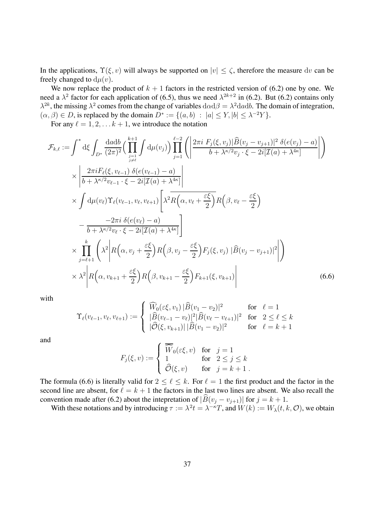In the applications,  $\Upsilon(\xi, v)$  will always be supported on  $|v| \leq \zeta$ , therefore the measure dv can be freely changed to  $d\mu(v)$ .

We now replace the product of  $k + 1$  factors in the restricted version of (6.2) one by one. We need a  $\lambda^2$  factor for each application of (6.5), thus we need  $\lambda^{2k+2}$  in (6.2). But (6.2) contains only  $\lambda^{2k}$ , the missing  $\lambda^2$  comes from the change of variables  $d\alpha d\beta = \lambda^2 d\alpha db$ . The domain of integration,  $(\alpha, \beta) \in D$ , is replaced by the domain  $D^* := \{(a, b) : |a| \le Y, |b| \le \lambda^{-2}Y\}.$ 

For any  $\ell = 1, 2, \ldots k + 1$ , we introduce the notation

$$
\mathcal{F}_{k,\ell} := \int^* \mathrm{d}\xi \int_{D^*} \frac{\mathrm{d}a \mathrm{d}b}{(2\pi)^2} \Big( \prod_{j=1}^{k+1} \int \mathrm{d}\mu(v_j) \Big) \prod_{j=1}^{\ell-2} \Big( \Big| \frac{2\pi i F_j(\xi, v_j) |\widehat{B}(v_j - v_{j+1})|^2 \delta(e(v_j) - a)}{b + \lambda^{\kappa/2} v_j \cdot \xi - 2i [\mathcal{I}(a) + \lambda^{4\kappa}]} \Big| \Big)
$$
  
\n
$$
\times \Bigg| \frac{2\pi i F_{\ell}(\xi, v_{\ell-1}) \delta(e(v_{\ell-1}) - a)}{b + \lambda^{\kappa/2} v_{\ell-1} \cdot \xi - 2i [\mathcal{I}(a) + \lambda^{4\kappa}]} \Bigg|
$$
  
\n
$$
\times \int \mathrm{d}\mu(v_{\ell}) \Upsilon_{\ell}(v_{\ell-1}, v_{\ell}, v_{\ell+1}) \Bigg[ \lambda^2 R\Big(\alpha, v_{\ell} + \frac{\varepsilon \xi}{2}\Big) R\Big(\beta, v_{\ell} - \frac{\varepsilon \xi}{2}\Big)
$$
  
\n
$$
- \frac{-2\pi i \delta(e(v_{\ell}) - a)}{b + \lambda^{\kappa/2} v_{\ell} \cdot \xi - 2i [\mathcal{I}(a) + \lambda^{4\kappa}]} \Bigg|
$$
  
\n
$$
\times \prod_{j=\ell+1}^{k} \Bigg( \lambda^2 \Bigg| R\Big(\alpha, v_j + \frac{\varepsilon \xi}{2}\Big) R\Big(\beta, v_j - \frac{\varepsilon \xi}{2}\Big) F_j(\xi, v_j) |\widehat{B}(v_j - v_{j+1})|^2 \Bigg| \Bigg)
$$
  
\n
$$
\times \lambda^2 \Bigg| R\Big(\alpha, v_{k+1} + \frac{\varepsilon \xi}{2}\Big) R\Big(\beta, v_{k+1} - \frac{\varepsilon \xi}{2}\Big) F_{k+1}(\xi, v_{k+1}) \Bigg|
$$
  
\n(6.6)

with

$$
\Upsilon_{\ell}(v_{\ell-1}, v_{\ell}, v_{\ell+1}) := \begin{cases} \widehat{W}_0(\varepsilon \xi, v_1) \, |\widehat{B}(v_1 - v_2)|^2 & \text{for } \ell = 1\\ \, |\widehat{B}(v_{\ell-1} - v_{\ell})|^2 |\widehat{B}(v_{\ell} - v_{\ell+1})|^2 & \text{for } 2 \leq \ell \leq k\\ |\widehat{\mathcal{O}}(\xi, v_{k+1})| \, |\widehat{B}(v_1 - v_2)|^2 & \text{for } \ell = k+1 \end{cases}
$$

and

$$
F_j(\xi, v) := \begin{cases} \overline{\widehat{W}}_0(\varepsilon \xi, v) & \text{for} \quad j = 1 \\ 1 & \text{for} \quad 2 \le j \le k \\ \widehat{\mathcal{O}}(\xi, v) & \text{for} \quad j = k + 1 \end{cases}.
$$

The formula (6.6) is literally valid for  $2 \leq \ell \leq k$ . For  $\ell = 1$  the first product and the factor in the second line are absent, for  $\ell = k + 1$  the factors in the last two lines are absent. We also recall the convention made after (6.2) about the intepretation of  $|B(v_j - v_{j+1})|$  for  $j = k + 1$ .

With these notations and by introducing  $\tau := \lambda^2 t = \lambda^{-\kappa} T$ , and  $W(k) := W_\lambda(t, k, \mathcal{O})$ , we obtain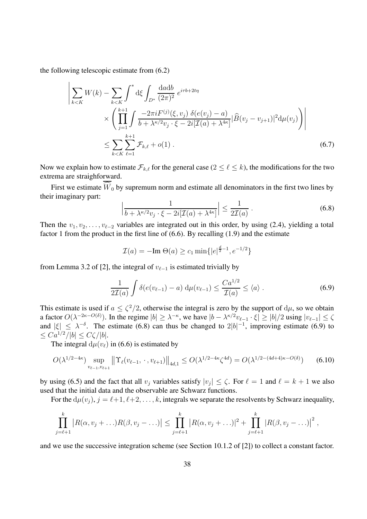the following telescopic estimate from (6.2)

 $\Big\}$  $\mid$  $\mid$  $\mid$  $\vert$ 

$$
\sum_{k < K} W(k) - \sum_{k < K} \int^* d\xi \int_{D^*} \frac{\text{d}a \text{d}b}{(2\pi)^2} e^{i\tau b + 2t\eta} \times \left( \prod_{j=1}^{k+1} \int \frac{-2\pi i F^{(j)}(\xi, v_j) \ \delta(e(v_j) - a)}{b + \lambda^{\kappa/2} v_j \cdot \xi - 2i[\mathcal{I}(a) + \lambda^{4\kappa}]} |\widehat{B}(v_j - v_{j+1})|^2 \text{d}\mu(v_j) \right) \times \sum_{k < K} \sum_{\ell=1}^{k+1} \mathcal{F}_{k,\ell} + o(1) \,.
$$
\n
$$
(6.7)
$$

Now we explain how to estimate  $\mathcal{F}_{k,\ell}$  for the general case  $(2 \leq \ell \leq k)$ , the modifications for the two extrema are straighforward.

First we estimate  $W_0$  by supremum norm and estimate all denominators in the first two lines by their imaginary part:

$$
\left|\frac{1}{b + \lambda^{\kappa/2} v_j \cdot \xi - 2i[\mathcal{I}(a) + \lambda^{4\kappa}]} \right| \le \frac{1}{2\mathcal{I}(a)}.
$$
\n(6.8)

Then the  $v_1, v_2, \ldots, v_{\ell-2}$  variables are integrated out in this order, by using (2.4), yielding a total factor 1 from the product in the first line of (6.6). By recalling (1.9) and the estimate

$$
\mathcal{I}(a) = -\mathrm{Im} \; \Theta(a) \ge c_1 \min\{|e|^{\frac{d}{2}-1}, e^{-1/2}\}
$$

from Lemma 3.2 of [2], the integral of  $v_{\ell-1}$  is estimated trivially by

$$
\frac{1}{2\mathcal{I}(a)}\int \delta(e(v_{\ell-1})-a)\,\mathrm{d}\mu(v_{\ell-1}) \le \frac{Ca^{1/2}}{\mathcal{I}(a)} \le \langle a \rangle\;.
$$
 (6.9)

This estimate is used if  $a \leq \zeta^2/2$ , otherwise the integral is zero by the support of  $d\mu$ , so we obtain a factor  $O(\lambda^{-2\kappa - O(\delta)})$ . In the regime  $|b| \geq \lambda^{-\kappa}$ , we have  $|b - \lambda^{\kappa/2} v_{\ell-1} \cdot \xi| \geq |b|/2$  using  $|v_{\ell-1}| \leq \zeta$ and  $|\xi| \leq \lambda^{-\delta}$ . The estimate (6.8) can thus be changed to  $2|b|^{-1}$ , improving estimate (6.9) to  $\leq C a^{1/2} / |b| \leq C \zeta / |b|.$ 

The integral  $d\mu(v_\ell)$  in (6.6) is estimated by

$$
O(\lambda^{1/2-4\kappa}) \sup_{v_{\ell-1}, v_{\ell+1}} \left\| \Upsilon_{\ell}(v_{\ell-1}, \cdot, v_{\ell+1}) \right\|_{4d, 1} \le O(\lambda^{1/2-4\kappa} \zeta^{4d}) = O(\lambda^{1/2-(4d+4)\kappa - O(\delta)}) \tag{6.10}
$$

by using (6.5) and the fact that all  $v_i$  variables satisfy  $|v_i| \le \zeta$ . For  $\ell = 1$  and  $\ell = k + 1$  we also used that the initial data and the observable are Schwarz functions.

For the  $d\mu(v_i)$ ,  $j = \ell+1, \ell+2, \ldots, k$ , integrals we separate the resolvents by Schwarz inequality,

$$
\prod_{j=\ell+1}^k |R(\alpha, v_j + \ldots)R(\beta, v_j - \ldots)| \leq \prod_{j=\ell+1}^k |R(\alpha, v_j + \ldots)|^2 + \prod_{j=\ell+1}^k |R(\beta, v_j - \ldots)|^2,
$$

and we use the successive integration scheme (see Section 10.1.2 of [2]) to collect a constant factor.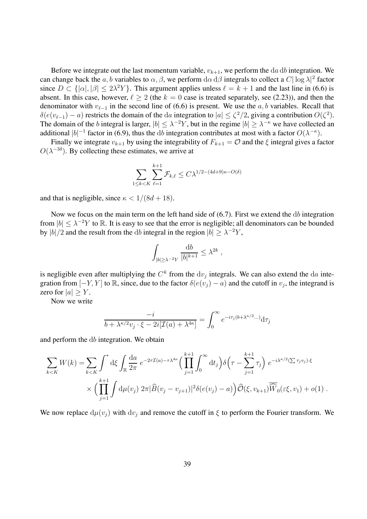Before we integrate out the last momentum variable,  $v_{k+1}$ , we perform the da db integration. We can change back the a, b variables to  $\alpha$ ,  $\beta$ , we perform  $d\alpha d\beta$  integrals to collect a  $C|\log \lambda|^2$  factor since  $D \subset \{|\alpha|, |\beta| \leq 2\lambda^2 Y\}$ . This argument applies unless  $\ell = k + 1$  and the last line in (6.6) is absent. In this case, however,  $\ell \geq 2$  (the  $k = 0$  case is treated separately, see (2.23)), and then the denominator with  $v_{\ell-1}$  in the second line of (6.6) is present. We use the a, b variables. Recall that  $\delta(e(v_{\ell-1}) - a)$  restricts the domain of the da integration to  $|a| \leq \zeta^2/2$ , giving a contribution  $O(\zeta^2)$ . The domain of the b integral is larger,  $|b| \leq \lambda^{-2}Y$ , but in the regime  $|b| \geq \lambda^{-\kappa}$  we have collected an additional  $|b|^{-1}$  factor in (6.9), thus the db integration contributes at most with a factor  $O(\lambda^{-\kappa})$ .

Finally we integrate  $v_{k+1}$  by using the integrability of  $F_{k+1} = \mathcal{O}$  and the  $\xi$  integral gives a factor  $O(\lambda^{-3\delta})$ . By collecting these estimates, we arrive at

$$
\sum_{1 \le k < K} \sum_{\ell=1}^{k+1} \mathcal{F}_{k,\ell} \le C\lambda^{1/2 - (4d+9)\kappa - O(\delta)}
$$

and that is negligible, since  $\kappa < 1/(8d+18)$ .

Now we focus on the main term on the left hand side of (6.7). First we extend the db integration from  $|b| \leq \lambda^{-2} Y$  to R. It is easy to see that the error is negligible; all denominators can be bounded by  $|b|/2$  and the result from the db integral in the region  $|b| \geq \lambda^{-2}Y$ ,

$$
\int_{|b|\geq \lambda^{-2}Y} \frac{{\mathrm d} b}{|b|^{k+1}} \leq \lambda^{2k} \;,
$$

is negligible even after multiplying the  $C<sup>k</sup>$  from the dv<sub>i</sub> integrals. We can also extend the da integration from  $[-Y, Y]$  to R, since, due to the factor  $\delta(e(v_i) - a)$  and the cutoff in  $v_i$ , the integrand is zero for  $|a| > Y$ .

Now we write

$$
\frac{-i}{b + \lambda^{\kappa/2} v_j \cdot \xi - 2i[\mathcal{I}(a) + \lambda^{4\kappa}]} = \int_0^\infty e^{-i\tau_j(b + \lambda^{\kappa/2} \dots)} d\tau_j
$$

and perform the db integration. We obtain

$$
\sum_{k < K} W(k) = \sum_{k < K} \int^* \mathrm{d}\xi \int_{\mathbb{R}} \frac{\mathrm{d}a}{2\pi} \, e^{-2\tau \mathcal{I}(a) - \tau \lambda^{4\kappa}} \Big( \prod_{j=1}^{k+1} \int_0^\infty \mathrm{d}t_j \Big) \delta\Big(\tau - \sum_{j=1}^{k+1} \tau_j\Big) \, e^{-i\lambda^{\kappa/2} (\sum \tau_j v_j) \cdot \xi} \times \Big( \prod_{j=1}^{k+1} \int \mathrm{d}\mu(v_j) \, 2\pi |\widehat{B}(v_j - v_{j+1})|^2 \delta(e(v_j) - a) \Big) \widehat{\mathcal{O}}(\xi, v_{k+1}) \overline{\widehat{W}}_0(\varepsilon \xi, v_1) + o(1) \, .
$$

We now replace  $d\mu(v_i)$  with  $dv_i$  and remove the cutoff in  $\xi$  to perform the Fourier transform. We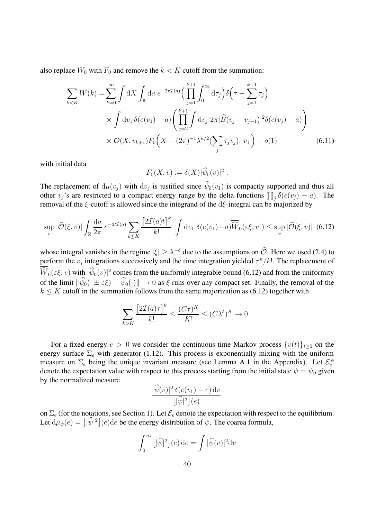also replace  $W_0$  with  $F_0$  and remove the  $k < K$  cutoff from the summation:

$$
\sum_{k < K} W(k) = \sum_{k=0}^{\infty} \int \mathrm{d}X \int_{\mathbb{R}} \mathrm{d}a \ e^{-2\tau \mathcal{I}(a)} \Big( \prod_{j=1}^{k+1} \int_{0}^{\infty} \mathrm{d}\tau_{j} \Big) \delta \Big( \tau - \sum_{j=1}^{k+1} \tau_{j} \Big) \times \int \mathrm{d}v_{1} \, \delta(e(v_{1}) - a) \Big( \prod_{j=2}^{k+1} \int \mathrm{d}v_{j} \ 2\pi |\widehat{B}(v_{j} - v_{j-1})|^{2} \delta(e(v_{j}) - a) \Big) \times \mathcal{O}(X, v_{k+1}) F_{0} \Big( X - (2\pi)^{-1} \lambda^{\kappa/2} (\sum_{j} \tau_{j} v_{j}), v_{1} \Big) + o(1)
$$
\n(6.11)

with initial data

$$
F_0(X,v) := \delta(X) |\widehat{\psi}_0(v)|^2.
$$

The replacement of  $d\mu(v_j)$  with  $dv_j$  is justified since  $\hat{\psi}_0(v_1)$  is compactly supported and thus all other  $v_j$ 's are restricted to a compact energy range by the delta functions  $\prod_j \delta(e(v_j) - a)$ . The removal of the  $\xi$ -cutoff is allowed since the integrand of the d $\xi$ -integral can be majorized by

$$
\sup_{v} |\widehat{\mathcal{O}}(\xi, v)| \int_{\mathbb{R}} \frac{da}{2\pi} e^{-2t\mathcal{I}(a)} \sum_{k \leq K} \frac{\left[2\mathcal{I}(a)t\right]^k}{k!} \int dv_1 \, \delta(e(v_1) - a) \overline{\widehat{W}}_0(\varepsilon \xi, v_1) \leq \sup_{v} |\widehat{\mathcal{O}}(\xi, v)| \tag{6.12}
$$

whose integral vanishes in the regime  $|\xi| \geq \lambda^{-\delta}$  due to the assumptions on  $\hat{O}$ . Here we used (2.4) to perform the  $v_i$  integrations successively and the time integration yielded  $\tau^k/k!$ . The replacement of  $\overline{W}_0(\varepsilon\xi, v)$  with  $|\psi_0(v)|^2$  comes from the uniformly integrable bound (6.12) and from the uniformity of the limit  $\|\psi_0(\cdot \pm \varepsilon \xi) - \psi_0(\cdot)\| \to 0$  as  $\xi$  runs over any compact set. Finally, the removal of the  $k \leq K$  cutoff in the summation follows from the same majorization as (6.12) together with

$$
\sum_{k>K} \frac{\left[2\mathcal{I}(a)\tau\right]^k}{k!} \le \frac{(C\tau)^K}{K!} \le (C\lambda^{\delta})^K \to 0.
$$

For a fixed energy  $e > 0$  we consider the continuous time Markov process  $\{v(t)\}_{t\geq0}$  on the energy surface  $\Sigma_e$  with generator (1.12). This process is exponentially mixing with the uniform measure on  $\Sigma_e$  being the unique invariant measure (see Lemma A.1 in the Appendix). Let  $\mathcal{E}_e^{\psi}$ denote the expectation value with respect to this process starting from the initial state  $\psi = \psi_0$  given by the normalized measure

$$
\frac{|\widehat{\psi}(v)|^2 \delta(e(v_1) - e) dv}{\left[|\widehat{\psi}|^2\right](e)}
$$

on  $\Sigma_e$  (for the notations, see Section 1). Let  $\mathcal{E}_e$  denote the expectation with respect to the equilibrium. Let  $d\mu_{\psi}(e) = [|\hat{\psi}|^2](e)$ de be the energy distribution of  $\psi$ . The coarea formula,

$$
\int_0^\infty [|\widehat{\psi}|^2](e) \, \mathrm{d}e = \int |\widehat{\psi}(v)|^2 \mathrm{d}v
$$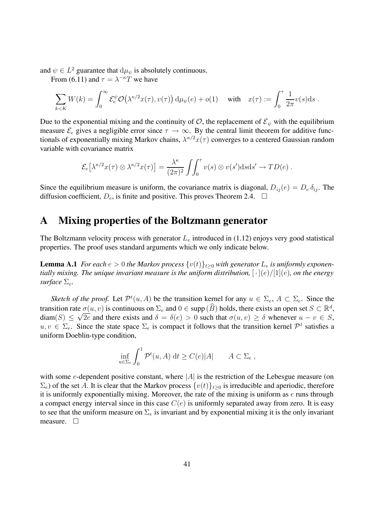and  $\psi \in L^2$  guarantee that  $d\mu_{\psi}$  is absolutely continuous.

From (6.11) and  $\tau = \lambda^{-\kappa} T$  we have

$$
\sum_{k
$$

Due to the exponential mixing and the continuity of  $\mathcal{O}$ , the replacement of  $\mathcal{E}_{\psi}$  with the equilibrium measure  $\mathcal{E}_e$  gives a negligible error since  $\tau \to \infty$ . By the central limit theorem for additive functionals of exponentially mixing Markov chains,  $\lambda^{\kappa/2}x(\tau)$  converges to a centered Gaussian random variable with covariance matrix

$$
\mathcal{E}_e\big[\lambda^{\kappa/2}x(\tau)\otimes\lambda^{\kappa/2}x(\tau)\big]=\frac{\lambda^{\kappa}}{(2\pi)^2}\int_{0}^{\tau}v(s)\otimes v(s')\mathrm{d} s\mathrm{d} s'\to TD(e).
$$

Since the equilibrium measure is uniform, the covariance matrix is diagonal,  $D_{ij}(e) = D_e \delta_{ij}$ . The diffusion coefficient,  $D_e$ , is finite and positive. This proves Theorem 2.4.  $\Box$ 

## **A Mixing properties of the Boltzmann generator**

The Boltzmann velocity process with generator  $L_e$  introduced in (1.12) enjoys very good statistical properties. The proof uses standard arguments which we only indicate below.

**Lemma A.1** *For each*  $e > 0$  *the Markov process*  $\{v(t)\}_{t\geq0}$  *with generator*  $L_e$  *is uniformly exponentially mixing. The unique invariant measure is the uniform distribution,*  $[\cdot](e)/[1](e)$ *, on the energy surface*  $\Sigma_e$ *.* 

*Sketch of the proof.* Let  $\mathcal{P}^t(u, A)$  be the transition kernel for any  $u \in \Sigma_e$ ,  $A \subset \Sigma_e$ . Since the transition rate  $\sigma(u, v)$  is continuous on  $\Sigma_e$  and  $0 \in \text{supp}(\widehat{B})$  holds, there exists an open set  $S \subset \mathbb{R}^d$ ,  $diam(S) \leq \sqrt{2e}$  and there exists and  $\delta = \delta(e) > 0$  such that  $\sigma(u, v) \geq \delta$  whenever  $u - v \in S$ ,  $u, v \in \Sigma_e$ . Since the state space  $\Sigma_e$  is compact it follows that the transition kernel  $\mathcal{P}^t$  satisfies a uniform Doeblin-type condition,

$$
\inf_{u \in \Sigma_e} \int_0^1 \mathcal{P}^t(u, A) dt \ge C(e)|A| \qquad A \subset \Sigma_e,
$$

with some e-dependent positive constant, where  $|A|$  is the restriction of the Lebesgue measure (on  $\Sigma_e$ ) of the set A. It is clear that the Markov process  $\{v(t)\}_{t\geq0}$  is irreducible and aperiodic, therefore it is uniformly exponentially mixing. Moreover, the rate of the mixing is uniform as  $e$  runs through a compact energy interval since in this case  $C(e)$  is uniformly separated away from zero. It is easy to see that the uniform measure on  $\Sigma_e$  is invariant and by exponential mixing it is the only invariant measure.  $\square$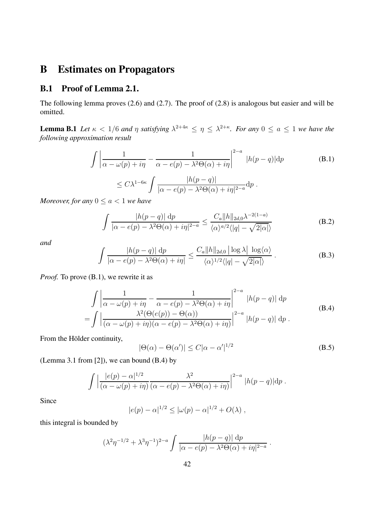## **B Estimates on Propagators**

#### **B.1 Proof of Lemma 2.1.**

The following lemma proves (2.6) and (2.7). The proof of (2.8) is analogous but easier and will be omitted.

**Lemma B.1** *Let*  $\kappa < 1/6$  *and*  $\eta$  *satisfying*  $\lambda^{2+4\kappa} \leq \eta \leq \lambda^{2+\kappa}$ *. For any*  $0 \leq a \leq 1$  *we have the following approximation result*

$$
\int \left| \frac{1}{\alpha - \omega(p) + i\eta} - \frac{1}{\alpha - e(p) - \lambda^2 \Theta(\alpha) + i\eta} \right|^{2-a} |h(p - q)| dp
$$
\n(B.1)\n
$$
\leq C\lambda^{1-6\kappa} \int \frac{|h(p - q)|}{\mathrm{d}p} d\eta
$$

$$
\leq C\lambda^{1-6\kappa} \int \frac{|h(p-q)|}{|\alpha - e(p) - \lambda^2 \Theta(\alpha) + i\eta|^{2-a}} dp.
$$

*Moreover, for any*  $0 \le a < 1$  *we have* 

$$
\int \frac{|h(p-q)| \, \mathrm{d}p}{|\alpha - e(p) - \lambda^2 \Theta(\alpha) + i\eta|^{2-a}} \le \frac{C_a \|h\|_{2d,0} \lambda^{-2(1-a)}}{\langle \alpha \rangle^{a/2} \langle |q| - \sqrt{2|\alpha|} \rangle} \tag{B.2}
$$

*and*

$$
\int \frac{|h(p-q)| \, \mathrm{d}p}{|\alpha - e(p) - \lambda^2 \Theta(\alpha) + i\eta|} \le \frac{C_a \|h\|_{2d,0} \, |\log \lambda| \, \log \langle \alpha \rangle}{\langle \alpha \rangle^{1/2} \langle |q| - \sqrt{2|\alpha|} \rangle} \,. \tag{B.3}
$$

*Proof.* To prove (B.1), we rewrite it as

$$
\int \left| \frac{1}{\alpha - \omega(p) + i\eta} - \frac{1}{\alpha - e(p) - \lambda^2 \Theta(\alpha) + i\eta} \right|^{2-a} |h(p - q)| dp
$$
\n
$$
= \int \left| \frac{\lambda^2(\Theta(e(p)) - \Theta(\alpha))}{(\alpha - \omega(p) + i\eta)(\alpha - e(p) - \lambda^2 \Theta(\alpha) + i\eta)} \right|^{2-a} |h(p - q)| dp.
$$
\n(B.4)

From the Hölder continuity,

$$
|\Theta(\alpha) - \Theta(\alpha')| \le C|\alpha - \alpha'|^{1/2}
$$
\n(B.5)

(Lemma 3.1 from [2]), we can bound (B.4) by

$$
\int \left| \frac{|e(p) - \alpha|^{1/2}}{(\alpha - \omega(p) + i\eta)} \frac{\lambda^2}{(\alpha - e(p) - \lambda^2 \Theta(\alpha) + i\eta)} \right|^{2-a} |h(p - q)| dp.
$$

Since

$$
|e(p) - \alpha|^{1/2} \leq |\omega(p) - \alpha|^{1/2} + O(\lambda)
$$
,

this integral is bounded by

$$
(\lambda^2 \eta^{-1/2} + \lambda^3 \eta^{-1})^{2-a} \int \frac{|h(p-q)| \, dp}{|\alpha - e(p) - \lambda^2 \Theta(\alpha) + i\eta|^{2-a}}.
$$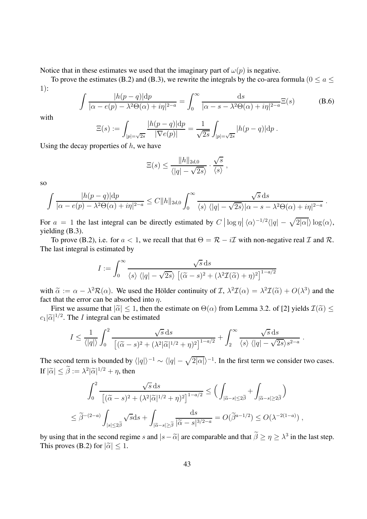Notice that in these estimates we used that the imaginary part of  $\omega(p)$  is negative.

To prove the estimates (B.2) and (B.3), we rewrite the integrals by the co-area formula ( $0 \le a \le$ 1):

$$
\int \frac{|h(p-q)|dp}{|\alpha - e(p) - \lambda^2 \Theta(\alpha) + i\eta|^{2-a}} = \int_0^\infty \frac{\mathrm{d}s}{|\alpha - s - \lambda^2 \Theta(\alpha) + i\eta|^{2-a}} \Xi(s) \tag{B.6}
$$

with

$$
\Xi(s) := \int_{|p|=\sqrt{2s}} \frac{|h(p-q)|dp}{|\nabla e(p)|} = \frac{1}{\sqrt{2s}} \int_{|p|=\sqrt{2s}} |h(p-q)|dp.
$$

Using the decay properties of  $h$ , we have

$$
\Xi(s) \le \frac{\|h\|_{2d,0}}{\langle |q| - \sqrt{2s} \rangle} \cdot \frac{\sqrt{s}}{\langle s \rangle},
$$

so

$$
\int \frac{|h(p-q)| dp}{|\alpha - e(p) - \lambda^2 \Theta(\alpha) + i\eta|^{2-a}} \leq C ||h||_{2d,0} \int_0^\infty \frac{\sqrt{s} ds}{\langle s \rangle \langle |q| - \sqrt{2s} \rangle |\alpha - s - \lambda^2 \Theta(\alpha) + i\eta|^{2-a}}.
$$

For  $a = 1$  the last integral can be directly estimated by  $C |\log \eta| \langle \alpha \rangle^{-1/2} \langle |q| - \sqrt{2|\alpha|} \rangle \log \langle \alpha \rangle$ , yielding (B.3).

To prove (B.2), i.e. for  $a < 1$ , we recall that that  $\Theta = \mathcal{R} - i\mathcal{I}$  with non-negative real  $\mathcal{I}$  and  $\mathcal{R}$ . The last integral is estimated by

$$
I := \int_0^\infty \frac{\sqrt{s} \, ds}{\langle s \rangle \langle |q| - \sqrt{2s} \rangle \left[ (\widetilde{\alpha} - s)^2 + (\lambda^2 \mathcal{I}(\widetilde{\alpha}) + \eta)^2 \right]^{1 - a/2}}
$$

with  $\tilde{\alpha} := \alpha - \lambda^2 \mathcal{R}(\alpha)$ . We used the Hölder continuity of  $\mathcal{I}, \lambda^2 \mathcal{I}(\alpha) = \lambda^2 \mathcal{I}(\tilde{\alpha}) + O(\lambda^3)$  and the fact that the error can be absorbed into  $\eta$ .

First we assume that  $|\tilde{\alpha}| \leq 1$ , then the estimate on  $\Theta(\alpha)$  from Lemma 3.2. of [2] yields  $\mathcal{I}(\tilde{\alpha}) \leq$  $c_1|\widetilde{\alpha}|^{1/2}$ . The *I* integral can be estimated

$$
I \leq \frac{1}{\langle |q| \rangle} \int_0^2 \frac{\sqrt{s} ds}{\left[ (\widetilde{\alpha} - s)^2 + (\lambda^2 |\widetilde{\alpha}|^{1/2} + \eta)^2 \right]^{1 - a/2}} + \int_2^{\infty} \frac{\sqrt{s} ds}{\langle s \rangle \langle |q| - \sqrt{2s} \rangle s^{2 - a}}.
$$

The second term is bounded by  $\langle |q| \rangle^{-1} \sim \langle |q| - \sqrt{2|\alpha|} \rangle^{-1}$ . In the first term we consider two cases. If  $|\tilde{\alpha}| \leq \tilde{\beta} := \lambda^2 |\tilde{\alpha}|^{1/2} + \eta$ , then

$$
\int_0^2 \frac{\sqrt{s} ds}{\left[ (\widetilde{\alpha} - s)^2 + (\lambda^2 |\widetilde{\alpha}|^{1/2} + \eta)^2 \right]^{1 - a/2}} \le \left( \int_{|\widetilde{\alpha} - s| \le 2\widetilde{\beta}} + \int_{|\widetilde{\alpha} - s| \ge 2\widetilde{\beta}} \right)
$$
  

$$
\le \widetilde{\beta}^{-(2-a)} \int_{|s| \le 2\widetilde{\beta}} \sqrt{s} ds + \int_{|\widetilde{\alpha} - s| \ge \widetilde{\beta}} \frac{ds}{|\widetilde{\alpha} - s|^{3/2 - a}} = O(\widetilde{\beta}^{a-1/2}) \le O(\lambda^{-2(1-a)}) ,
$$

by using that in the second regime s and  $|s - \tilde{\alpha}|$  are comparable and that  $\beta \ge \eta \ge \lambda^3$  in the last step.<br>This name (D,2) for  $|\tilde{\alpha}| \le 1$ This proves (B.2) for  $|\tilde{\alpha}| < 1$ .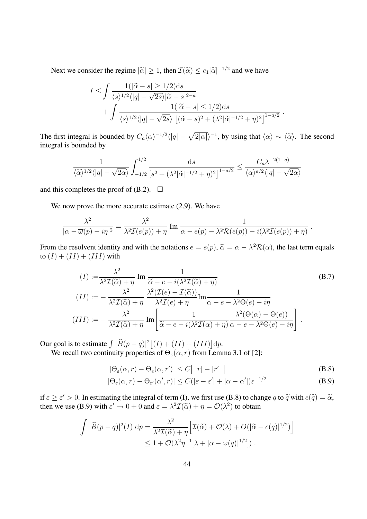Next we consider the regime  $|\tilde{\alpha}| \geq 1$ , then  $\mathcal{I}(\tilde{\alpha}) \leq c_1 |\tilde{\alpha}|^{-1/2}$  and we have

$$
I \leq \int \frac{\mathbf{1}(|\widetilde{\alpha} - s| \geq 1/2)ds}{\langle s \rangle^{1/2} \langle |q| - \sqrt{2s} \rangle |\widetilde{\alpha} - s|^{2-a}} + \int \frac{\mathbf{1}(|\widetilde{\alpha} - s| \leq 1/2)ds}{\langle s \rangle^{1/2} \langle |q| - \sqrt{2s} \rangle \left[ (\widetilde{\alpha} - s)^2 + (\lambda^2 |\widetilde{\alpha}|^{-1/2} + \eta)^2 \right]^{1-a/2}}.
$$

The first integral is bounded by  $C_a \langle \alpha \rangle^{-1/2} \langle |q| - \sqrt{2|\alpha|} \rangle^{-1}$ , by using that  $\langle \alpha \rangle \sim \langle \tilde{\alpha} \rangle$ . The second integral is bounded by

$$
\frac{1}{\langle \widetilde{\alpha} \rangle^{1/2} \langle |q| - \sqrt{2\alpha} \rangle} \int_{-1/2}^{1/2} \frac{ds}{\left[ s^2 + (\lambda^2 |\widetilde{\alpha}|^{-1/2} + \eta)^2 \right]^{1 - a/2}} \le \frac{C_a \lambda^{-2(1-a)}}{\langle \alpha \rangle^{a/2} \langle |q| - \sqrt{2\alpha} \rangle}
$$

and this completes the proof of  $(B.2)$ .  $\Box$ 

We now prove the more accurate estimate  $(2.9)$ . We have

$$
\frac{\lambda^2}{|\alpha - \overline{\omega}(p) - i\eta|^2} = \frac{\lambda^2}{\lambda^2 \mathcal{I}(e(p)) + \eta} \operatorname{Im} \frac{1}{\alpha - e(p) - \lambda^2 \mathcal{R}(e(p)) - i(\lambda^2 \mathcal{I}(e(p)) + \eta)}.
$$

From the resolvent identity and with the notations  $e = e(p)$ ,  $\tilde{\alpha} = \alpha - \lambda^2 \mathcal{R}(\alpha)$ , the last term equals to  $(I) + (II) + (III)$  with

$$
(I) := \frac{\lambda^2}{\lambda^2 \mathcal{I}(\tilde{\alpha}) + \eta} \operatorname{Im} \frac{1}{\tilde{\alpha} - e - i(\lambda^2 \mathcal{I}(\tilde{\alpha}) + \eta)}
$$
\n
$$
(II) := -\frac{\lambda^2}{\lambda^2 \mathcal{I}(\tilde{\alpha}) + \eta} \frac{\lambda^2 (\mathcal{I}(e) - \mathcal{I}(\tilde{\alpha}))}{\lambda^2 \mathcal{I}(e) + \eta} \operatorname{Im} \frac{1}{\alpha - e - \lambda^2 \Theta(e) - i\eta}
$$
\n
$$
(III) := -\frac{\lambda^2}{\lambda^2 \mathcal{I}(\tilde{\alpha}) + \eta} \operatorname{Im} \left[ \frac{1}{\tilde{\alpha} - e - i(\lambda^2 \mathcal{I}(\alpha) + \eta)} \frac{\lambda^2 (\Theta(\alpha) - \Theta(e))}{\lambda^2 - e - \lambda^2 \Theta(e) - i\eta} \right].
$$
\n(B.7)

Our goal is to estimate  $\int |\widehat{B}(p-q)|^2 [(I)+(II)+(III)] \,dp$ .

We recall two continuity properties of  $\Theta_{\varepsilon}(\alpha, r)$  from Lemma 3.1 of [2]:

$$
|\Theta_{\varepsilon}(\alpha, r) - \Theta_{\varepsilon}(\alpha, r')| \le C \left| |r| - |r'| \right|
$$
\n(B.8)

$$
|\Theta_{\varepsilon}(\alpha, r) - \Theta_{\varepsilon'}(\alpha', r)| \le C(|\varepsilon - \varepsilon'| + |\alpha - \alpha'|)\varepsilon^{-1/2}
$$
\n(B.9)

if  $\varepsilon \ge \varepsilon' > 0$ . In estimating the integral of term (I), we first use (B.8) to change q to  $\tilde{q}$  with  $e(\tilde{q}) = \tilde{\alpha}$ , then we use (B.9) with  $\varepsilon' \to 0 + 0$  and  $\varepsilon = \lambda^2 \mathcal{I}(\tilde{\alpha}) + \eta = \mathcal{O}(\lambda^2)$  to obtain

$$
\int |\widehat{B}(p-q)|^2(I) dp = \frac{\lambda^2}{\lambda^2 \mathcal{I}(\widetilde{\alpha}) + \eta} \Big[ \mathcal{I}(\widetilde{\alpha}) + \mathcal{O}(\lambda) + O(|\widetilde{\alpha} - e(q)|^{1/2}) \Big] \leq 1 + \mathcal{O}(\lambda^2 \eta^{-1} [\lambda + |\alpha - \omega(q)|^{1/2}]) .
$$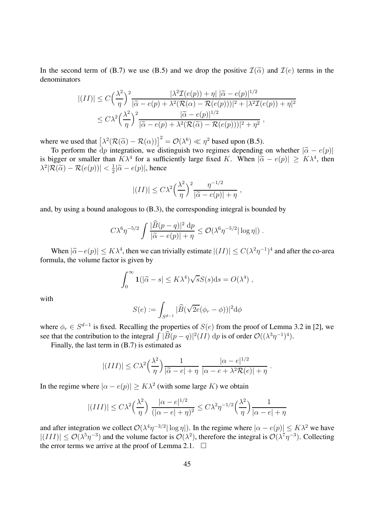In the second term of (B.7) we use (B.5) and we drop the positive  $\mathcal{I}(\tilde{\alpha})$  and  $\mathcal{I}(e)$  terms in the denominators

$$
|(II)| \leq C \left(\frac{\lambda^2}{\eta}\right)^2 \frac{|\lambda^2 \mathcal{I}(e(p)) + \eta| |\widetilde{\alpha} - e(p)|^{1/2}}{|\widetilde{\alpha} - e(p) + \lambda^2 (\mathcal{R}(\alpha) - \mathcal{R}(e(p)))|^2 + |\lambda^2 \mathcal{I}(e(p)) + \eta|^2}
$$
  

$$
\leq C \lambda^2 \left(\frac{\lambda^2}{\eta}\right)^2 \frac{|\widetilde{\alpha} - e(p)|^{1/2}}{|\widetilde{\alpha} - e(p) + \lambda^2 (\mathcal{R}(\widetilde{\alpha}) - \mathcal{R}(e(p)))|^2 + \eta^2},
$$

where we used that  $\left[\lambda^2(\mathcal{R}(\tilde{\alpha}) - \mathcal{R}(\alpha))\right]^2 = \mathcal{O}(\lambda^6) \ll \eta^2$  based upon (B.5).

To perform the dp integration, we distinguish two regimes depending on whether  $|\tilde{\alpha} - e(p)|$ <br>isose or smaller than  $K$ <sup>14</sup> for a sufficiently large fixed  $K$ . When  $|\tilde{\alpha} - e(p)| \geq K$ <sup>14</sup> than is bigger or smaller than  $K\lambda^4$  for a sufficiently large fixed K. When  $|\tilde{\alpha} - e(p)| \geq K\lambda^4$ , then  $\lambda^2 |\mathcal{R}(\widetilde{\alpha}) - \mathcal{R}(e(p))| < \frac{1}{2} |\widetilde{\alpha} - e(p)|$ , hence

$$
|(II)| \leq C\lambda^2 \left(\frac{\lambda^2}{\eta}\right)^2 \frac{\eta^{-1/2}}{|\widetilde{\alpha} - e(p)| + \eta},
$$

and, by using a bound analogous to (B.3), the corresponding integral is bounded by

$$
C\lambda^6 \eta^{-5/2} \int \frac{|\widehat{B}(p-q)|^2 \mathrm{d}p}{|\widetilde{\alpha} - e(p)| + \eta} \leq \mathcal{O}(\lambda^6 \eta^{-5/2} |\log \eta|) .
$$

When  $|\tilde{\alpha} - e(p)| \leq K \lambda^4$ , then we can trivially estimate  $|(II)| \leq C(\lambda^2 \eta^{-1})^4$  and after the co-area formula, the volume factor is given by

$$
\int_0^\infty \mathbf{1}(|\widetilde{\alpha} - s| \leq K\lambda^4) \sqrt{s} S(s) \mathrm{d} s = O(\lambda^4) ,
$$

with

$$
S(e) := \int_{S^{d-1}} |\widehat{B}(\sqrt{2e}(\phi_r - \phi))|^2 d\phi
$$

where  $\phi_r \in S^{d-1}$  is fixed. Recalling the properties of  $S(e)$  from the proof of Lemma 3.2 in [2], we see that the contribution to the integral  $\int |\widehat{B}(p-q)|^2 (II) dp$  is of order  $\mathcal{O}((\lambda^3 \eta^{-1})^4)$ .

Finally, the last term in (B.7) is estimated as

$$
|(III)| \leq C\lambda^2 \left(\frac{\lambda^2}{\eta}\right) \frac{1}{|\widetilde{\alpha} - e| + \eta} \frac{|\alpha - e|^{1/2}}{|\alpha - e + \lambda^2 \mathcal{R}(e)| + \eta}.
$$

In the regime where  $|\alpha - e(p)| \geq K\lambda^2$  (with some large K) we obtain

$$
|(III)| \leq C\lambda^2 \left(\frac{\lambda^2}{\eta}\right) \frac{|\alpha - e|^{1/2}}{(|\alpha - e| + \eta)^2} \leq C\lambda^2 \eta^{-1/2} \left(\frac{\lambda^2}{\eta}\right) \frac{1}{|\alpha - e| + \eta}
$$

and after integration we collect  $\mathcal{O}(\lambda^4 \eta^{-3/2} |\log \eta|)$ . In the regime where  $|\alpha - e(p)| \leq K \lambda^2$  we have  $|(III)| \leq \mathcal{O}(\lambda^5 \eta^{-3})$  and the volume factor is  $\mathcal{O}(\lambda^2)$ , therefore the integral is  $\mathcal{O}(\lambda^7 \eta^{-3})$ . Collecting the error terms we arrive at the proof of Lemma 2.1.  $\Box$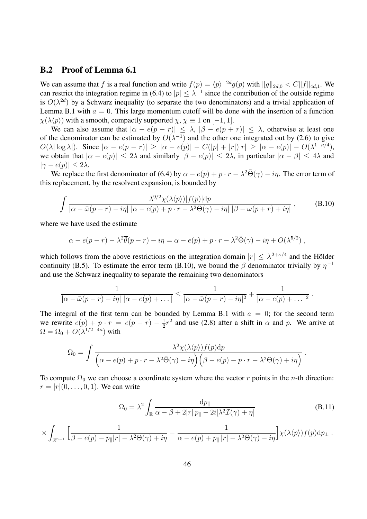#### **B.2 Proof of Lemma 6.1**

We can assume that f is a real function and write  $f(p) = \langle p \rangle^{-2d} g(p)$  with  $||g||_{2d,0} < C ||f||_{4d,1}$ . We can restrict the integration regime in (6.4) to  $|p| \leq \lambda^{-1}$  since the contribution of the outside regime is  $O(\lambda^{2d})$  by a Schwarz inequality (to separate the two denominators) and a trivial application of Lemma B.1 with  $a = 0$ . This large momentum cutoff will be done with the insertion of a function  $\chi(\lambda \langle p \rangle)$  with a smooth, compactly supported  $\chi$ ,  $\chi \equiv 1$  on [-1, 1].

We can also assume that  $|\alpha - e(p - r)| \leq \lambda$ ,  $|\beta - e(p + r)| \leq \lambda$ , otherwise at least one of the denominator can be estimated by  $O(\lambda^{-1})$  and the other one integrated out by (2.6) to give  $O(\lambda |\log \lambda|)$ . Since  $|\alpha - e(p - r)| \geq |\alpha - e(p)| - C(|p| + |r|)|r| \geq |\alpha - e(p)| - O(\lambda^{1 + \kappa/4}),$ we obtain that  $|\alpha - e(p)| \le 2\lambda$  and similarly  $|\beta - e(p)| \le 2\lambda$ , in particular  $|\alpha - \beta| \le 4\lambda$  and  $|\gamma - e(p)| \leq 2\lambda$ .

We replace the first denominator of (6.4) by  $\alpha - e(p) + p \cdot r - \lambda^2 \overline{\Theta}(\gamma) - i\eta$ . The error term of this replacement, by the resolvent expansion, is bounded by

$$
\int \frac{\lambda^{9/2} \chi(\lambda \langle p \rangle) |f(p)| dp}{\left| \alpha - \bar{\omega}(p - r) - i\eta \right| \left| \alpha - e(p) + p \cdot r - \lambda^2 \bar{\Theta}(\gamma) - i\eta \right| \left| \beta - \omega(p + r) + i\eta \right|},\tag{B.10}
$$

where we have used the estimate

$$
\alpha - e(p - r) - \lambda^2 \overline{\theta}(p - r) - i\eta = \alpha - e(p) + p \cdot r - \lambda^2 \overline{\Theta}(\gamma) - i\eta + O(\lambda^{5/2}),
$$

which follows from the above restrictions on the integration domain  $|r| \leq \lambda^{2+\kappa/4}$  and the Hölder continuity (B.5). To estimate the error term (B.10), we bound the  $\beta$  denominator trivially by  $\eta^{-1}$ and use the Schwarz inequality to separate the remaining two denominators

$$
\frac{1}{|\alpha - \bar{\omega}(p-r) - i\eta| |\alpha - e(p) + \dots|} \le \frac{1}{|\alpha - \bar{\omega}(p-r) - i\eta|^2} + \frac{1}{|\alpha - e(p) + \dots|^2}.
$$

The integral of the first term can be bounded by Lemma B.1 with  $a = 0$ ; for the second term we rewrite  $e(p) + p \cdot r = e(p + r) - \frac{1}{2}r^2$  and use (2.8) after a shift in  $\alpha$  and p. We arrive at  $\Omega=\Omega_0+O(\lambda^{1/2-4\kappa})$  with

$$
\Omega_0 = \int \frac{\lambda^2 \chi(\lambda \langle p \rangle) f(p) dp}{\left( \alpha - e(p) + p \cdot r - \lambda^2 \bar{\Theta}(\gamma) - i\eta \right) \left( \beta - e(p) - p \cdot r - \lambda^2 \Theta(\gamma) + i\eta \right)}.
$$

To compute  $\Omega_0$  we can choose a coordinate system where the vector r points in the n-th direction:  $r = |r|(0, \ldots, 0, 1)$ . We can write

$$
\Omega_0 = \lambda^2 \int_{\mathbb{R}} \frac{dp_{\parallel}}{\alpha - \beta + 2|r|p_{\parallel} - 2i[\lambda^2 \mathcal{I}(\gamma) + \eta]}
$$
(B.11)

$$
\times \int_{\mathbb{R}^{n-1}} \Big[ \frac{1}{\beta - e(p) - p_{\parallel}|r| - \lambda^2 \Theta(\gamma) + i\eta} - \frac{1}{\alpha - e(p) + p_{\parallel}|r| - \lambda^2 \bar{\Theta}(\gamma) - i\eta} \Big] \chi(\lambda \langle p \rangle) f(p) \mathrm{d}p_{\perp} .
$$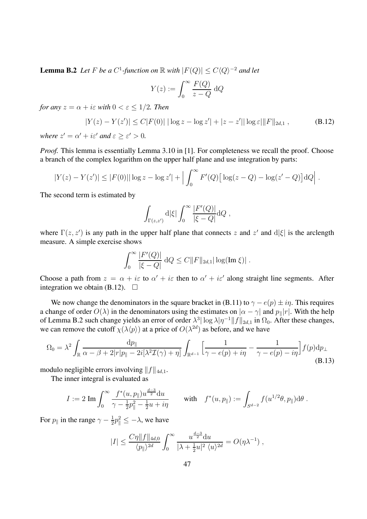**Lemma B.2** *Let* F *be a*  $C^1$ *-function on* R *with*  $|F(Q)| \leq C \langle Q \rangle^{-2}$  *and let* 

$$
Y(z) := \int_0^\infty \frac{F(Q)}{z - Q} \, \mathrm{d}Q
$$

*for any*  $z = \alpha + i\varepsilon$  *with*  $0 < \varepsilon < 1/2$ *. Then* 

$$
|Y(z) - Y(z')| \le C|F(0)| |\log z - \log z'| + |z - z'|| \log \varepsilon| \|F\|_{2d,1},
$$
 (B.12)

*where*  $z' = \alpha' + i\varepsilon'$  *and*  $\varepsilon > \varepsilon' > 0$ *.* 

*Proof.* This lemma is essentially Lemma 3.10 in [1]. For completeness we recall the proof. Choose a branch of the complex logarithm on the upper half plane and use integration by parts:

$$
|Y(z) - Y(z')| \le |F(0)||\log z - \log z'| + \Big| \int_0^\infty F'(Q) \Big[ \log(z - Q) - \log(z' - Q) \Big] dQ \Big|.
$$

The second term is estimated by

$$
\int_{\Gamma(z,z')} d|\xi| \int_0^\infty \frac{|F'(Q)|}{|\xi - Q|} dQ ,
$$

where  $\Gamma(z, z')$  is any path in the upper half plane that connects z and  $z'$  and  $d|\xi|$  is the arclength measure. A simple exercise shows

$$
\int_0^\infty \frac{|F'(Q)|}{|\xi - Q|} \,dQ \le C ||F||_{2d,1} |\log(\text{Im }\xi)| \;.
$$

Choose a path from  $z = \alpha + i\varepsilon$  to  $\alpha' + i\varepsilon$  then to  $\alpha' + i\varepsilon'$  along straight line segments. After integration we obtain (B.12).  $\Box$ 

We now change the denominators in the square bracket in (B.11) to  $\gamma - e(p) \pm i\eta$ . This requires a change of order  $O(\lambda)$  in the denominators using the estimates on  $|\alpha - \gamma|$  and  $p_{\parallel}|r|$ . With the help of Lemma B.2 such change yields an error of order  $\lambda^3 |\log \lambda |\eta^{-1}||f||_{2d,1}$  in  $\Omega_0$ . After these changes, we can remove the cutoff  $\chi(\lambda \langle p \rangle)$  at a price of  $O(\lambda^{2d})$  as before, and we have

$$
\Omega_0 = \lambda^2 \int_{\mathbb{R}} \frac{dp_{\parallel}}{\alpha - \beta + 2|r|p_{\parallel} - 2i[\lambda^2 \mathcal{I}(\gamma) + \eta]} \int_{\mathbb{R}^{d-1}} \left[ \frac{1}{\gamma - e(p) + i\eta} - \frac{1}{\gamma - e(p) - i\eta} \right] f(p) dp_{\perp}
$$
\n(B.13)

modulo negligible errors involving  $||f||_{4d,1}$ .

The inner integral is evaluated as

$$
I := 2 \operatorname{Im} \int_0^\infty \frac{f^*(u, p_{\parallel}) u^{\frac{d-3}{2}} \mathrm{d}u}{\gamma - \frac{1}{2} p_{\parallel}^2 - \frac{1}{2} u + i\eta} \qquad \text{with} \quad f^*(u, p_{\parallel}) := \int_{S^{d-2}} f(u^{1/2} \theta, p_{\parallel}) \mathrm{d} \theta.
$$

For  $p_{\parallel}$  in the range  $\gamma - \frac{1}{2}p_{\parallel}^2 \leq -\lambda$ , we have

$$
|I| \leq \frac{C\eta ||f||_{4d,0}}{\langle p_{\parallel}\rangle^{2d}} \int_0^{\infty} \frac{u^{\frac{d-3}{2}} du}{|\lambda + \frac{1}{2}u|^2 \langle u \rangle^{2d}} = O(\eta \lambda^{-1}),
$$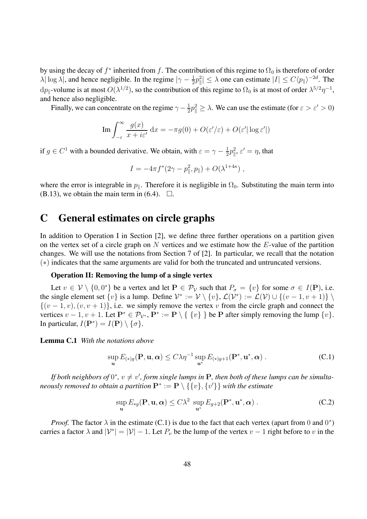by using the decay of  $f^*$  inherited from f. The contribution of this regime to  $\Omega_0$  is therefore of order  $\lambda |\log \lambda|$ , and hence negligible. In the regime  $|\gamma - \frac{1}{2}p_{\parallel}^2| \leq \lambda$  one can estimate  $|I| \leq C \langle p_{\parallel} \rangle^{-2d}$ . The  $dp_{\parallel}$ -volume is at most  $O(\lambda^{1/2})$ , so the contribution of this regime to  $\Omega_0$  is at most of order  $\lambda^{5/2}\eta^{-1}$ , and hence also negligible.

Finally, we can concentrate on the regime  $\gamma - \frac{1}{2}p_{\parallel}^2 \ge \lambda$ . We can use the estimate (for  $\varepsilon > \varepsilon' > 0$ )

Im 
$$
\int_{-\varepsilon}^{\infty} \frac{g(x)}{x + i\varepsilon'} dx = -\pi g(0) + O(\varepsilon'/\varepsilon) + O(\varepsilon' |\log \varepsilon'|)
$$

if  $g \in C^1$  with a bounded derivative. We obtain, with  $\varepsilon = \gamma - \frac{1}{2}p_{\parallel}^2$ ,  $\varepsilon' = \eta$ , that

$$
I = -4\pi f^*(2\gamma - p_{\parallel}^2, p_{\parallel}) + O(\lambda^{1+4\kappa}) ,
$$

where the error is integrable in  $p_{\parallel}$ . Therefore it is negligible in  $\Omega_0$ . Substituting the main term into  $(B.13)$ , we obtain the main term in  $(6.4)$ .  $\Box$ .

## **C General estimates on circle graphs**

In addition to Operation I in Section [2], we define three further operations on a partition given on the vertex set of a circle graph on  $N$  vertices and we estimate how the  $E$ -value of the partition changes. We will use the notations from Section 7 of [2]. In particular, we recall that the notation (∗) indicates that the same arguments are valid for both the truncated and untruncated versions.

#### **Operation II: Removing the lump of a single vertex**

Let  $v \in V \setminus \{0, 0^*\}$  be a vertex and let  $P \in \mathcal{P}_V$  such that  $P_\sigma = \{v\}$  for some  $\sigma \in I(\mathbf{P})$ , i.e. the single element set  $\{v\}$  is a lump. Define  $V^* := V \setminus \{v\}$ ,  $\mathcal{L}(V^*) := \mathcal{L}(V) \cup \{(v - 1, v + 1)\}$  $\{(v-1, v), (v, v+1)\}\)$ , i.e. we simply remove the vertex v from the circle graph and connect the vertices  $v - 1$ ,  $v + 1$ . Let  $\mathbf{P}^* \in \mathcal{P}_{\mathcal{V}^*}$ ,  $\mathbf{P}^* := \mathbf{P} \setminus \{ \{v\} \}$  be P after simply removing the lump  $\{v\}$ . In particular,  $I(\mathbf{P}^*) = I(\mathbf{P}) \setminus \{\sigma\}.$ 

**Lemma C.1** *With the notations above*

$$
\sup_{\mathbf{u}} E_{(*)g}(\mathbf{P}, \mathbf{u}, \alpha) \le C \lambda \eta^{-1} \sup_{\mathbf{u}^*} E_{(*)g+1}(\mathbf{P}^*, \mathbf{u}^*, \alpha) . \tag{C.1}
$$

If both neighbors of  $0^*$ ,  $v \neq v'$ , form single lumps in  $P$ , then both of these lumps can be simulta*neously removed to obtain a partition*  $\mathbf{P}^*:=\mathbf{P}\setminus\{\{v\},\{v'\}\}$  *with the estimate* 

$$
\sup_{\mathbf{u}} E_{*g}(\mathbf{P}, \mathbf{u}, \alpha) \le C\lambda^2 \sup_{\mathbf{u}^*} E_{g+2}(\mathbf{P}^*, \mathbf{u}^*, \alpha) . \tag{C.2}
$$

*Proof.* The factor  $\lambda$  in the estimate (C.1) is due to the fact that each vertex (apart from 0 and 0<sup>\*</sup>) carries a factor  $\lambda$  and  $|\mathcal{V}^*| = |\mathcal{V}| - 1$ . Let  $P_\nu$  be the lump of the vertex  $v - 1$  right before to v in the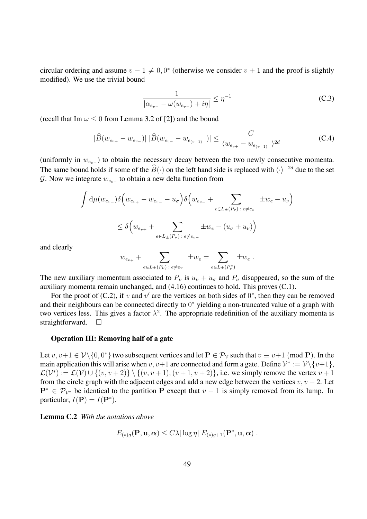circular ordering and assume  $v - 1 \neq 0, 0^*$  (otherwise we consider  $v + 1$  and the proof is slightly modified). We use the trivial bound

$$
\frac{1}{|\alpha_{e_{v-}} - \omega(w_{e_{v-}}) + i\eta|} \le \eta^{-1}
$$
 (C.3)

(recall that Im  $\omega \leq 0$  from Lemma 3.2 of [2]) and the bound

$$
|\widehat{B}(w_{e_{v+}} - w_{e_{v-}})| \, |\widehat{B}(w_{e_{v-}} - w_{e_{(v-1)-}})| \leq \frac{C}{\langle w_{e_{v+}} - w_{e_{(v-1)-}}\rangle^{2d}}
$$
 (C.4)

(uniformly in  $w_{e_v-}$ ) to obtain the necessary decay between the two newly consecutive momenta. The same bound holds if some of the  $\widehat{B}(\cdot)$  on the left hand side is replaced with  $\langle \cdot \rangle^{-2d}$  due to the set  $\mathcal G$ . Now we integrate  $w_{e_{v-}}$  to obtain a new delta function from

$$
\int d\mu (w_{e_{v-}}) \delta \Big( w_{e_{v+}} - w_{e_{v-}} - u_{\sigma} \Big) \delta \Big( w_{e_{v-}} + \sum_{e \in L_{\pm}(P_{\nu}) \ : \ e \neq e_{v-}} \pm w_e - u_{\nu} \Big)
$$
  

$$
\leq \delta \Big( w_{e_{v+}} + \sum_{e \in L_{\pm}(P_{\nu}) \ : \ e \neq e_{v-}} \pm w_e - (u_{\sigma} + u_{\nu}) \Big)
$$

and clearly

$$
w_{e_{v+}} + \sum_{e \in L_{\pm}(P_{\nu}) \,:\, e \neq e_{v-}} \pm w_e = \sum_{e \in L_{\pm}(P_{\nu}^*)} \pm w_e.
$$

The new auxiliary momentum associated to  $P_{\nu}$  is  $u_{\nu} + u_{\sigma}$  and  $P_{\sigma}$  disappeared, so the sum of the auxiliary momenta remain unchanged, and (4.16) continues to hold. This proves (C.1).

For the proof of (C.2), if v and v' are the vertices on both sides of  $0^*$ , then they can be removed and their neighbours can be connected directly to 0<sup>∗</sup> yielding a non-truncated value of a graph with two vertices less. This gives a factor  $\lambda^2$ . The appropriate redefinition of the auxiliary momenta is straightforward.  $\square$ 

#### **Operation III: Removing half of a gate**

Let  $v, v+1 \in V \setminus \{0, 0^*\}$  two subsequent vertices and let  $P \in \mathcal{P}_V$  such that  $v \equiv v+1 \pmod{P}$ . In the main application this will arise when  $v, v+1$  are connected and form a gate. Define  $\mathcal{V}^* := \mathcal{V} \setminus \{v+1\},\$  $\mathcal{L}(\mathcal{V}^*) := \mathcal{L}(\mathcal{V}) \cup \{(v, v+2)\}\setminus \{(v, v+1), (v+1, v+2)\}\$ , i.e. we simply remove the vertex  $v+1$ from the circle graph with the adjacent edges and add a new edge between the vertices  $v, v + 2$ . Let  $P^* \in \mathcal{P}_{\mathcal{V}^*}$  be identical to the partition P except that  $v + 1$  is simply removed from its lump. In particular,  $I(\mathbf{P}) = I(\mathbf{P}^*).$ 

**Lemma C.2** *With the notations above*

$$
E_{(*)g}(\mathbf{P}, \mathbf{u}, \boldsymbol{\alpha}) \leq C\lambda |\log \eta| E_{(*)g+1}(\mathbf{P}^*, \mathbf{u}, \boldsymbol{\alpha}) .
$$